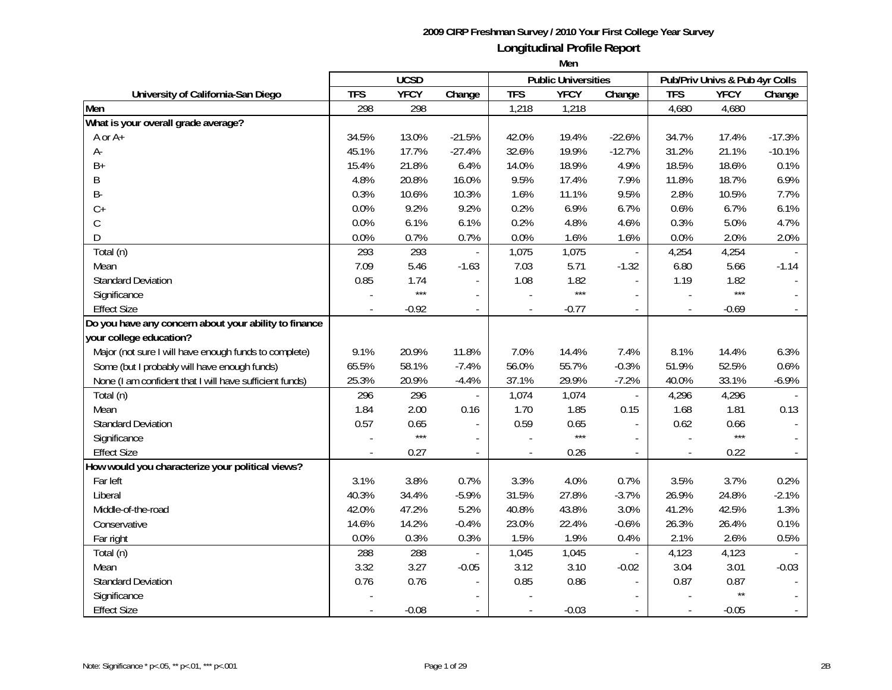|                                                         |            | <b>UCSD</b> |                          |                | <b>Public Universities</b> |                             |                | Pub/Priv Univs & Pub 4yr Colls |          |
|---------------------------------------------------------|------------|-------------|--------------------------|----------------|----------------------------|-----------------------------|----------------|--------------------------------|----------|
| University of California-San Diego                      | <b>TFS</b> | <b>YFCY</b> | Change                   | <b>TFS</b>     | <b>YFCY</b>                | Change                      | <b>TFS</b>     | <b>YFCY</b>                    | Change   |
| Men                                                     | 298        | 298         |                          | 1,218          | 1,218                      |                             | 4,680          | 4,680                          |          |
| What is your overall grade average?                     |            |             |                          |                |                            |                             |                |                                |          |
| A or A+                                                 | 34.5%      | 13.0%       | $-21.5%$                 | 42.0%          | 19.4%                      | $-22.6%$                    | 34.7%          | 17.4%                          | $-17.3%$ |
| А-                                                      | 45.1%      | 17.7%       | $-27.4%$                 | 32.6%          | 19.9%                      | $-12.7%$                    | 31.2%          | 21.1%                          | $-10.1%$ |
| $B+$                                                    | 15.4%      | 21.8%       | 6.4%                     | 14.0%          | 18.9%                      | 4.9%                        | 18.5%          | 18.6%                          | 0.1%     |
| B                                                       | 4.8%       | 20.8%       | 16.0%                    | 9.5%           | 17.4%                      | 7.9%                        | 11.8%          | 18.7%                          | 6.9%     |
| <b>B-</b>                                               | 0.3%       | 10.6%       | 10.3%                    | 1.6%           | 11.1%                      | 9.5%                        | 2.8%           | 10.5%                          | 7.7%     |
| $C+$                                                    | 0.0%       | 9.2%        | 9.2%                     | 0.2%           | 6.9%                       | 6.7%                        | 0.6%           | 6.7%                           | 6.1%     |
| $\mathsf C$                                             | 0.0%       | 6.1%        | 6.1%                     | 0.2%           | 4.8%                       | 4.6%                        | 0.3%           | 5.0%                           | 4.7%     |
| D                                                       | 0.0%       | 0.7%        | 0.7%                     | 0.0%           | 1.6%                       | 1.6%                        | 0.0%           | 2.0%                           | 2.0%     |
| Total (n)                                               | 293        | 293         |                          | 1,075          | 1,075                      | $\overline{\phantom{a}}$    | 4,254          | 4,254                          |          |
| Mean                                                    | 7.09       | 5.46        | $-1.63$                  | 7.03           | 5.71                       | $-1.32$                     | 6.80           | 5.66                           | $-1.14$  |
| <b>Standard Deviation</b>                               | 0.85       | 1.74        | $\sim$                   | 1.08           | 1.82                       |                             | 1.19           | 1.82                           |          |
| Significance                                            |            | $***$       | $\sim$                   |                | $***$                      |                             |                | $***$                          |          |
| <b>Effect Size</b>                                      |            | $-0.92$     | $\overline{\phantom{a}}$ |                | $-0.77$                    |                             |                | $-0.69$                        |          |
| Do you have any concern about your ability to finance   |            |             |                          |                |                            |                             |                |                                |          |
| your college education?                                 |            |             |                          |                |                            |                             |                |                                |          |
| Major (not sure I will have enough funds to complete)   | 9.1%       | 20.9%       | 11.8%                    | 7.0%           | 14.4%                      | 7.4%                        | 8.1%           | 14.4%                          | 6.3%     |
| Some (but I probably will have enough funds)            | 65.5%      | 58.1%       | $-7.4%$                  | 56.0%          | 55.7%                      | $-0.3%$                     | 51.9%          | 52.5%                          | 0.6%     |
| None (I am confident that I will have sufficient funds) | 25.3%      | 20.9%       | $-4.4%$                  | 37.1%          | 29.9%                      | $-7.2%$                     | 40.0%          | 33.1%                          | $-6.9%$  |
| Total (n)                                               | 296        | 296         | $\overline{\phantom{a}}$ | 1,074          | 1,074                      | $\blacksquare$              | 4,296          | 4,296                          |          |
| Mean                                                    | 1.84       | 2.00        | 0.16                     | 1.70           | 1.85                       | 0.15                        | 1.68           | 1.81                           | 0.13     |
| <b>Standard Deviation</b>                               | 0.57       | 0.65        | $\overline{\phantom{a}}$ | 0.59           | 0.65                       | $\overline{\phantom{a}}$    | 0.62           | 0.66                           |          |
| Significance                                            |            | $***$       | $\sim$                   |                | $***$                      | $\sim$                      |                | $***$                          |          |
| <b>Effect Size</b>                                      |            | 0.27        | $\overline{\phantom{a}}$ | $\overline{a}$ | 0.26                       | $\mathcal{L}^{\mathcal{A}}$ | $\overline{a}$ | 0.22                           |          |
| How would you characterize your political views?        |            |             |                          |                |                            |                             |                |                                |          |
| Far left                                                | 3.1%       | 3.8%        | 0.7%                     | 3.3%           | 4.0%                       | 0.7%                        | 3.5%           | 3.7%                           | 0.2%     |
| Liberal                                                 | 40.3%      | 34.4%       | $-5.9%$                  | 31.5%          | 27.8%                      | $-3.7%$                     | 26.9%          | 24.8%                          | $-2.1%$  |
| Middle-of-the-road                                      | 42.0%      | 47.2%       | 5.2%                     | 40.8%          | 43.8%                      | 3.0%                        | 41.2%          | 42.5%                          | 1.3%     |
| Conservative                                            | 14.6%      | 14.2%       | $-0.4%$                  | 23.0%          | 22.4%                      | $-0.6%$                     | 26.3%          | 26.4%                          | 0.1%     |
| Far right                                               | 0.0%       | 0.3%        | 0.3%                     | 1.5%           | 1.9%                       | 0.4%                        | 2.1%           | 2.6%                           | 0.5%     |
| Total (n)                                               | 288        | 288         | $\overline{\phantom{a}}$ | 1,045          | 1,045                      | $\overline{\phantom{a}}$    | 4,123          | 4,123                          |          |
| Mean                                                    | 3.32       | 3.27        | $-0.05$                  | 3.12           | 3.10                       | $-0.02$                     | 3.04           | 3.01                           | $-0.03$  |
| <b>Standard Deviation</b>                               | 0.76       | 0.76        |                          | 0.85           | 0.86                       |                             | 0.87           | 0.87                           |          |
| Significance                                            |            |             |                          |                |                            |                             |                | $\star\star$                   |          |
| <b>Effect Size</b>                                      |            | $-0.08$     |                          |                | $-0.03$                    |                             |                | $-0.05$                        |          |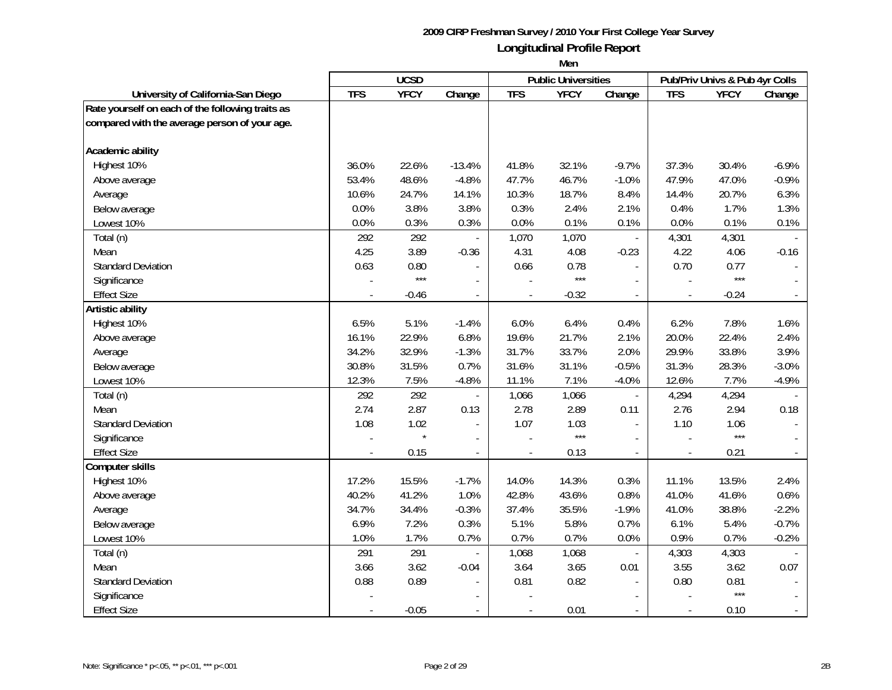|                                                  |            | <b>UCSD</b> |                          |                          | <b>Public Universities</b> |                          |               | Pub/Priv Univs & Pub 4yr Colls |                |
|--------------------------------------------------|------------|-------------|--------------------------|--------------------------|----------------------------|--------------------------|---------------|--------------------------------|----------------|
| University of California-San Diego               | <b>TFS</b> | <b>YFCY</b> | Change                   | <b>TFS</b>               | <b>YFCY</b>                | Change                   | <b>TFS</b>    | <b>YFCY</b>                    | Change         |
| Rate yourself on each of the following traits as |            |             |                          |                          |                            |                          |               |                                |                |
| compared with the average person of your age.    |            |             |                          |                          |                            |                          |               |                                |                |
|                                                  |            |             |                          |                          |                            |                          |               |                                |                |
| Academic ability                                 |            |             |                          |                          |                            |                          |               |                                |                |
| Highest 10%                                      | 36.0%      | 22.6%       | $-13.4%$                 | 41.8%                    | 32.1%                      | $-9.7%$                  | 37.3%         | 30.4%                          | $-6.9%$        |
| Above average                                    | 53.4%      | 48.6%       | $-4.8%$                  | 47.7%                    | 46.7%                      | $-1.0%$                  | 47.9%         | 47.0%                          | $-0.9%$        |
| Average                                          | 10.6%      | 24.7%       | 14.1%                    | 10.3%                    | 18.7%                      | 8.4%                     | 14.4%         | 20.7%                          | 6.3%           |
| Below average                                    | 0.0%       | 3.8%        | 3.8%                     | 0.3%                     | 2.4%                       | 2.1%                     | 0.4%          | 1.7%                           | 1.3%           |
| Lowest 10%                                       | 0.0%       | 0.3%        | 0.3%                     | 0.0%                     | 0.1%                       | 0.1%                     | 0.0%          | 0.1%                           | 0.1%           |
| Total (n)                                        | 292        | 292         |                          | 1,070                    | 1,070                      |                          | 4,301         | 4,301                          |                |
| Mean                                             | 4.25       | 3.89        | $-0.36$                  | 4.31                     | 4.08                       | $-0.23$                  | 4.22          | 4.06                           | $-0.16$        |
| <b>Standard Deviation</b>                        | 0.63       | 0.80        |                          | 0.66                     | 0.78                       |                          | 0.70          | 0.77                           |                |
| Significance                                     |            | $***$       |                          |                          | $***$                      |                          |               | $***$                          |                |
| <b>Effect Size</b>                               |            | $-0.46$     |                          |                          | $-0.32$                    | $\overline{\phantom{a}}$ |               | $-0.24$                        |                |
| Artistic ability                                 |            |             |                          |                          |                            |                          |               |                                |                |
| Highest 10%                                      | 6.5%       | 5.1%        | $-1.4%$                  | 6.0%                     | 6.4%                       | 0.4%                     | 6.2%          | 7.8%                           | 1.6%           |
| Above average                                    | 16.1%      | 22.9%       | 6.8%                     | 19.6%                    | 21.7%                      | 2.1%                     | 20.0%         | 22.4%                          | 2.4%           |
| Average                                          | 34.2%      | 32.9%       | $-1.3%$                  | 31.7%                    | 33.7%                      | 2.0%                     | 29.9%         | 33.8%                          | 3.9%           |
| Below average                                    | 30.8%      | 31.5%       | 0.7%                     | 31.6%                    | 31.1%                      | $-0.5%$                  | 31.3%         | 28.3%                          | $-3.0%$        |
| Lowest 10%                                       | 12.3%      | 7.5%        | $-4.8%$                  | 11.1%                    | 7.1%                       | $-4.0%$                  | 12.6%         | 7.7%                           | $-4.9%$        |
| Total (n)                                        | 292        | 292         | $\overline{\phantom{a}}$ | 1,066                    | 1,066                      | $\overline{\phantom{a}}$ | 4,294         | 4,294                          |                |
| Mean                                             | 2.74       | 2.87        | 0.13                     | 2.78                     | 2.89                       | 0.11                     | 2.76          | 2.94                           | 0.18           |
| <b>Standard Deviation</b>                        | 1.08       | 1.02        | $\frac{1}{2}$            | 1.07                     | 1.03                       | $\blacksquare$           | 1.10          | 1.06                           |                |
| Significance                                     |            | $\star$     | $\overline{\phantom{a}}$ |                          | $***$                      |                          |               | $***$                          |                |
| <b>Effect Size</b>                               |            | 0.15        | $\overline{\phantom{a}}$ | $\overline{\phantom{a}}$ | 0.13                       | $\overline{\phantom{a}}$ | $\centerdot$  | 0.21                           |                |
| <b>Computer skills</b>                           |            |             |                          |                          |                            |                          |               |                                |                |
| Highest 10%                                      | 17.2%      | 15.5%       | $-1.7%$                  | 14.0%                    | 14.3%                      | 0.3%                     | 11.1%         | 13.5%                          | 2.4%           |
| Above average                                    | 40.2%      | 41.2%       | 1.0%                     | 42.8%                    | 43.6%                      | 0.8%                     | 41.0%         | 41.6%                          | 0.6%           |
| Average                                          | 34.7%      | 34.4%       | $-0.3%$                  | 37.4%                    | 35.5%                      | $-1.9%$                  | 41.0%         | 38.8%                          | $-2.2%$        |
| Below average                                    | 6.9%       | 7.2%        | 0.3%                     | 5.1%                     | 5.8%                       | 0.7%                     | 6.1%          | 5.4%                           | $-0.7%$        |
| Lowest 10%                                       | 1.0%       | 1.7%        | 0.7%                     | 0.7%                     | 0.7%                       | 0.0%                     | 0.9%          | 0.7%                           | $-0.2%$        |
| Total (n)                                        | 291        | 291         | $\overline{a}$           | 1,068                    | 1,068                      | $\blacksquare$           | 4,303         | 4,303                          |                |
| Mean                                             | 3.66       | 3.62        | $-0.04$                  | 3.64                     | 3.65                       | 0.01                     | 3.55          | 3.62                           | 0.07           |
| <b>Standard Deviation</b>                        | 0.88       | 0.89        |                          | 0.81                     | 0.82                       |                          | 0.80          | 0.81                           |                |
| Significance                                     |            |             |                          |                          |                            |                          |               | $***$                          |                |
| <b>Effect Size</b>                               |            | $-0.05$     | $\overline{\phantom{a}}$ | $\blacksquare$           | 0.01                       |                          | $\frac{1}{2}$ | 0.10                           | $\blacksquare$ |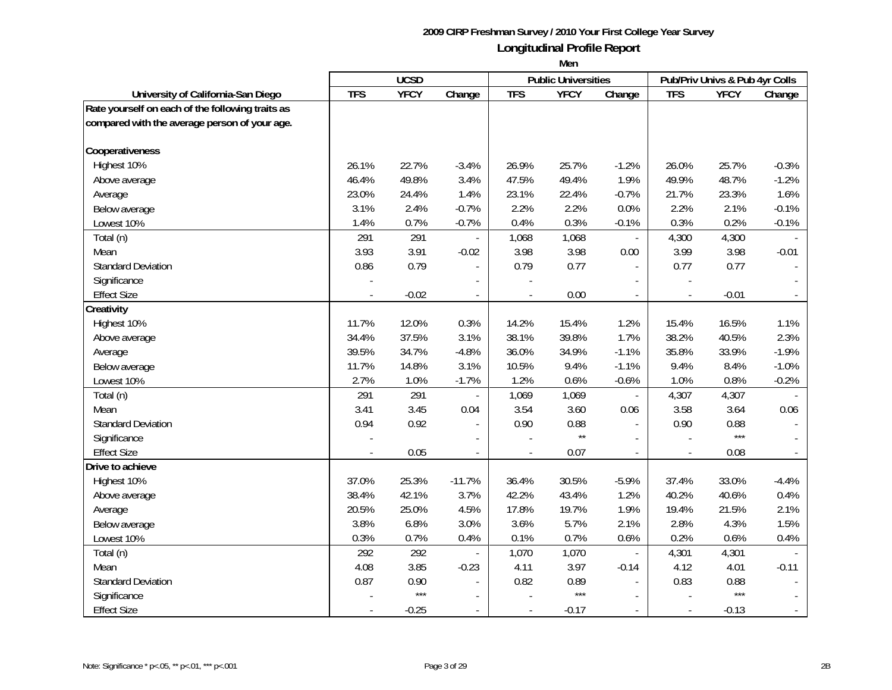|                                                  | <b>UCSD</b> |             |                          | <b>Public Universities</b> |              | Pub/Priv Univs & Pub 4yr Colls |                |             |                |
|--------------------------------------------------|-------------|-------------|--------------------------|----------------------------|--------------|--------------------------------|----------------|-------------|----------------|
| University of California-San Diego               | <b>TFS</b>  | <b>YFCY</b> | Change                   | <b>TFS</b>                 | <b>YFCY</b>  | Change                         | <b>TFS</b>     | <b>YFCY</b> | Change         |
| Rate yourself on each of the following traits as |             |             |                          |                            |              |                                |                |             |                |
| compared with the average person of your age.    |             |             |                          |                            |              |                                |                |             |                |
|                                                  |             |             |                          |                            |              |                                |                |             |                |
| Cooperativeness                                  |             |             |                          |                            |              |                                |                |             |                |
| Highest 10%                                      | 26.1%       | 22.7%       | $-3.4%$                  | 26.9%                      | 25.7%        | $-1.2%$                        | 26.0%          | 25.7%       | $-0.3%$        |
| Above average                                    | 46.4%       | 49.8%       | 3.4%                     | 47.5%                      | 49.4%        | 1.9%                           | 49.9%          | 48.7%       | $-1.2%$        |
| Average                                          | 23.0%       | 24.4%       | 1.4%                     | 23.1%                      | 22.4%        | $-0.7%$                        | 21.7%          | 23.3%       | 1.6%           |
| Below average                                    | 3.1%        | 2.4%        | $-0.7%$                  | 2.2%                       | 2.2%         | 0.0%                           | 2.2%           | 2.1%        | $-0.1%$        |
| Lowest 10%                                       | 1.4%        | 0.7%        | $-0.7%$                  | 0.4%                       | 0.3%         | $-0.1%$                        | 0.3%           | 0.2%        | $-0.1%$        |
| Total (n)                                        | 291         | 291         |                          | 1,068                      | 1,068        |                                | 4,300          | 4,300       |                |
| Mean                                             | 3.93        | 3.91        | $-0.02$                  | 3.98                       | 3.98         | 0.00                           | 3.99           | 3.98        | $-0.01$        |
| <b>Standard Deviation</b>                        | 0.86        | 0.79        |                          | 0.79                       | 0.77         |                                | 0.77           | 0.77        |                |
| Significance                                     |             |             |                          |                            |              |                                |                |             |                |
| <b>Effect Size</b>                               |             | $-0.02$     |                          |                            | 0.00         |                                |                | $-0.01$     |                |
| Creativity                                       |             |             |                          |                            |              |                                |                |             |                |
| Highest 10%                                      | 11.7%       | 12.0%       | 0.3%                     | 14.2%                      | 15.4%        | 1.2%                           | 15.4%          | 16.5%       | 1.1%           |
| Above average                                    | 34.4%       | 37.5%       | 3.1%                     | 38.1%                      | 39.8%        | 1.7%                           | 38.2%          | 40.5%       | 2.3%           |
| Average                                          | 39.5%       | 34.7%       | $-4.8%$                  | 36.0%                      | 34.9%        | $-1.1%$                        | 35.8%          | 33.9%       | $-1.9%$        |
| Below average                                    | 11.7%       | 14.8%       | 3.1%                     | 10.5%                      | 9.4%         | $-1.1%$                        | 9.4%           | 8.4%        | $-1.0%$        |
| Lowest 10%                                       | 2.7%        | 1.0%        | $-1.7%$                  | 1.2%                       | 0.6%         | $-0.6%$                        | 1.0%           | 0.8%        | $-0.2%$        |
| Total (n)                                        | 291         | 291         | $\overline{\phantom{a}}$ | 1,069                      | 1,069        | $\overline{\phantom{a}}$       | 4,307          | 4,307       |                |
| Mean                                             | 3.41        | 3.45        | 0.04                     | 3.54                       | 3.60         | 0.06                           | 3.58           | 3.64        | 0.06           |
| <b>Standard Deviation</b>                        | 0.94        | 0.92        | $\blacksquare$           | 0.90                       | 0.88         | $\overline{\phantom{a}}$       | 0.90           | 0.88        |                |
| Significance                                     |             |             | $\overline{a}$           |                            | $\star\star$ |                                |                | $***$       |                |
| <b>Effect Size</b>                               |             | 0.05        | $\blacksquare$           |                            | 0.07         | $\overline{a}$                 |                | 0.08        |                |
| Drive to achieve                                 |             |             |                          |                            |              |                                |                |             |                |
| Highest 10%                                      | 37.0%       | 25.3%       | $-11.7%$                 | 36.4%                      | 30.5%        | $-5.9%$                        | 37.4%          | 33.0%       | $-4.4%$        |
| Above average                                    | 38.4%       | 42.1%       | 3.7%                     | 42.2%                      | 43.4%        | 1.2%                           | 40.2%          | 40.6%       | 0.4%           |
| Average                                          | 20.5%       | 25.0%       | 4.5%                     | 17.8%                      | 19.7%        | 1.9%                           | 19.4%          | 21.5%       | 2.1%           |
| Below average                                    | 3.8%        | 6.8%        | 3.0%                     | 3.6%                       | 5.7%         | 2.1%                           | 2.8%           | 4.3%        | 1.5%           |
| Lowest 10%                                       | 0.3%        | 0.7%        | 0.4%                     | 0.1%                       | 0.7%         | 0.6%                           | 0.2%           | 0.6%        | 0.4%           |
| Total (n)                                        | 292         | 292         |                          | 1,070                      | 1,070        | $\overline{\phantom{a}}$       | 4,301          | 4,301       |                |
| Mean                                             | 4.08        | 3.85        | $-0.23$                  | 4.11                       | 3.97         | $-0.14$                        | 4.12           | 4.01        | $-0.11$        |
| <b>Standard Deviation</b>                        | 0.87        | 0.90        |                          | 0.82                       | 0.89         |                                | 0.83           | 0.88        |                |
| Significance                                     |             | $***$       |                          |                            | $***$        |                                |                | $***$       |                |
| <b>Effect Size</b>                               |             | $-0.25$     | $\blacksquare$           |                            | $-0.17$      | $\overline{a}$                 | $\overline{a}$ | $-0.13$     | $\blacksquare$ |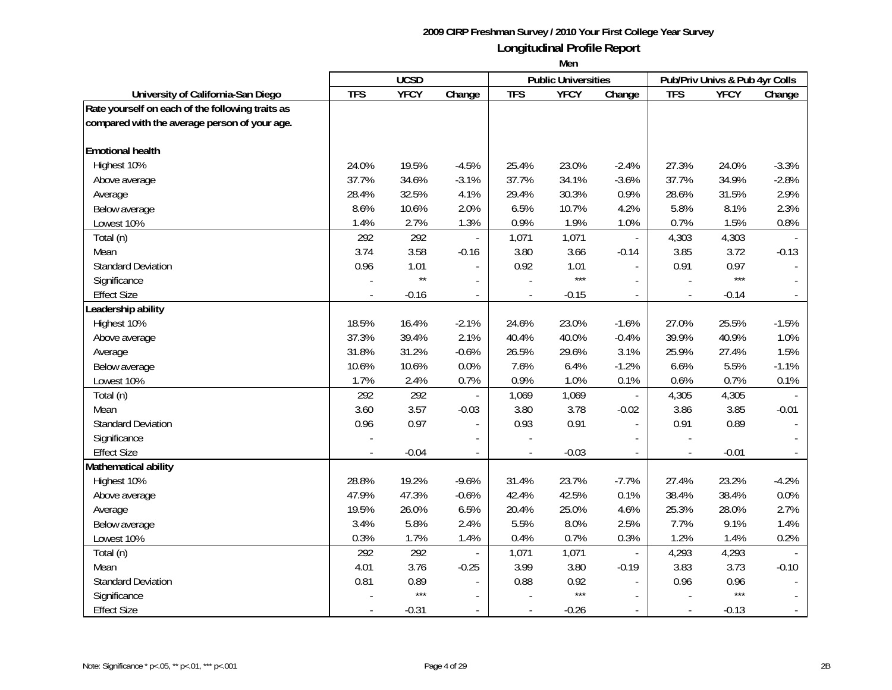|                                                  | <b>UCSD</b> |              |                          |                          | <b>Public Universities</b> |                          | Pub/Priv Univs & Pub 4yr Colls |             |                |
|--------------------------------------------------|-------------|--------------|--------------------------|--------------------------|----------------------------|--------------------------|--------------------------------|-------------|----------------|
| University of California-San Diego               | <b>TFS</b>  | <b>YFCY</b>  | Change                   | <b>TFS</b>               | <b>YFCY</b>                | Change                   | <b>TFS</b>                     | <b>YFCY</b> | Change         |
| Rate yourself on each of the following traits as |             |              |                          |                          |                            |                          |                                |             |                |
| compared with the average person of your age.    |             |              |                          |                          |                            |                          |                                |             |                |
|                                                  |             |              |                          |                          |                            |                          |                                |             |                |
| <b>Emotional health</b>                          |             |              |                          |                          |                            |                          |                                |             |                |
| Highest 10%                                      | 24.0%       | 19.5%        | $-4.5%$                  | 25.4%                    | 23.0%                      | $-2.4%$                  | 27.3%                          | 24.0%       | $-3.3%$        |
| Above average                                    | 37.7%       | 34.6%        | $-3.1%$                  | 37.7%                    | 34.1%                      | $-3.6%$                  | 37.7%                          | 34.9%       | $-2.8%$        |
| Average                                          | 28.4%       | 32.5%        | 4.1%                     | 29.4%                    | 30.3%                      | 0.9%                     | 28.6%                          | 31.5%       | 2.9%           |
| Below average                                    | 8.6%        | 10.6%        | 2.0%                     | 6.5%                     | 10.7%                      | 4.2%                     | 5.8%                           | 8.1%        | 2.3%           |
| Lowest 10%                                       | 1.4%        | 2.7%         | 1.3%                     | 0.9%                     | 1.9%                       | 1.0%                     | 0.7%                           | 1.5%        | 0.8%           |
| Total (n)                                        | 292         | 292          |                          | 1,071                    | 1,071                      | $\overline{\phantom{a}}$ | 4,303                          | 4,303       |                |
| Mean                                             | 3.74        | 3.58         | $-0.16$                  | 3.80                     | 3.66                       | $-0.14$                  | 3.85                           | 3.72        | $-0.13$        |
| <b>Standard Deviation</b>                        | 0.96        | 1.01         |                          | 0.92                     | 1.01                       | $\overline{a}$           | 0.91                           | 0.97        |                |
| Significance                                     |             | $\star\star$ |                          |                          | $***$                      |                          |                                | $***$       |                |
| <b>Effect Size</b>                               |             | $-0.16$      | $\overline{\phantom{a}}$ |                          | $-0.15$                    |                          |                                | $-0.14$     |                |
| Leadership ability                               |             |              |                          |                          |                            |                          |                                |             |                |
| Highest 10%                                      | 18.5%       | 16.4%        | $-2.1%$                  | 24.6%                    | 23.0%                      | $-1.6%$                  | 27.0%                          | 25.5%       | $-1.5%$        |
| Above average                                    | 37.3%       | 39.4%        | 2.1%                     | 40.4%                    | 40.0%                      | $-0.4%$                  | 39.9%                          | 40.9%       | 1.0%           |
| Average                                          | 31.8%       | 31.2%        | $-0.6%$                  | 26.5%                    | 29.6%                      | 3.1%                     | 25.9%                          | 27.4%       | 1.5%           |
| Below average                                    | 10.6%       | 10.6%        | 0.0%                     | 7.6%                     | 6.4%                       | $-1.2%$                  | 6.6%                           | 5.5%        | $-1.1%$        |
| Lowest 10%                                       | 1.7%        | 2.4%         | 0.7%                     | 0.9%                     | 1.0%                       | 0.1%                     | 0.6%                           | 0.7%        | 0.1%           |
| Total (n)                                        | 292         | 292          | $\overline{\phantom{a}}$ | 1,069                    | 1,069                      | $\overline{\phantom{a}}$ | 4,305                          | 4,305       |                |
| Mean                                             | 3.60        | 3.57         | $-0.03$                  | 3.80                     | 3.78                       | $-0.02$                  | 3.86                           | 3.85        | $-0.01$        |
| <b>Standard Deviation</b>                        | 0.96        | 0.97         | $\overline{a}$           | 0.93                     | 0.91                       | $\blacksquare$           | 0.91                           | 0.89        |                |
| Significance                                     |             |              | $\overline{a}$           |                          |                            |                          |                                |             |                |
| <b>Effect Size</b>                               |             | $-0.04$      | $\overline{\phantom{a}}$ | $\blacksquare$           | $-0.03$                    | $\overline{a}$           |                                | $-0.01$     |                |
| Mathematical ability                             |             |              |                          |                          |                            |                          |                                |             |                |
| Highest 10%                                      | 28.8%       | 19.2%        | $-9.6%$                  | 31.4%                    | 23.7%                      | $-7.7%$                  | 27.4%                          | 23.2%       | $-4.2%$        |
| Above average                                    | 47.9%       | 47.3%        | $-0.6%$                  | 42.4%                    | 42.5%                      | 0.1%                     | 38.4%                          | 38.4%       | 0.0%           |
| Average                                          | 19.5%       | 26.0%        | 6.5%                     | 20.4%                    | 25.0%                      | 4.6%                     | 25.3%                          | 28.0%       | 2.7%           |
| Below average                                    | 3.4%        | 5.8%         | 2.4%                     | 5.5%                     | 8.0%                       | 2.5%                     | 7.7%                           | 9.1%        | 1.4%           |
| Lowest 10%                                       | 0.3%        | 1.7%         | 1.4%                     | 0.4%                     | 0.7%                       | 0.3%                     | 1.2%                           | 1.4%        | 0.2%           |
| Total (n)                                        | 292         | 292          |                          | 1,071                    | 1,071                      | $\blacksquare$           | 4,293                          | 4,293       |                |
| Mean                                             | 4.01        | 3.76         | $-0.25$                  | 3.99                     | 3.80                       | $-0.19$                  | 3.83                           | 3.73        | $-0.10$        |
| <b>Standard Deviation</b>                        | 0.81        | 0.89         |                          | 0.88                     | 0.92                       |                          | 0.96                           | 0.96        |                |
| Significance                                     |             | $***$        |                          |                          | $***$                      |                          |                                | $***$       |                |
| <b>Effect Size</b>                               |             | $-0.31$      | $\blacksquare$           | $\overline{\phantom{a}}$ | $-0.26$                    | $\overline{\phantom{a}}$ | $\frac{1}{2}$                  | $-0.13$     | $\blacksquare$ |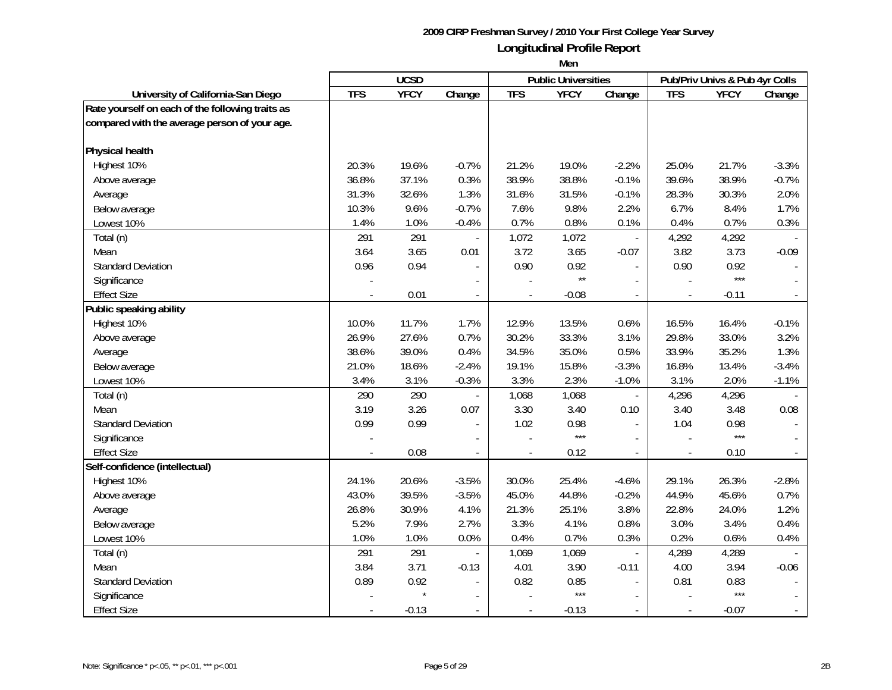|                                                  |            | <b>UCSD</b> |                          |                          | <b>Public Universities</b> |                          |                | Pub/Priv Univs & Pub 4yr Colls |                |
|--------------------------------------------------|------------|-------------|--------------------------|--------------------------|----------------------------|--------------------------|----------------|--------------------------------|----------------|
| University of California-San Diego               | <b>TFS</b> | <b>YFCY</b> | Change                   | <b>TFS</b>               | <b>YFCY</b>                | Change                   | <b>TFS</b>     | <b>YFCY</b>                    | Change         |
| Rate yourself on each of the following traits as |            |             |                          |                          |                            |                          |                |                                |                |
| compared with the average person of your age.    |            |             |                          |                          |                            |                          |                |                                |                |
|                                                  |            |             |                          |                          |                            |                          |                |                                |                |
| Physical health                                  |            |             |                          |                          |                            |                          |                |                                |                |
| Highest 10%                                      | 20.3%      | 19.6%       | $-0.7%$                  | 21.2%                    | 19.0%                      | $-2.2%$                  | 25.0%          | 21.7%                          | $-3.3%$        |
| Above average                                    | 36.8%      | 37.1%       | 0.3%                     | 38.9%                    | 38.8%                      | $-0.1%$                  | 39.6%          | 38.9%                          | $-0.7%$        |
| Average                                          | 31.3%      | 32.6%       | 1.3%                     | 31.6%                    | 31.5%                      | $-0.1%$                  | 28.3%          | 30.3%                          | 2.0%           |
| Below average                                    | 10.3%      | 9.6%        | $-0.7%$                  | 7.6%                     | 9.8%                       | 2.2%                     | 6.7%           | 8.4%                           | 1.7%           |
| Lowest 10%                                       | 1.4%       | 1.0%        | $-0.4%$                  | 0.7%                     | 0.8%                       | 0.1%                     | 0.4%           | 0.7%                           | 0.3%           |
| Total (n)                                        | 291        | 291         |                          | 1,072                    | 1,072                      |                          | 4,292          | 4,292                          |                |
| Mean                                             | 3.64       | 3.65        | 0.01                     | 3.72                     | 3.65                       | $-0.07$                  | 3.82           | 3.73                           | $-0.09$        |
| <b>Standard Deviation</b>                        | 0.96       | 0.94        |                          | 0.90                     | 0.92                       |                          | 0.90           | 0.92                           |                |
| Significance                                     |            |             |                          |                          | $\star\star$               |                          |                | $***$                          |                |
| <b>Effect Size</b>                               |            | 0.01        |                          |                          | $-0.08$                    |                          |                | $-0.11$                        |                |
| Public speaking ability                          |            |             |                          |                          |                            |                          |                |                                |                |
| Highest 10%                                      | 10.0%      | 11.7%       | 1.7%                     | 12.9%                    | 13.5%                      | 0.6%                     | 16.5%          | 16.4%                          | $-0.1%$        |
| Above average                                    | 26.9%      | 27.6%       | 0.7%                     | 30.2%                    | 33.3%                      | 3.1%                     | 29.8%          | 33.0%                          | 3.2%           |
| Average                                          | 38.6%      | 39.0%       | 0.4%                     | 34.5%                    | 35.0%                      | 0.5%                     | 33.9%          | 35.2%                          | 1.3%           |
| Below average                                    | 21.0%      | 18.6%       | $-2.4%$                  | 19.1%                    | 15.8%                      | $-3.3%$                  | 16.8%          | 13.4%                          | $-3.4%$        |
| Lowest 10%                                       | 3.4%       | 3.1%        | $-0.3%$                  | 3.3%                     | 2.3%                       | $-1.0%$                  | 3.1%           | 2.0%                           | $-1.1%$        |
| Total (n)                                        | 290        | 290         | $\overline{\phantom{a}}$ | 1,068                    | 1,068                      | $\overline{\phantom{a}}$ | 4,296          | 4,296                          |                |
| Mean                                             | 3.19       | 3.26        | 0.07                     | 3.30                     | 3.40                       | 0.10                     | 3.40           | 3.48                           | 0.08           |
| <b>Standard Deviation</b>                        | 0.99       | 0.99        | $\blacksquare$           | 1.02                     | 0.98                       | $\blacksquare$           | 1.04           | 0.98                           |                |
| Significance                                     |            |             | $\overline{a}$           |                          | $***$                      |                          |                | ***                            |                |
| <b>Effect Size</b>                               |            | 0.08        | $\overline{\phantom{a}}$ | $\overline{a}$           | 0.12                       | $\overline{\phantom{a}}$ |                | 0.10                           |                |
| Self-confidence (intellectual)                   |            |             |                          |                          |                            |                          |                |                                |                |
| Highest 10%                                      | 24.1%      | 20.6%       | $-3.5%$                  | 30.0%                    | 25.4%                      | $-4.6%$                  | 29.1%          | 26.3%                          | $-2.8%$        |
| Above average                                    | 43.0%      | 39.5%       | $-3.5%$                  | 45.0%                    | 44.8%                      | $-0.2%$                  | 44.9%          | 45.6%                          | 0.7%           |
| Average                                          | 26.8%      | 30.9%       | 4.1%                     | 21.3%                    | 25.1%                      | 3.8%                     | 22.8%          | 24.0%                          | 1.2%           |
| Below average                                    | 5.2%       | 7.9%        | 2.7%                     | 3.3%                     | 4.1%                       | 0.8%                     | 3.0%           | 3.4%                           | 0.4%           |
| Lowest 10%                                       | 1.0%       | 1.0%        | 0.0%                     | 0.4%                     | 0.7%                       | 0.3%                     | 0.2%           | 0.6%                           | 0.4%           |
| Total (n)                                        | 291        | 291         |                          | 1,069                    | 1,069                      | $\blacksquare$           | 4,289          | 4,289                          |                |
| Mean                                             | 3.84       | 3.71        | $-0.13$                  | 4.01                     | 3.90                       | $-0.11$                  | 4.00           | 3.94                           | $-0.06$        |
| <b>Standard Deviation</b>                        | 0.89       | 0.92        |                          | 0.82                     | 0.85                       |                          | 0.81           | 0.83                           |                |
| Significance                                     |            | $\star$     |                          |                          | $***$                      |                          |                | $***$                          |                |
| <b>Effect Size</b>                               |            | $-0.13$     | $\blacksquare$           | $\overline{\phantom{a}}$ | $-0.13$                    | $\overline{\phantom{a}}$ | $\overline{a}$ | $-0.07$                        | $\blacksquare$ |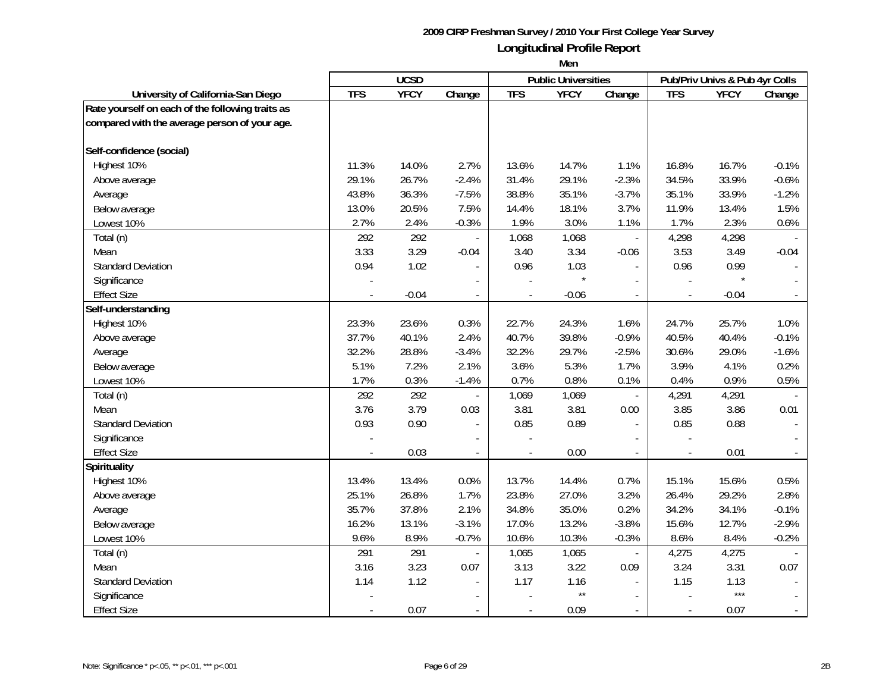|                                                  |            | <b>UCSD</b> |                          |                          | <b>Public Universities</b> |                          |                | Pub/Priv Univs & Pub 4yr Colls |                             |
|--------------------------------------------------|------------|-------------|--------------------------|--------------------------|----------------------------|--------------------------|----------------|--------------------------------|-----------------------------|
| University of California-San Diego               | <b>TFS</b> | <b>YFCY</b> | Change                   | <b>TFS</b>               | <b>YFCY</b>                | Change                   | <b>TFS</b>     | <b>YFCY</b>                    | Change                      |
| Rate yourself on each of the following traits as |            |             |                          |                          |                            |                          |                |                                |                             |
| compared with the average person of your age.    |            |             |                          |                          |                            |                          |                |                                |                             |
|                                                  |            |             |                          |                          |                            |                          |                |                                |                             |
| Self-confidence (social)                         |            |             |                          |                          |                            |                          |                |                                |                             |
| Highest 10%                                      | 11.3%      | 14.0%       | 2.7%                     | 13.6%                    | 14.7%                      | 1.1%                     | 16.8%          | 16.7%                          | $-0.1%$                     |
| Above average                                    | 29.1%      | 26.7%       | $-2.4%$                  | 31.4%                    | 29.1%                      | $-2.3%$                  | 34.5%          | 33.9%                          | $-0.6%$                     |
| Average                                          | 43.8%      | 36.3%       | $-7.5%$                  | 38.8%                    | 35.1%                      | $-3.7%$                  | 35.1%          | 33.9%                          | $-1.2%$                     |
| Below average                                    | 13.0%      | 20.5%       | 7.5%                     | 14.4%                    | 18.1%                      | 3.7%                     | 11.9%          | 13.4%                          | 1.5%                        |
| Lowest 10%                                       | 2.7%       | 2.4%        | $-0.3%$                  | 1.9%                     | 3.0%                       | 1.1%                     | 1.7%           | 2.3%                           | 0.6%                        |
| Total (n)                                        | 292        | 292         |                          | 1,068                    | 1,068                      |                          | 4,298          | 4,298                          |                             |
| Mean                                             | 3.33       | 3.29        | $-0.04$                  | 3.40                     | 3.34                       | $-0.06$                  | 3.53           | 3.49                           | $-0.04$                     |
| <b>Standard Deviation</b>                        | 0.94       | 1.02        |                          | 0.96                     | 1.03                       |                          | 0.96           | 0.99                           |                             |
| Significance                                     |            |             |                          |                          |                            |                          |                |                                |                             |
| <b>Effect Size</b>                               |            | $-0.04$     |                          |                          | $-0.06$                    |                          |                | $-0.04$                        |                             |
| Self-understanding                               |            |             |                          |                          |                            |                          |                |                                |                             |
| Highest 10%                                      | 23.3%      | 23.6%       | 0.3%                     | 22.7%                    | 24.3%                      | 1.6%                     | 24.7%          | 25.7%                          | 1.0%                        |
| Above average                                    | 37.7%      | 40.1%       | 2.4%                     | 40.7%                    | 39.8%                      | $-0.9%$                  | 40.5%          | 40.4%                          | $-0.1%$                     |
| Average                                          | 32.2%      | 28.8%       | $-3.4%$                  | 32.2%                    | 29.7%                      | $-2.5%$                  | 30.6%          | 29.0%                          | $-1.6%$                     |
| Below average                                    | 5.1%       | 7.2%        | 2.1%                     | 3.6%                     | 5.3%                       | 1.7%                     | 3.9%           | 4.1%                           | 0.2%                        |
| Lowest 10%                                       | 1.7%       | 0.3%        | $-1.4%$                  | 0.7%                     | 0.8%                       | 0.1%                     | 0.4%           | 0.9%                           | 0.5%                        |
| Total (n)                                        | 292        | 292         | $\overline{a}$           | 1,069                    | 1,069                      | $\overline{\phantom{a}}$ | 4,291          | 4,291                          |                             |
| Mean                                             | 3.76       | 3.79        | 0.03                     | 3.81                     | 3.81                       | 0.00                     | 3.85           | 3.86                           | 0.01                        |
| <b>Standard Deviation</b>                        | 0.93       | 0.90        | $\overline{a}$           | 0.85                     | 0.89                       | $\overline{\phantom{a}}$ | 0.85           | 0.88                           |                             |
| Significance                                     |            |             | $\overline{a}$           |                          |                            |                          |                |                                |                             |
| <b>Effect Size</b>                               |            | 0.03        | $\overline{\phantom{a}}$ | $\overline{a}$           | 0.00                       | $\blacksquare$           |                | 0.01                           |                             |
| Spirituality                                     |            |             |                          |                          |                            |                          |                |                                |                             |
| Highest 10%                                      | 13.4%      | 13.4%       | 0.0%                     | 13.7%                    | 14.4%                      | 0.7%                     | 15.1%          | 15.6%                          | 0.5%                        |
| Above average                                    | 25.1%      | 26.8%       | 1.7%                     | 23.8%                    | 27.0%                      | 3.2%                     | 26.4%          | 29.2%                          | 2.8%                        |
| Average                                          | 35.7%      | 37.8%       | 2.1%                     | 34.8%                    | 35.0%                      | 0.2%                     | 34.2%          | 34.1%                          | $-0.1%$                     |
| Below average                                    | 16.2%      | 13.1%       | $-3.1%$                  | 17.0%                    | 13.2%                      | $-3.8%$                  | 15.6%          | 12.7%                          | $-2.9%$                     |
| Lowest 10%                                       | 9.6%       | 8.9%        | $-0.7%$                  | 10.6%                    | 10.3%                      | $-0.3%$                  | 8.6%           | 8.4%                           | $-0.2%$                     |
| Total (n)                                        | 291        | 291         | $\overline{\phantom{a}}$ | 1,065                    | 1,065                      | $\blacksquare$           | 4,275          | 4,275                          |                             |
| Mean                                             | 3.16       | 3.23        | 0.07                     | 3.13                     | 3.22                       | 0.09                     | 3.24           | 3.31                           | 0.07                        |
| <b>Standard Deviation</b>                        | 1.14       | 1.12        |                          | 1.17                     | 1.16                       |                          | 1.15           | 1.13                           |                             |
| Significance                                     |            |             |                          |                          | $\star\star$               |                          |                | $***$                          |                             |
| <b>Effect Size</b>                               |            | 0.07        | $\overline{\phantom{a}}$ | $\overline{\phantom{a}}$ | 0.09                       |                          | $\overline{a}$ | 0.07                           | $\mathcal{L}_{\mathcal{A}}$ |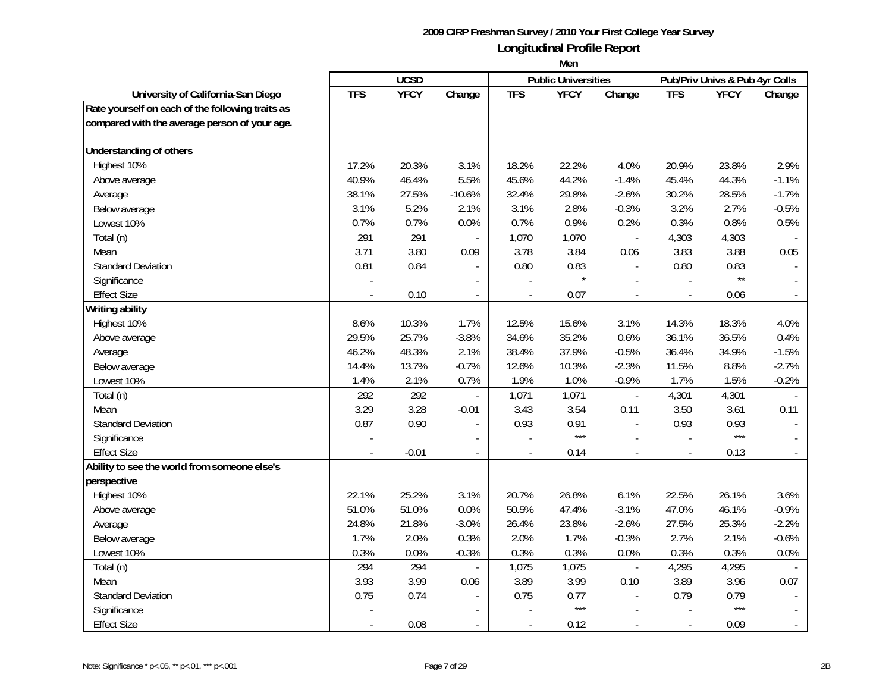|                                                  | <b>UCSD</b> |             |                          | <b>Public Universities</b> |             | Pub/Priv Univs & Pub 4yr Colls |                          |              |                          |
|--------------------------------------------------|-------------|-------------|--------------------------|----------------------------|-------------|--------------------------------|--------------------------|--------------|--------------------------|
| University of California-San Diego               | <b>TFS</b>  | <b>YFCY</b> | Change                   | <b>TFS</b>                 | <b>YFCY</b> | Change                         | <b>TFS</b>               | <b>YFCY</b>  | Change                   |
| Rate yourself on each of the following traits as |             |             |                          |                            |             |                                |                          |              |                          |
| compared with the average person of your age.    |             |             |                          |                            |             |                                |                          |              |                          |
|                                                  |             |             |                          |                            |             |                                |                          |              |                          |
| Understanding of others                          |             |             |                          |                            |             |                                |                          |              |                          |
| Highest 10%                                      | 17.2%       | 20.3%       | 3.1%                     | 18.2%                      | 22.2%       | 4.0%                           | 20.9%                    | 23.8%        | 2.9%                     |
| Above average                                    | 40.9%       | 46.4%       | 5.5%                     | 45.6%                      | 44.2%       | $-1.4%$                        | 45.4%                    | 44.3%        | $-1.1%$                  |
| Average                                          | 38.1%       | 27.5%       | $-10.6%$                 | 32.4%                      | 29.8%       | $-2.6%$                        | 30.2%                    | 28.5%        | $-1.7%$                  |
| Below average                                    | 3.1%        | 5.2%        | 2.1%                     | 3.1%                       | 2.8%        | $-0.3%$                        | 3.2%                     | 2.7%         | $-0.5%$                  |
| Lowest 10%                                       | 0.7%        | 0.7%        | 0.0%                     | 0.7%                       | 0.9%        | 0.2%                           | 0.3%                     | 0.8%         | 0.5%                     |
| Total (n)                                        | 291         | 291         |                          | 1,070                      | 1,070       | $\blacksquare$                 | 4,303                    | 4,303        |                          |
| Mean                                             | 3.71        | 3.80        | 0.09                     | 3.78                       | 3.84        | 0.06                           | 3.83                     | 3.88         | 0.05                     |
| <b>Standard Deviation</b>                        | 0.81        | 0.84        |                          | 0.80                       | 0.83        |                                | 0.80                     | 0.83         |                          |
| Significance                                     |             |             |                          |                            |             |                                |                          | $\star\star$ |                          |
| <b>Effect Size</b>                               |             | 0.10        | $\overline{\phantom{a}}$ | $\overline{\phantom{a}}$   | 0.07        | $\overline{a}$                 | $\overline{\phantom{a}}$ | 0.06         |                          |
| <b>Writing ability</b>                           |             |             |                          |                            |             |                                |                          |              |                          |
| Highest 10%                                      | 8.6%        | 10.3%       | 1.7%                     | 12.5%                      | 15.6%       | 3.1%                           | 14.3%                    | 18.3%        | 4.0%                     |
| Above average                                    | 29.5%       | 25.7%       | $-3.8%$                  | 34.6%                      | 35.2%       | 0.6%                           | 36.1%                    | 36.5%        | 0.4%                     |
| Average                                          | 46.2%       | 48.3%       | 2.1%                     | 38.4%                      | 37.9%       | $-0.5%$                        | 36.4%                    | 34.9%        | $-1.5%$                  |
| Below average                                    | 14.4%       | 13.7%       | $-0.7%$                  | 12.6%                      | 10.3%       | $-2.3%$                        | 11.5%                    | 8.8%         | $-2.7%$                  |
| Lowest 10%                                       | 1.4%        | 2.1%        | 0.7%                     | 1.9%                       | 1.0%        | $-0.9%$                        | 1.7%                     | 1.5%         | $-0.2%$                  |
| Total (n)                                        | 292         | 292         |                          | 1,071                      | 1,071       | $\blacksquare$                 | 4,301                    | 4,301        |                          |
| Mean                                             | 3.29        | 3.28        | $-0.01$                  | 3.43                       | 3.54        | 0.11                           | 3.50                     | 3.61         | 0.11                     |
| <b>Standard Deviation</b>                        | 0.87        | 0.90        |                          | 0.93                       | 0.91        | $\overline{a}$                 | 0.93                     | 0.93         |                          |
| Significance                                     |             |             |                          |                            | $***$       |                                |                          | $***$        |                          |
| <b>Effect Size</b>                               |             | $-0.01$     | $\sim$                   |                            | 0.14        | $\overline{a}$                 |                          | 0.13         |                          |
| Ability to see the world from someone else's     |             |             |                          |                            |             |                                |                          |              |                          |
| perspective                                      |             |             |                          |                            |             |                                |                          |              |                          |
| Highest 10%                                      | 22.1%       | 25.2%       | 3.1%                     | 20.7%                      | 26.8%       | 6.1%                           | 22.5%                    | 26.1%        | 3.6%                     |
| Above average                                    | 51.0%       | 51.0%       | 0.0%                     | 50.5%                      | 47.4%       | $-3.1%$                        | 47.0%                    | 46.1%        | $-0.9%$                  |
| Average                                          | 24.8%       | 21.8%       | $-3.0%$                  | 26.4%                      | 23.8%       | $-2.6%$                        | 27.5%                    | 25.3%        | $-2.2%$                  |
| Below average                                    | 1.7%        | 2.0%        | 0.3%                     | 2.0%                       | 1.7%        | $-0.3%$                        | 2.7%                     | 2.1%         | $-0.6%$                  |
| Lowest 10%                                       | 0.3%        | 0.0%        | $-0.3%$                  | 0.3%                       | 0.3%        | 0.0%                           | 0.3%                     | 0.3%         | 0.0%                     |
| Total (n)                                        | 294         | 294         | $\overline{\phantom{a}}$ | 1,075                      | 1,075       | $\blacksquare$                 | 4,295                    | 4,295        |                          |
| Mean                                             | 3.93        | 3.99        | 0.06                     | 3.89                       | 3.99        | 0.10                           | 3.89                     | 3.96         | 0.07                     |
| <b>Standard Deviation</b>                        | 0.75        | 0.74        |                          | 0.75                       | 0.77        | $\blacksquare$                 | 0.79                     | 0.79         |                          |
| Significance                                     |             |             |                          |                            | $***$       | $\overline{\phantom{a}}$       |                          | $***$        |                          |
| <b>Effect Size</b>                               |             | 0.08        | $\blacksquare$           |                            | 0.12        |                                |                          | 0.09         | $\overline{\phantom{a}}$ |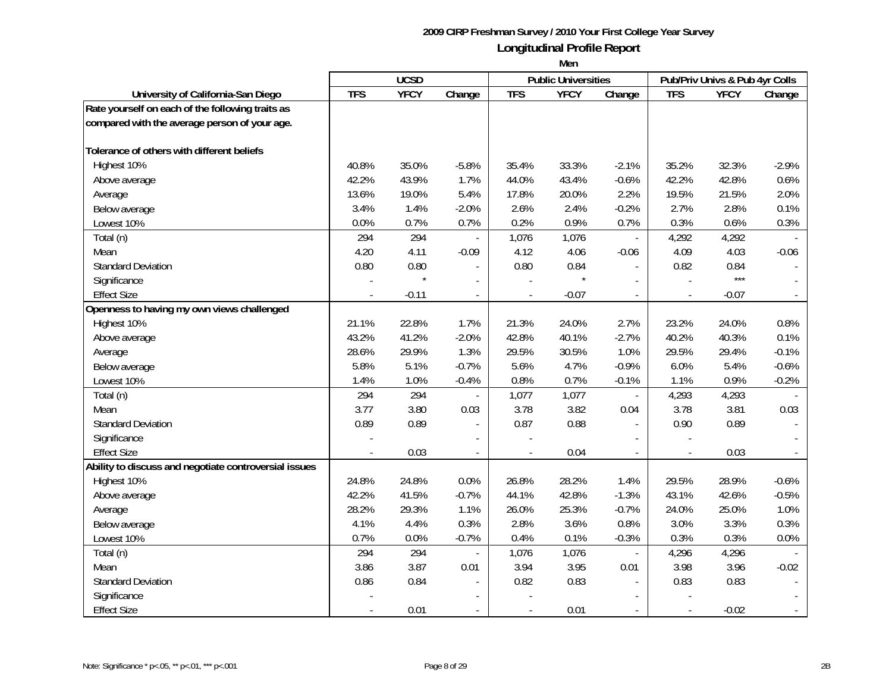|                                                       |            | <b>UCSD</b> |                          |                | <b>Public Universities</b> |                          |                | Pub/Priv Univs & Pub 4yr Colls |         |
|-------------------------------------------------------|------------|-------------|--------------------------|----------------|----------------------------|--------------------------|----------------|--------------------------------|---------|
| University of California-San Diego                    | <b>TFS</b> | <b>YFCY</b> | Change                   | <b>TFS</b>     | <b>YFCY</b>                | Change                   | <b>TFS</b>     | <b>YFCY</b>                    | Change  |
| Rate yourself on each of the following traits as      |            |             |                          |                |                            |                          |                |                                |         |
| compared with the average person of your age.         |            |             |                          |                |                            |                          |                |                                |         |
|                                                       |            |             |                          |                |                            |                          |                |                                |         |
| Tolerance of others with different beliefs            |            |             |                          |                |                            |                          |                |                                |         |
| Highest 10%                                           | 40.8%      | 35.0%       | $-5.8%$                  | 35.4%          | 33.3%                      | $-2.1%$                  | 35.2%          | 32.3%                          | $-2.9%$ |
| Above average                                         | 42.2%      | 43.9%       | 1.7%                     | 44.0%          | 43.4%                      | $-0.6%$                  | 42.2%          | 42.8%                          | 0.6%    |
| Average                                               | 13.6%      | 19.0%       | 5.4%                     | 17.8%          | 20.0%                      | 2.2%                     | 19.5%          | 21.5%                          | 2.0%    |
| Below average                                         | 3.4%       | 1.4%        | $-2.0%$                  | 2.6%           | 2.4%                       | $-0.2%$                  | 2.7%           | 2.8%                           | 0.1%    |
| Lowest 10%                                            | 0.0%       | 0.7%        | 0.7%                     | 0.2%           | 0.9%                       | 0.7%                     | 0.3%           | 0.6%                           | 0.3%    |
| Total (n)                                             | 294        | 294         |                          | 1,076          | 1,076                      |                          | 4,292          | 4,292                          |         |
| Mean                                                  | 4.20       | 4.11        | $-0.09$                  | 4.12           | 4.06                       | $-0.06$                  | 4.09           | 4.03                           | $-0.06$ |
| <b>Standard Deviation</b>                             | 0.80       | 0.80        |                          | 0.80           | 0.84                       |                          | 0.82           | 0.84                           |         |
| Significance                                          |            | $\star$     |                          |                |                            |                          |                | $***$                          |         |
| <b>Effect Size</b>                                    |            | $-0.11$     | $\overline{\phantom{a}}$ |                | $-0.07$                    |                          |                | $-0.07$                        |         |
| Openness to having my own views challenged            |            |             |                          |                |                            |                          |                |                                |         |
| Highest 10%                                           | 21.1%      | 22.8%       | 1.7%                     | 21.3%          | 24.0%                      | 2.7%                     | 23.2%          | 24.0%                          | 0.8%    |
| Above average                                         | 43.2%      | 41.2%       | $-2.0%$                  | 42.8%          | 40.1%                      | $-2.7%$                  | 40.2%          | 40.3%                          | 0.1%    |
| Average                                               | 28.6%      | 29.9%       | 1.3%                     | 29.5%          | 30.5%                      | 1.0%                     | 29.5%          | 29.4%                          | $-0.1%$ |
| Below average                                         | 5.8%       | 5.1%        | $-0.7%$                  | 5.6%           | 4.7%                       | $-0.9%$                  | 6.0%           | 5.4%                           | $-0.6%$ |
| Lowest 10%                                            | 1.4%       | 1.0%        | $-0.4%$                  | 0.8%           | 0.7%                       | $-0.1%$                  | 1.1%           | 0.9%                           | $-0.2%$ |
| Total (n)                                             | 294        | 294         | $\overline{\phantom{a}}$ | 1,077          | 1,077                      | $\overline{\phantom{a}}$ | 4,293          | 4,293                          |         |
| Mean                                                  | 3.77       | 3.80        | 0.03                     | 3.78           | 3.82                       | 0.04                     | 3.78           | 3.81                           | 0.03    |
| <b>Standard Deviation</b>                             | 0.89       | 0.89        | $\overline{a}$           | 0.87           | 0.88                       | $\blacksquare$           | 0.90           | 0.89                           |         |
| Significance                                          |            |             | $\overline{a}$           |                |                            |                          | $\overline{a}$ |                                |         |
| <b>Effect Size</b>                                    |            | 0.03        | $\blacksquare$           | $\overline{a}$ | 0.04                       | $\overline{a}$           |                | 0.03                           |         |
| Ability to discuss and negotiate controversial issues |            |             |                          |                |                            |                          |                |                                |         |
| Highest 10%                                           | 24.8%      | 24.8%       | 0.0%                     | 26.8%          | 28.2%                      | 1.4%                     | 29.5%          | 28.9%                          | $-0.6%$ |
| Above average                                         | 42.2%      | 41.5%       | $-0.7%$                  | 44.1%          | 42.8%                      | $-1.3%$                  | 43.1%          | 42.6%                          | $-0.5%$ |
| Average                                               | 28.2%      | 29.3%       | 1.1%                     | 26.0%          | 25.3%                      | $-0.7%$                  | 24.0%          | 25.0%                          | 1.0%    |
| Below average                                         | 4.1%       | 4.4%        | 0.3%                     | 2.8%           | 3.6%                       | 0.8%                     | 3.0%           | 3.3%                           | 0.3%    |
| Lowest 10%                                            | 0.7%       | 0.0%        | $-0.7%$                  | 0.4%           | 0.1%                       | $-0.3%$                  | 0.3%           | 0.3%                           | 0.0%    |
| Total (n)                                             | 294        | 294         | $\overline{\phantom{a}}$ | 1,076          | 1,076                      | $\overline{\phantom{a}}$ | 4,296          | 4,296                          |         |
| Mean                                                  | 3.86       | 3.87        | 0.01                     | 3.94           | 3.95                       | 0.01                     | 3.98           | 3.96                           | $-0.02$ |
| <b>Standard Deviation</b>                             | 0.86       | 0.84        |                          | 0.82           | 0.83                       |                          | 0.83           | 0.83                           |         |
| Significance                                          |            |             |                          |                |                            |                          |                |                                |         |
| <b>Effect Size</b>                                    |            | 0.01        | $\blacksquare$           | $\overline{a}$ | 0.01                       | $\overline{\phantom{a}}$ | $\frac{1}{2}$  | $-0.02$                        |         |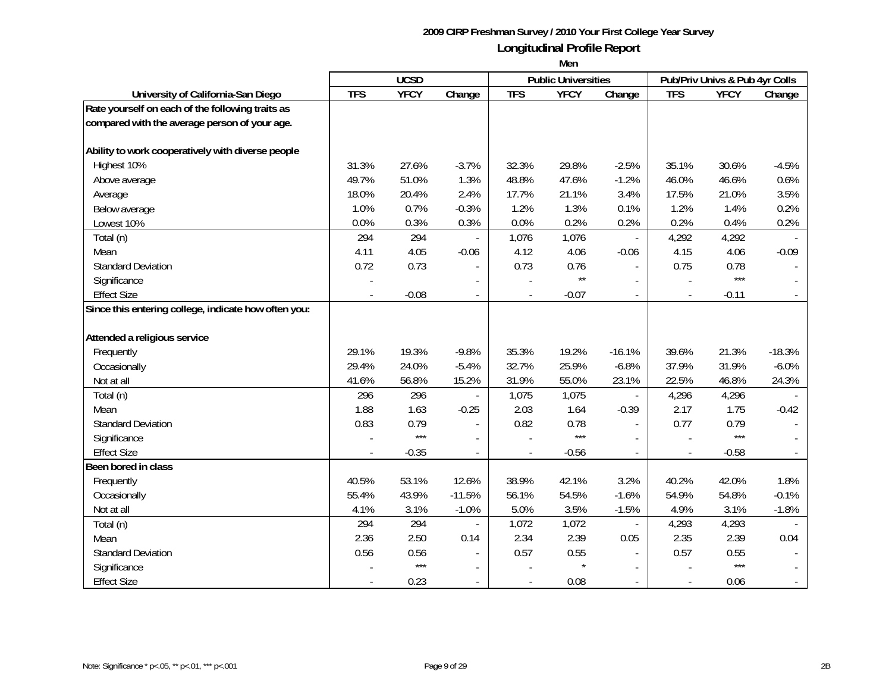|                                                      |                | <b>UCSD</b> |                          |                | <b>Public Universities</b> |                             |                | Pub/Priv Univs & Pub 4yr Colls |          |
|------------------------------------------------------|----------------|-------------|--------------------------|----------------|----------------------------|-----------------------------|----------------|--------------------------------|----------|
| University of California-San Diego                   | <b>TFS</b>     | <b>YFCY</b> | Change                   | <b>TFS</b>     | <b>YFCY</b>                | Change                      | <b>TFS</b>     | <b>YFCY</b>                    | Change   |
| Rate yourself on each of the following traits as     |                |             |                          |                |                            |                             |                |                                |          |
| compared with the average person of your age.        |                |             |                          |                |                            |                             |                |                                |          |
|                                                      |                |             |                          |                |                            |                             |                |                                |          |
| Ability to work cooperatively with diverse people    |                |             |                          |                |                            |                             |                |                                |          |
| Highest 10%                                          | 31.3%          | 27.6%       | $-3.7%$                  | 32.3%          | 29.8%                      | $-2.5%$                     | 35.1%          | 30.6%                          | $-4.5%$  |
| Above average                                        | 49.7%          | 51.0%       | 1.3%                     | 48.8%          | 47.6%                      | $-1.2%$                     | 46.0%          | 46.6%                          | 0.6%     |
| Average                                              | 18.0%          | 20.4%       | 2.4%                     | 17.7%          | 21.1%                      | 3.4%                        | 17.5%          | 21.0%                          | 3.5%     |
| Below average                                        | 1.0%           | 0.7%        | $-0.3%$                  | 1.2%           | 1.3%                       | 0.1%                        | 1.2%           | 1.4%                           | 0.2%     |
| Lowest 10%                                           | 0.0%           | 0.3%        | 0.3%                     | 0.0%           | 0.2%                       | 0.2%                        | 0.2%           | 0.4%                           | 0.2%     |
| Total (n)                                            | 294            | 294         |                          | 1,076          | 1,076                      | $\overline{\phantom{a}}$    | 4,292          | 4,292                          |          |
| Mean                                                 | 4.11           | 4.05        | $-0.06$                  | 4.12           | 4.06                       | $-0.06$                     | 4.15           | 4.06                           | $-0.09$  |
| <b>Standard Deviation</b>                            | 0.72           | 0.73        | $\frac{1}{2}$            | 0.73           | 0.76                       |                             | 0.75           | 0.78                           |          |
| Significance                                         |                |             |                          |                | $\star\star$               | $\mathbf{r}$                |                | $***$                          |          |
| <b>Effect Size</b>                                   | $\overline{a}$ | $-0.08$     | $\overline{a}$           | $\overline{a}$ | $-0.07$                    | $\mathcal{L}^{\mathcal{A}}$ | $\overline{a}$ | $-0.11$                        |          |
| Since this entering college, indicate how often you: |                |             |                          |                |                            |                             |                |                                |          |
|                                                      |                |             |                          |                |                            |                             |                |                                |          |
| Attended a religious service                         |                |             |                          |                |                            |                             |                |                                |          |
| Frequently                                           | 29.1%          | 19.3%       | $-9.8%$                  | 35.3%          | 19.2%                      | $-16.1%$                    | 39.6%          | 21.3%                          | $-18.3%$ |
| Occasionally                                         | 29.4%          | 24.0%       | $-5.4%$                  | 32.7%          | 25.9%                      | $-6.8%$                     | 37.9%          | 31.9%                          | $-6.0%$  |
| Not at all                                           | 41.6%          | 56.8%       | 15.2%                    | 31.9%          | 55.0%                      | 23.1%                       | 22.5%          | 46.8%                          | 24.3%    |
| Total (n)                                            | 296            | 296         |                          | 1,075          | 1,075                      |                             | 4,296          | 4,296                          |          |
| Mean                                                 | 1.88           | 1.63        | $-0.25$                  | 2.03           | 1.64                       | $-0.39$                     | 2.17           | 1.75                           | $-0.42$  |
| <b>Standard Deviation</b>                            | 0.83           | 0.79        |                          | 0.82           | 0.78                       |                             | 0.77           | 0.79                           |          |
| Significance                                         |                | $***$       | $\sim$                   |                | $***$                      | $\blacksquare$              |                | $***$                          |          |
| <b>Effect Size</b>                                   |                | $-0.35$     | $\overline{\phantom{a}}$ |                | $-0.56$                    | $\overline{\phantom{a}}$    |                | $-0.58$                        |          |
| Been bored in class                                  |                |             |                          |                |                            |                             |                |                                |          |
| Frequently                                           | 40.5%          | 53.1%       | 12.6%                    | 38.9%          | 42.1%                      | 3.2%                        | 40.2%          | 42.0%                          | 1.8%     |
| Occasionally                                         | 55.4%          | 43.9%       | $-11.5%$                 | 56.1%          | 54.5%                      | $-1.6%$                     | 54.9%          | 54.8%                          | $-0.1%$  |
| Not at all                                           | 4.1%           | 3.1%        | $-1.0%$                  | 5.0%           | 3.5%                       | $-1.5%$                     | 4.9%           | 3.1%                           | $-1.8%$  |
| Total (n)                                            | 294            | 294         |                          | 1,072          | 1,072                      | $\overline{\phantom{a}}$    | 4,293          | 4,293                          |          |
| Mean                                                 | 2.36           | 2.50        | 0.14                     | 2.34           | 2.39                       | 0.05                        | 2.35           | 2.39                           | 0.04     |
| <b>Standard Deviation</b>                            | 0.56           | 0.56        | $\overline{\phantom{a}}$ | 0.57           | 0.55                       |                             | 0.57           | 0.55                           |          |
| Significance                                         |                | $***$       |                          |                |                            |                             |                | $***$                          |          |
| <b>Effect Size</b>                                   |                | 0.23        | $\sim$                   |                | 0.08                       | $\sim$                      |                | 0.06                           |          |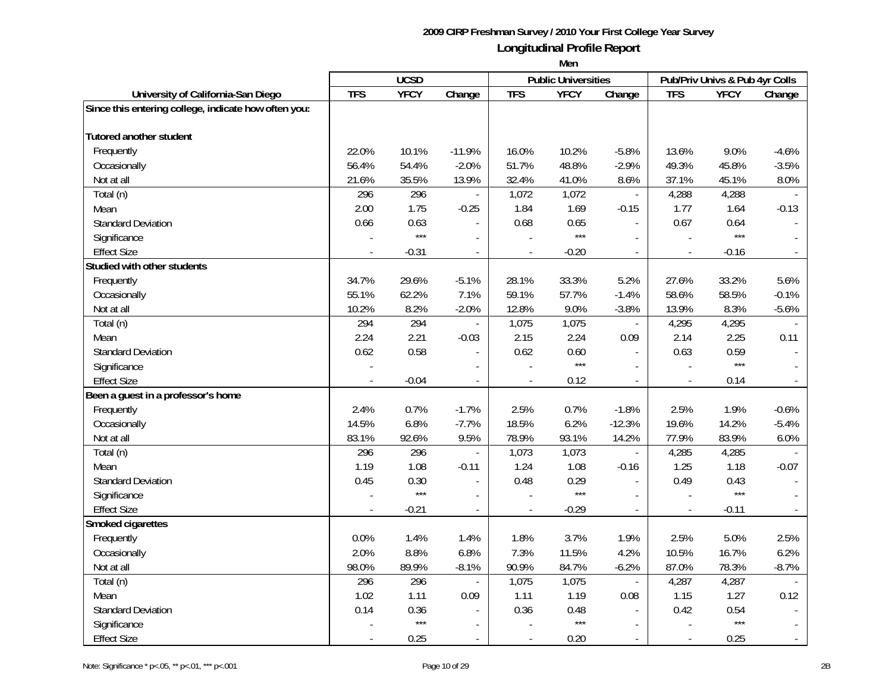|                                                      |            | <b>UCSD</b> |                          |                          | <b>Public Universities</b> |                          |                          | Pub/Priv Univs & Pub 4yr Colls |         |
|------------------------------------------------------|------------|-------------|--------------------------|--------------------------|----------------------------|--------------------------|--------------------------|--------------------------------|---------|
| University of California-San Diego                   | <b>TFS</b> | <b>YFCY</b> | Change                   | <b>TFS</b>               | <b>YFCY</b>                | Change                   | <b>TFS</b>               | <b>YFCY</b>                    | Change  |
| Since this entering college, indicate how often you: |            |             |                          |                          |                            |                          |                          |                                |         |
|                                                      |            |             |                          |                          |                            |                          |                          |                                |         |
| Tutored another student                              |            |             |                          |                          |                            |                          |                          |                                |         |
| Frequently                                           | 22.0%      | 10.1%       | $-11.9%$                 | 16.0%                    | 10.2%                      | $-5.8%$                  | 13.6%                    | 9.0%                           | $-4.6%$ |
| Occasionally                                         | 56.4%      | 54.4%       | $-2.0%$                  | 51.7%                    | 48.8%                      | $-2.9%$                  | 49.3%                    | 45.8%                          | $-3.5%$ |
| Not at all                                           | 21.6%      | 35.5%       | 13.9%                    | 32.4%                    | 41.0%                      | 8.6%                     | 37.1%                    | 45.1%                          | 8.0%    |
| Total (n)                                            | 296        | 296         |                          | 1,072                    | 1,072                      | $\overline{\phantom{a}}$ | 4,288                    | 4,288                          |         |
| Mean                                                 | 2.00       | 1.75        | $-0.25$                  | 1.84                     | 1.69                       | $-0.15$                  | 1.77                     | 1.64                           | $-0.13$ |
| <b>Standard Deviation</b>                            | 0.66       | 0.63        |                          | 0.68                     | 0.65                       |                          | 0.67                     | 0.64                           |         |
| Significance                                         |            | $***$       |                          |                          | $***$                      |                          |                          | $***$                          |         |
| <b>Effect Size</b>                                   |            | $-0.31$     | $\blacksquare$           |                          | $-0.20$                    |                          | $\frac{1}{2}$            | $-0.16$                        |         |
| Studied with other students                          |            |             |                          |                          |                            |                          |                          |                                |         |
| Frequently                                           | 34.7%      | 29.6%       | $-5.1%$                  | 28.1%                    | 33.3%                      | 5.2%                     | 27.6%                    | 33.2%                          | 5.6%    |
| Occasionally                                         | 55.1%      | 62.2%       | 7.1%                     | 59.1%                    | 57.7%                      | $-1.4%$                  | 58.6%                    | 58.5%                          | $-0.1%$ |
| Not at all                                           | 10.2%      | 8.2%        | $-2.0%$                  | 12.8%                    | 9.0%                       | $-3.8%$                  | 13.9%                    | 8.3%                           | $-5.6%$ |
| Total (n)                                            | 294        | 294         |                          | 1,075                    | 1,075                      | $\overline{\phantom{a}}$ | 4,295                    | 4,295                          |         |
| Mean                                                 | 2.24       | 2.21        | $-0.03$                  | 2.15                     | 2.24                       | 0.09                     | 2.14                     | 2.25                           | 0.11    |
| <b>Standard Deviation</b>                            | 0.62       | 0.58        |                          | 0.62                     | 0.60                       |                          | 0.63                     | 0.59                           |         |
| Significance                                         |            |             |                          |                          | $***$                      |                          |                          | $***$                          |         |
| <b>Effect Size</b>                                   |            | $-0.04$     | $\overline{a}$           |                          | 0.12                       | $\mathcal{L}$            | $\overline{\phantom{a}}$ | 0.14                           |         |
| Been a guest in a professor's home                   |            |             |                          |                          |                            |                          |                          |                                |         |
| Frequently                                           | 2.4%       | 0.7%        | $-1.7%$                  | 2.5%                     | 0.7%                       | $-1.8%$                  | 2.5%                     | 1.9%                           | $-0.6%$ |
| Occasionally                                         | 14.5%      | 6.8%        | $-7.7%$                  | 18.5%                    | 6.2%                       | $-12.3%$                 | 19.6%                    | 14.2%                          | $-5.4%$ |
| Not at all                                           | 83.1%      | 92.6%       | 9.5%                     | 78.9%                    | 93.1%                      | 14.2%                    | 77.9%                    | 83.9%                          | 6.0%    |
| Total (n)                                            | 296        | 296         |                          | 1,073                    | 1,073                      |                          | 4,285                    | 4,285                          |         |
| Mean                                                 | 1.19       | 1.08        | $-0.11$                  | 1.24                     | 1.08                       | $-0.16$                  | 1.25                     | 1.18                           | $-0.07$ |
| <b>Standard Deviation</b>                            | 0.45       | 0.30        |                          | 0.48                     | 0.29                       |                          | 0.49                     | 0.43                           |         |
| Significance                                         |            | $***$       | $\overline{\phantom{a}}$ |                          | $***$                      |                          |                          | $***$                          |         |
| <b>Effect Size</b>                                   |            | $-0.21$     | $\overline{\phantom{a}}$ | $\overline{\phantom{a}}$ | $-0.29$                    | $\overline{\phantom{a}}$ | $\overline{\phantom{a}}$ | $-0.11$                        |         |
| Smoked cigarettes                                    |            |             |                          |                          |                            |                          |                          |                                |         |
| Frequently                                           | 0.0%       | 1.4%        | 1.4%                     | 1.8%                     | 3.7%                       | 1.9%                     | 2.5%                     | 5.0%                           | 2.5%    |
| Occasionally                                         | 2.0%       | 8.8%        | 6.8%                     | 7.3%                     | 11.5%                      | 4.2%                     | 10.5%                    | 16.7%                          | 6.2%    |
| Not at all                                           | 98.0%      | 89.9%       | $-8.1%$                  | 90.9%                    | 84.7%                      | $-6.2%$                  | 87.0%                    | 78.3%                          | $-8.7%$ |
| Total (n)                                            | 296        | 296         |                          | 1,075                    | 1,075                      | $\overline{\phantom{a}}$ | 4,287                    | 4,287                          |         |
| Mean                                                 | 1.02       | 1.11        | 0.09                     | 1.11                     | 1.19                       | 0.08                     | 1.15                     | 1.27                           | 0.12    |
| <b>Standard Deviation</b>                            | 0.14       | 0.36        | $\blacksquare$           | 0.36                     | 0.48                       | $\blacksquare$           | 0.42                     | 0.54                           |         |
| Significance                                         |            | $***$       |                          |                          | $***$                      |                          |                          | $***$                          |         |
| <b>Effect Size</b>                                   |            | 0.25        |                          |                          | 0.20                       |                          |                          | 0.25                           |         |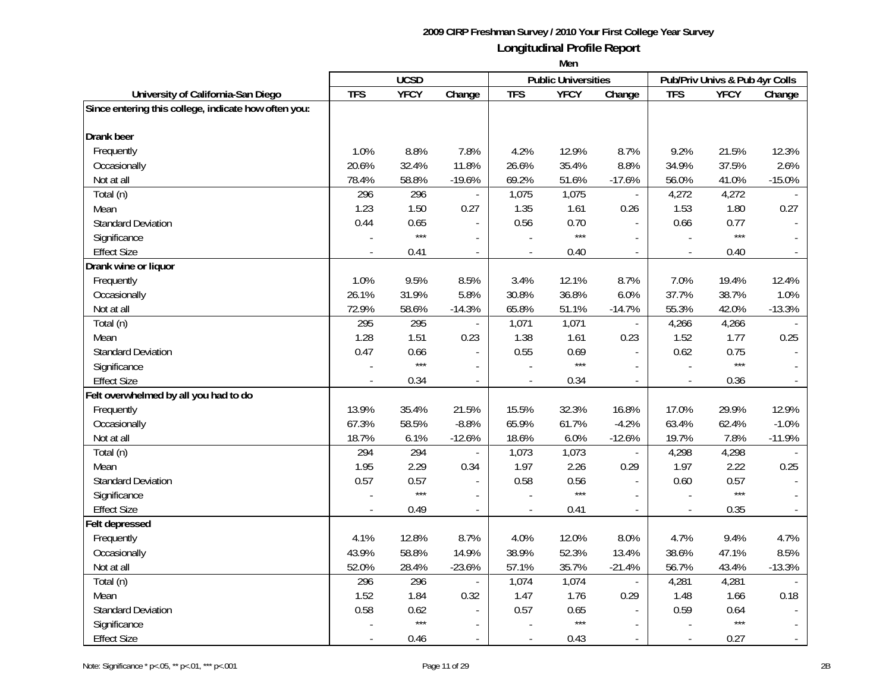|                                                      |            | <b>UCSD</b> |                |                          | <b>Public Universities</b> |                          |                          | Pub/Priv Univs & Pub 4yr Colls |                |
|------------------------------------------------------|------------|-------------|----------------|--------------------------|----------------------------|--------------------------|--------------------------|--------------------------------|----------------|
| University of California-San Diego                   | <b>TFS</b> | <b>YFCY</b> | Change         | <b>TFS</b>               | <b>YFCY</b>                | Change                   | <b>TFS</b>               | <b>YFCY</b>                    | Change         |
| Since entering this college, indicate how often you: |            |             |                |                          |                            |                          |                          |                                |                |
| <b>Drank</b> beer                                    |            |             |                |                          |                            |                          |                          |                                |                |
| Frequently                                           | 1.0%       | 8.8%        | 7.8%           | 4.2%                     | 12.9%                      | 8.7%                     | 9.2%                     | 21.5%                          | 12.3%          |
| Occasionally                                         | 20.6%      | 32.4%       | 11.8%          | 26.6%                    | 35.4%                      | 8.8%                     | 34.9%                    | 37.5%                          | 2.6%           |
| Not at all                                           | 78.4%      | 58.8%       | $-19.6%$       | 69.2%                    | 51.6%                      | $-17.6%$                 | 56.0%                    | 41.0%                          | $-15.0%$       |
| Total (n)                                            | 296        | 296         | $\blacksquare$ | 1,075                    | 1,075                      | $\blacksquare$           | 4,272                    | 4,272                          |                |
| Mean                                                 | 1.23       | 1.50        | 0.27           | 1.35                     | 1.61                       | 0.26                     | 1.53                     | 1.80                           | 0.27           |
| <b>Standard Deviation</b>                            | 0.44       | 0.65        |                | 0.56                     | 0.70                       |                          | 0.66                     | 0.77                           |                |
| Significance                                         |            | $***$       |                |                          | $***$                      |                          |                          | $***$                          |                |
| <b>Effect Size</b>                                   |            | 0.41        | $\sim$         |                          | 0.40                       | $\sim$                   | $\blacksquare$           | 0.40                           |                |
| Drank wine or liquor                                 |            |             |                |                          |                            |                          |                          |                                |                |
| Frequently                                           | 1.0%       | 9.5%        | 8.5%           | 3.4%                     | 12.1%                      | 8.7%                     | 7.0%                     | 19.4%                          | 12.4%          |
| Occasionally                                         | 26.1%      | 31.9%       | 5.8%           | 30.8%                    | 36.8%                      | 6.0%                     | 37.7%                    | 38.7%                          | 1.0%           |
| Not at all                                           | 72.9%      | 58.6%       | $-14.3%$       | 65.8%                    | 51.1%                      | $-14.7%$                 | 55.3%                    | 42.0%                          | $-13.3%$       |
| Total (n)                                            | 295        | 295         |                | 1,071                    | 1,071                      | $\overline{\phantom{a}}$ | 4,266                    | 4,266                          |                |
| Mean                                                 | 1.28       | 1.51        | 0.23           | 1.38                     | 1.61                       | 0.23                     | 1.52                     | 1.77                           | 0.25           |
| <b>Standard Deviation</b>                            | 0.47       | 0.66        | $\blacksquare$ | 0.55                     | 0.69                       | $\overline{\phantom{a}}$ | 0.62                     | 0.75                           |                |
| Significance                                         |            | $***$       |                |                          | $***$                      |                          |                          | $***$                          |                |
| <b>Effect Size</b>                                   |            | 0.34        | $\overline{a}$ |                          | 0.34                       | $\mathcal{L}$            |                          | 0.36                           |                |
| Felt overwhelmed by all you had to do                |            |             |                |                          |                            |                          |                          |                                |                |
| Frequently                                           | 13.9%      | 35.4%       | 21.5%          | 15.5%                    | 32.3%                      | 16.8%                    | 17.0%                    | 29.9%                          | 12.9%          |
| Occasionally                                         | 67.3%      | 58.5%       | $-8.8%$        | 65.9%                    | 61.7%                      | $-4.2%$                  | 63.4%                    | 62.4%                          | $-1.0%$        |
| Not at all                                           | 18.7%      | 6.1%        | $-12.6%$       | 18.6%                    | 6.0%                       | $-12.6%$                 | 19.7%                    | 7.8%                           | $-11.9%$       |
| Total (n)                                            | 294        | 294         |                | 1,073                    | 1,073                      | $\overline{a}$           | 4,298                    | 4,298                          |                |
| Mean                                                 | 1.95       | 2.29        | 0.34           | 1.97                     | 2.26                       | 0.29                     | 1.97                     | 2.22                           | 0.25           |
| <b>Standard Deviation</b>                            | 0.57       | 0.57        | $\blacksquare$ | 0.58                     | 0.56                       | $\overline{\phantom{a}}$ | 0.60                     | 0.57                           |                |
| Significance                                         |            | $***$       | $\overline{a}$ |                          | $***$                      |                          |                          | $***$                          |                |
| <b>Effect Size</b>                                   |            | 0.49        | $\sim$         | $\overline{\phantom{a}}$ | 0.41                       | $\overline{a}$           | $\overline{\phantom{a}}$ | 0.35                           |                |
| Felt depressed                                       |            |             |                |                          |                            |                          |                          |                                |                |
| Frequently                                           | 4.1%       | 12.8%       | 8.7%           | 4.0%                     | 12.0%                      | 8.0%                     | 4.7%                     | 9.4%                           | 4.7%           |
| Occasionally                                         | 43.9%      | 58.8%       | 14.9%          | 38.9%                    | 52.3%                      | 13.4%                    | 38.6%                    | 47.1%                          | 8.5%           |
| Not at all                                           | 52.0%      | 28.4%       | $-23.6%$       | 57.1%                    | 35.7%                      | $-21.4%$                 | 56.7%                    | 43.4%                          | $-13.3%$       |
| Total (n)                                            | 296        | 296         |                | 1,074                    | 1,074                      | $\overline{\phantom{a}}$ | 4,281                    | 4,281                          |                |
| Mean                                                 | 1.52       | 1.84        | 0.32           | 1.47                     | 1.76                       | 0.29                     | 1.48                     | 1.66                           | 0.18           |
| <b>Standard Deviation</b>                            | 0.58       | 0.62        | $\blacksquare$ | 0.57                     | 0.65                       | $\blacksquare$           | 0.59                     | 0.64                           |                |
| Significance                                         |            | $***$       |                |                          | $***$                      |                          |                          | $***$                          |                |
| <b>Effect Size</b>                                   |            | 0.46        | $\sim$         | $\overline{\phantom{a}}$ | 0.43                       | $\sim$                   | $\blacksquare$           | 0.27                           | $\mathbb{L}^2$ |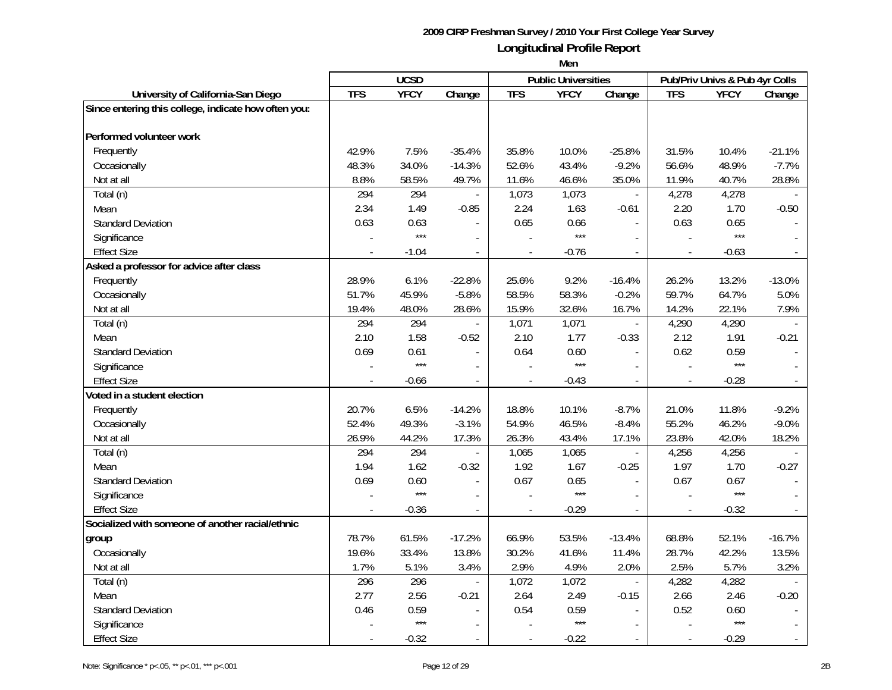|                                                      |            | <b>UCSD</b> |                |                          | <b>Public Universities</b> |                          |                          | Pub/Priv Univs & Pub 4yr Colls |          |
|------------------------------------------------------|------------|-------------|----------------|--------------------------|----------------------------|--------------------------|--------------------------|--------------------------------|----------|
| University of California-San Diego                   | <b>TFS</b> | <b>YFCY</b> | Change         | <b>TFS</b>               | <b>YFCY</b>                | Change                   | <b>TFS</b>               | <b>YFCY</b>                    | Change   |
| Since entering this college, indicate how often you: |            |             |                |                          |                            |                          |                          |                                |          |
|                                                      |            |             |                |                          |                            |                          |                          |                                |          |
| Performed volunteer work                             |            |             |                |                          |                            |                          |                          |                                |          |
| Frequently                                           | 42.9%      | 7.5%        | $-35.4%$       | 35.8%                    | 10.0%                      | $-25.8%$                 | 31.5%                    | 10.4%                          | $-21.1%$ |
| Occasionally                                         | 48.3%      | 34.0%       | $-14.3%$       | 52.6%                    | 43.4%                      | $-9.2%$                  | 56.6%                    | 48.9%                          | $-7.7%$  |
| Not at all                                           | 8.8%       | 58.5%       | 49.7%          | 11.6%                    | 46.6%                      | 35.0%                    | 11.9%                    | 40.7%                          | 28.8%    |
| Total (n)                                            | 294        | 294         |                | 1,073                    | 1,073                      | $\overline{\phantom{a}}$ | 4,278                    | 4,278                          |          |
| Mean                                                 | 2.34       | 1.49        | $-0.85$        | 2.24                     | 1.63                       | $-0.61$                  | 2.20                     | 1.70                           | $-0.50$  |
| <b>Standard Deviation</b>                            | 0.63       | 0.63        |                | 0.65                     | 0.66                       |                          | 0.63                     | 0.65                           |          |
| Significance                                         |            | $***$       |                |                          | $***$                      |                          |                          | $***$                          |          |
| <b>Effect Size</b>                                   |            | $-1.04$     | $\blacksquare$ |                          | $-0.76$                    |                          |                          | $-0.63$                        |          |
| Asked a professor for advice after class             |            |             |                |                          |                            |                          |                          |                                |          |
| Frequently                                           | 28.9%      | 6.1%        | $-22.8%$       | 25.6%                    | 9.2%                       | $-16.4%$                 | 26.2%                    | 13.2%                          | $-13.0%$ |
| Occasionally                                         | 51.7%      | 45.9%       | $-5.8%$        | 58.5%                    | 58.3%                      | $-0.2%$                  | 59.7%                    | 64.7%                          | 5.0%     |
| Not at all                                           | 19.4%      | 48.0%       | 28.6%          | 15.9%                    | 32.6%                      | 16.7%                    | 14.2%                    | 22.1%                          | 7.9%     |
| Total (n)                                            | 294        | 294         |                | 1,071                    | 1,071                      | $\overline{\phantom{a}}$ | 4,290                    | 4,290                          |          |
| Mean                                                 | 2.10       | 1.58        | $-0.52$        | 2.10                     | 1.77                       | $-0.33$                  | 2.12                     | 1.91                           | $-0.21$  |
| <b>Standard Deviation</b>                            | 0.69       | 0.61        | $\overline{a}$ | 0.64                     | 0.60                       | $\blacksquare$           | 0.62                     | 0.59                           |          |
| Significance                                         |            | $***$       |                |                          | $***$                      | $\sim$                   |                          | $***$                          |          |
| <b>Effect Size</b>                                   |            | $-0.66$     | $\blacksquare$ | $\overline{a}$           | $-0.43$                    | $\mathcal{L}$            | $\frac{1}{2}$            | $-0.28$                        |          |
| Voted in a student election                          |            |             |                |                          |                            |                          |                          |                                |          |
| Frequently                                           | 20.7%      | 6.5%        | $-14.2%$       | 18.8%                    | 10.1%                      | $-8.7%$                  | 21.0%                    | 11.8%                          | $-9.2%$  |
| Occasionally                                         | 52.4%      | 49.3%       | $-3.1%$        | 54.9%                    | 46.5%                      | $-8.4%$                  | 55.2%                    | 46.2%                          | $-9.0%$  |
| Not at all                                           | 26.9%      | 44.2%       | 17.3%          | 26.3%                    | 43.4%                      | 17.1%                    | 23.8%                    | 42.0%                          | 18.2%    |
| Total (n)                                            | 294        | 294         |                | 1,065                    | 1,065                      |                          | 4,256                    | 4,256                          |          |
| Mean                                                 | 1.94       | 1.62        | $-0.32$        | 1.92                     | 1.67                       | $-0.25$                  | 1.97                     | 1.70                           | $-0.27$  |
| <b>Standard Deviation</b>                            | 0.69       | 0.60        |                | 0.67                     | 0.65                       |                          | 0.67                     | 0.67                           |          |
| Significance                                         |            | $***$       | $\overline{a}$ |                          | $***$                      |                          |                          | $***$                          |          |
| <b>Effect Size</b>                                   |            | $-0.36$     | $\blacksquare$ | $\overline{a}$           | $-0.29$                    | $\blacksquare$           | $\overline{\phantom{a}}$ | $-0.32$                        |          |
| Socialized with someone of another racial/ethnic     |            |             |                |                          |                            |                          |                          |                                |          |
| group                                                | 78.7%      | 61.5%       | $-17.2%$       | 66.9%                    | 53.5%                      | $-13.4%$                 | 68.8%                    | 52.1%                          | $-16.7%$ |
| Occasionally                                         | 19.6%      | 33.4%       | 13.8%          | 30.2%                    | 41.6%                      | 11.4%                    | 28.7%                    | 42.2%                          | 13.5%    |
| Not at all                                           | 1.7%       | 5.1%        | 3.4%           | 2.9%                     | 4.9%                       | 2.0%                     | 2.5%                     | 5.7%                           | 3.2%     |
| Total (n)                                            | 296        | 296         |                | 1,072                    | 1,072                      | $\blacksquare$           | 4,282                    | 4,282                          |          |
| Mean                                                 | 2.77       | 2.56        | $-0.21$        | 2.64                     | 2.49                       | $-0.15$                  | 2.66                     | 2.46                           | $-0.20$  |
| <b>Standard Deviation</b>                            | 0.46       | 0.59        | $\blacksquare$ | 0.54                     | 0.59                       | $\blacksquare$           | 0.52                     | 0.60                           |          |
| Significance                                         |            | $***$       |                |                          | $***$                      |                          |                          | ***                            |          |
| <b>Effect Size</b>                                   |            | $-0.32$     | $\sim$         | $\overline{\phantom{a}}$ | $-0.22$                    | $\sim$                   | $\overline{a}$           | $-0.29$                        | $\sim$   |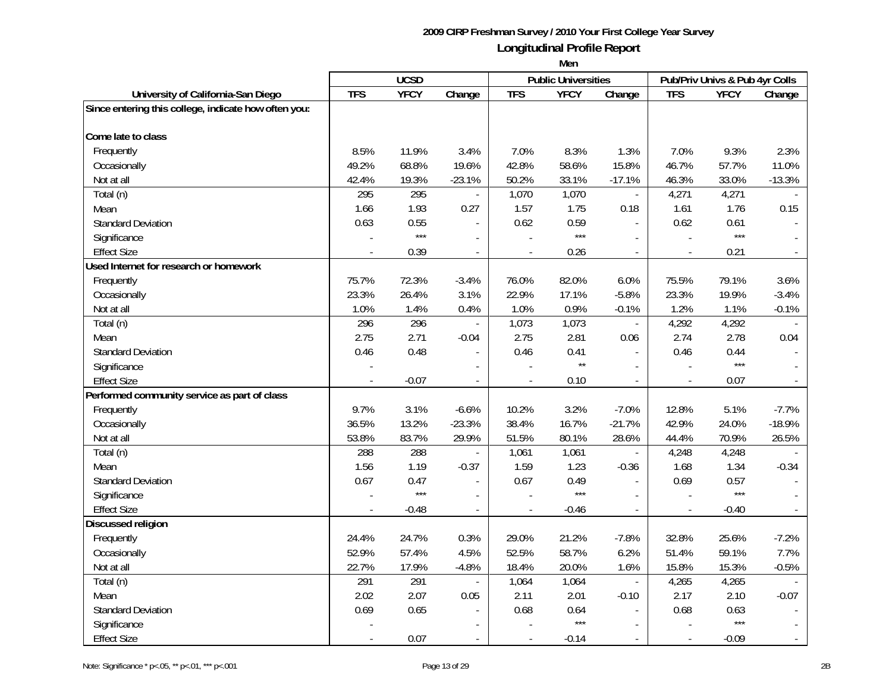|                                                      |            | <b>UCSD</b> |                          |                | <b>Public Universities</b> |                          |                | Pub/Priv Univs & Pub 4yr Colls |              |
|------------------------------------------------------|------------|-------------|--------------------------|----------------|----------------------------|--------------------------|----------------|--------------------------------|--------------|
| University of California-San Diego                   | <b>TFS</b> | <b>YFCY</b> | Change                   | <b>TFS</b>     | <b>YFCY</b>                | Change                   | <b>TFS</b>     | <b>YFCY</b>                    | Change       |
| Since entering this college, indicate how often you: |            |             |                          |                |                            |                          |                |                                |              |
| Come late to class                                   |            |             |                          |                |                            |                          |                |                                |              |
| Frequently                                           | 8.5%       | 11.9%       | 3.4%                     | 7.0%           | 8.3%                       | 1.3%                     | 7.0%           | 9.3%                           | 2.3%         |
| Occasionally                                         | 49.2%      | 68.8%       | 19.6%                    | 42.8%          | 58.6%                      | 15.8%                    | 46.7%          | 57.7%                          | 11.0%        |
| Not at all                                           | 42.4%      | 19.3%       | $-23.1%$                 | 50.2%          | 33.1%                      | $-17.1%$                 | 46.3%          | 33.0%                          | $-13.3%$     |
| Total (n)                                            | 295        | 295         | $\overline{a}$           | 1,070          | 1,070                      | $\blacksquare$           | 4,271          | 4,271                          |              |
| Mean                                                 | 1.66       | 1.93        | 0.27                     | 1.57           | 1.75                       | 0.18                     | 1.61           | 1.76                           | 0.15         |
| <b>Standard Deviation</b>                            | 0.63       | 0.55        |                          | 0.62           | 0.59                       |                          | 0.62           | 0.61                           |              |
| Significance                                         |            | $***$       |                          |                | $***$                      |                          |                | $***$                          |              |
| <b>Effect Size</b>                                   |            | 0.39        | $\overline{\phantom{a}}$ |                | 0.26                       | $\overline{\phantom{a}}$ | $\blacksquare$ | 0.21                           |              |
| Used Internet for research or homework               |            |             |                          |                |                            |                          |                |                                |              |
| Frequently                                           | 75.7%      | 72.3%       | $-3.4%$                  | 76.0%          | 82.0%                      | 6.0%                     | 75.5%          | 79.1%                          | 3.6%         |
| Occasionally                                         | 23.3%      | 26.4%       | 3.1%                     | 22.9%          | 17.1%                      | $-5.8%$                  | 23.3%          | 19.9%                          | $-3.4%$      |
| Not at all                                           | 1.0%       | 1.4%        | 0.4%                     | 1.0%           | 0.9%                       | $-0.1%$                  | 1.2%           | 1.1%                           | $-0.1%$      |
| Total (n)                                            | 296        | 296         |                          | 1,073          | 1,073                      | $\overline{\phantom{a}}$ | 4,292          | 4,292                          |              |
| Mean                                                 | 2.75       | 2.71        | $-0.04$                  | 2.75           | 2.81                       | 0.06                     | 2.74           | 2.78                           | 0.04         |
| <b>Standard Deviation</b>                            | 0.46       | 0.48        | $\blacksquare$           | 0.46           | 0.41                       | $\overline{\phantom{a}}$ | 0.46           | 0.44                           |              |
| Significance                                         |            |             |                          |                | $\star\star$               |                          |                | $***$                          |              |
| <b>Effect Size</b>                                   |            | $-0.07$     | $\overline{a}$           | ÷,             | 0.10                       | $\sim$                   |                | 0.07                           |              |
| Performed community service as part of class         |            |             |                          |                |                            |                          |                |                                |              |
| Frequently                                           | 9.7%       | 3.1%        | $-6.6%$                  | 10.2%          | 3.2%                       | $-7.0%$                  | 12.8%          | 5.1%                           | $-7.7%$      |
| Occasionally                                         | 36.5%      | 13.2%       | $-23.3%$                 | 38.4%          | 16.7%                      | $-21.7%$                 | 42.9%          | 24.0%                          | $-18.9%$     |
| Not at all                                           | 53.8%      | 83.7%       | 29.9%                    | 51.5%          | 80.1%                      | 28.6%                    | 44.4%          | 70.9%                          | 26.5%        |
| Total (n)                                            | 288        | 288         |                          | 1,061          | 1,061                      | $\overline{\phantom{a}}$ | 4,248          | 4,248                          |              |
| Mean                                                 | 1.56       | 1.19        | $-0.37$                  | 1.59           | 1.23                       | $-0.36$                  | 1.68           | 1.34                           | $-0.34$      |
| <b>Standard Deviation</b>                            | 0.67       | 0.47        | $\bar{a}$                | 0.67           | 0.49                       | $\overline{a}$           | 0.69           | 0.57                           |              |
| Significance                                         |            | $***$       | $\overline{a}$           |                | $***$                      |                          |                | $***$                          |              |
| <b>Effect Size</b>                                   |            | $-0.48$     | $\overline{a}$           | $\overline{a}$ | $-0.46$                    | $\overline{a}$           | $\blacksquare$ | $-0.40$                        |              |
| Discussed religion                                   |            |             |                          |                |                            |                          |                |                                |              |
| Frequently                                           | 24.4%      | 24.7%       | 0.3%                     | 29.0%          | 21.2%                      | $-7.8%$                  | 32.8%          | 25.6%                          | $-7.2%$      |
| Occasionally                                         | 52.9%      | 57.4%       | 4.5%                     | 52.5%          | 58.7%                      | 6.2%                     | 51.4%          | 59.1%                          | 7.7%         |
| Not at all                                           | 22.7%      | 17.9%       | $-4.8%$                  | 18.4%          | 20.0%                      | 1.6%                     | 15.8%          | 15.3%                          | $-0.5%$      |
| Total (n)                                            | 291        | 291         | $\overline{\phantom{a}}$ | 1,064          | 1,064                      | $\bar{\phantom{a}}$      | 4,265          | 4,265                          |              |
| Mean                                                 | 2.02       | 2.07        | 0.05                     | 2.11           | 2.01                       | $-0.10$                  | 2.17           | 2.10                           | $-0.07$      |
| <b>Standard Deviation</b>                            | 0.69       | 0.65        | $\overline{\phantom{a}}$ | 0.68           | 0.64                       | $\blacksquare$           | 0.68           | 0.63                           | $\sim$       |
| Significance                                         |            |             |                          |                | $***$                      |                          |                | $***$                          |              |
| <b>Effect Size</b>                                   |            | 0.07        | $\overline{a}$           | $\sim$         | $-0.14$                    | $\sim$                   | $\blacksquare$ | $-0.09$                        | $\mathbb{L}$ |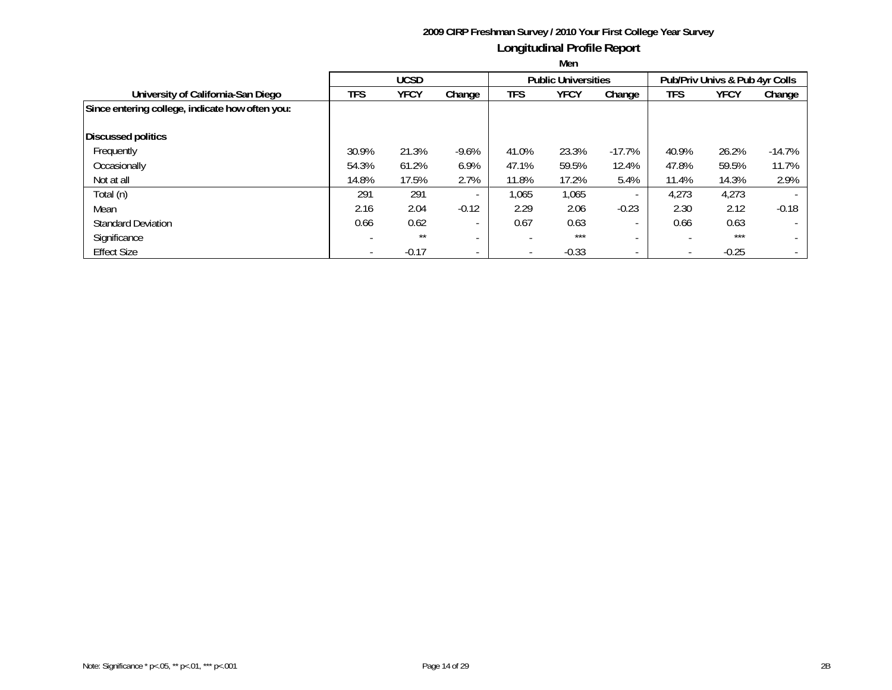|                                                 |            | <b>UCSD</b> |                          |                          | <b>Public Universities</b> |                          | Pub/Priv Univs & Pub 4yr Colls |             |          |  |
|-------------------------------------------------|------------|-------------|--------------------------|--------------------------|----------------------------|--------------------------|--------------------------------|-------------|----------|--|
| University of California-San Diego              | <b>TFS</b> | <b>YFCY</b> | Change                   | TFS                      | <b>YFCY</b>                | Change                   | <b>TFS</b>                     | <b>YFCY</b> | Change   |  |
| Since entering college, indicate how often you: |            |             |                          |                          |                            |                          |                                |             |          |  |
| <b>Discussed politics</b>                       |            |             |                          |                          |                            |                          |                                |             |          |  |
| Frequently                                      | 30.9%      | 21.3%       | $-9.6%$                  | 41.0%                    | 23.3%                      | $-17.7%$                 | 40.9%                          | 26.2%       | $-14.7%$ |  |
| Occasionally                                    | 54.3%      | 61.2%       | 6.9%                     | 47.1%                    | 59.5%                      | 12.4%                    | 47.8%                          | 59.5%       | 11.7%    |  |
| Not at all                                      | 14.8%      | 17.5%       | 2.7%                     | 11.8%                    | 17.2%                      | 5.4%                     | 11.4%                          | 14.3%       | 2.9%     |  |
| Total (n)                                       | 291        | 291         | $\overline{\phantom{a}}$ | 1,065                    | 1,065                      |                          | 4,273                          | 4,273       |          |  |
| Mean                                            | 2.16       | 2.04        | $-0.12$                  | 2.29                     | 2.06                       | $-0.23$                  | 2.30                           | 2.12        | $-0.18$  |  |
| <b>Standard Deviation</b>                       | 0.66       | 0.62        | $\overline{\phantom{a}}$ | 0.67                     | 0.63                       |                          | 0.66                           | 0.63        |          |  |
| Significance                                    |            | $***$       | $\overline{\phantom{a}}$ | $\overline{\phantom{a}}$ | $***$                      | $\overline{\phantom{a}}$ | $\overline{\phantom{a}}$       | $***$       |          |  |
| <b>Effect Size</b>                              |            | $-0.17$     | $\overline{\phantom{a}}$ | $\overline{\phantom{a}}$ | $-0.33$                    |                          | $\overline{\phantom{a}}$       | $-0.25$     |          |  |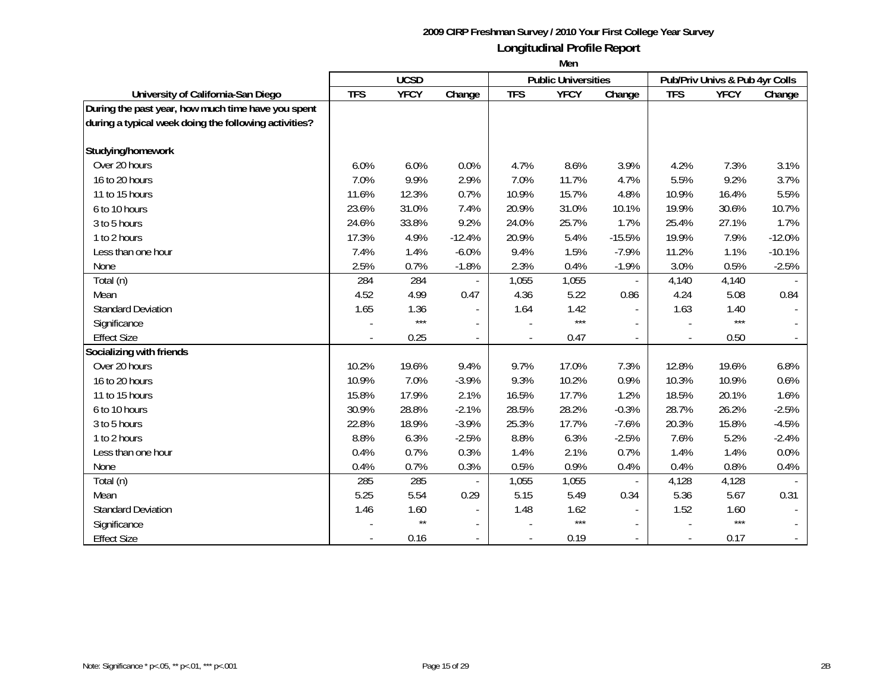|                                                       | <b>UCSD</b> |              |                          |                          | <b>Public Universities</b> |          | Pub/Priv Univs & Pub 4yr Colls |             |          |
|-------------------------------------------------------|-------------|--------------|--------------------------|--------------------------|----------------------------|----------|--------------------------------|-------------|----------|
| University of California-San Diego                    | <b>TFS</b>  | <b>YFCY</b>  | Change                   | <b>TFS</b>               | <b>YFCY</b>                | Change   | <b>TFS</b>                     | <b>YFCY</b> | Change   |
| During the past year, how much time have you spent    |             |              |                          |                          |                            |          |                                |             |          |
| during a typical week doing the following activities? |             |              |                          |                          |                            |          |                                |             |          |
|                                                       |             |              |                          |                          |                            |          |                                |             |          |
| Studying/homework                                     |             |              |                          |                          |                            |          |                                |             |          |
| Over 20 hours                                         | 6.0%        | 6.0%         | 0.0%                     | 4.7%                     | 8.6%                       | 3.9%     | 4.2%                           | 7.3%        | 3.1%     |
| 16 to 20 hours                                        | 7.0%        | 9.9%         | 2.9%                     | 7.0%                     | 11.7%                      | 4.7%     | 5.5%                           | 9.2%        | 3.7%     |
| 11 to 15 hours                                        | 11.6%       | 12.3%        | 0.7%                     | 10.9%                    | 15.7%                      | 4.8%     | 10.9%                          | 16.4%       | 5.5%     |
| 6 to 10 hours                                         | 23.6%       | 31.0%        | 7.4%                     | 20.9%                    | 31.0%                      | 10.1%    | 19.9%                          | 30.6%       | 10.7%    |
| 3 to 5 hours                                          | 24.6%       | 33.8%        | 9.2%                     | 24.0%                    | 25.7%                      | 1.7%     | 25.4%                          | 27.1%       | 1.7%     |
| 1 to 2 hours                                          | 17.3%       | 4.9%         | $-12.4%$                 | 20.9%                    | 5.4%                       | $-15.5%$ | 19.9%                          | 7.9%        | $-12.0%$ |
| Less than one hour                                    | 7.4%        | 1.4%         | $-6.0%$                  | 9.4%                     | 1.5%                       | $-7.9%$  | 11.2%                          | 1.1%        | $-10.1%$ |
| None                                                  | 2.5%        | 0.7%         | $-1.8%$                  | 2.3%                     | 0.4%                       | $-1.9%$  | 3.0%                           | 0.5%        | $-2.5%$  |
| Total (n)                                             | 284         | 284          |                          | 1,055                    | 1,055                      |          | 4,140                          | 4,140       |          |
| Mean                                                  | 4.52        | 4.99         | 0.47                     | 4.36                     | 5.22                       | 0.86     | 4.24                           | 5.08        | 0.84     |
| <b>Standard Deviation</b>                             | 1.65        | 1.36         |                          | 1.64                     | 1.42                       |          | 1.63                           | 1.40        |          |
| Significance                                          |             | $***$        |                          |                          | $***$                      |          |                                | ***         |          |
| <b>Effect Size</b>                                    |             | 0.25         | $\blacksquare$           | $\overline{\phantom{a}}$ | 0.47                       |          | $\blacksquare$                 | 0.50        |          |
| Socializing with friends                              |             |              |                          |                          |                            |          |                                |             |          |
| Over 20 hours                                         | 10.2%       | 19.6%        | 9.4%                     | 9.7%                     | 17.0%                      | 7.3%     | 12.8%                          | 19.6%       | 6.8%     |
| 16 to 20 hours                                        | 10.9%       | 7.0%         | $-3.9%$                  | 9.3%                     | 10.2%                      | 0.9%     | 10.3%                          | 10.9%       | 0.6%     |
| 11 to 15 hours                                        | 15.8%       | 17.9%        | 2.1%                     | 16.5%                    | 17.7%                      | 1.2%     | 18.5%                          | 20.1%       | 1.6%     |
| 6 to 10 hours                                         | 30.9%       | 28.8%        | $-2.1%$                  | 28.5%                    | 28.2%                      | $-0.3%$  | 28.7%                          | 26.2%       | $-2.5%$  |
| 3 to 5 hours                                          | 22.8%       | 18.9%        | $-3.9%$                  | 25.3%                    | 17.7%                      | $-7.6%$  | 20.3%                          | 15.8%       | $-4.5%$  |
| 1 to 2 hours                                          | 8.8%        | 6.3%         | $-2.5%$                  | 8.8%                     | 6.3%                       | $-2.5%$  | 7.6%                           | 5.2%        | $-2.4%$  |
| Less than one hour                                    | 0.4%        | 0.7%         | 0.3%                     | 1.4%                     | 2.1%                       | 0.7%     | 1.4%                           | 1.4%        | 0.0%     |
| None                                                  | 0.4%        | 0.7%         | 0.3%                     | 0.5%                     | 0.9%                       | 0.4%     | 0.4%                           | 0.8%        | 0.4%     |
| Total (n)                                             | 285         | 285          |                          | 1,055                    | 1,055                      |          | 4,128                          | 4,128       |          |
| Mean                                                  | 5.25        | 5.54         | 0.29                     | 5.15                     | 5.49                       | 0.34     | 5.36                           | 5.67        | 0.31     |
| <b>Standard Deviation</b>                             | 1.46        | 1.60         |                          | 1.48                     | 1.62                       |          | 1.52                           | 1.60        |          |
| Significance                                          |             | $\star\star$ |                          |                          | $***$                      |          |                                | $***$       |          |
| <b>Effect Size</b>                                    |             | 0.16         | $\overline{\phantom{a}}$ | $\overline{\phantom{a}}$ | 0.19                       |          |                                | 0.17        |          |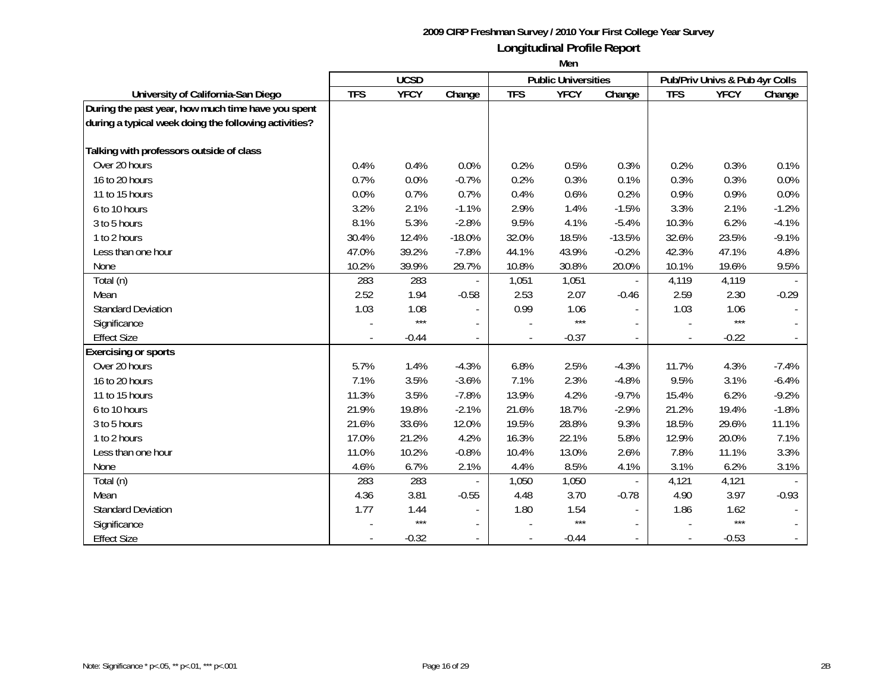|                                                       |            | <b>UCSD</b> |                |                | <b>Public Universities</b> |                          |                | Pub/Priv Univs & Pub 4yr Colls |         |
|-------------------------------------------------------|------------|-------------|----------------|----------------|----------------------------|--------------------------|----------------|--------------------------------|---------|
| University of California-San Diego                    | <b>TFS</b> | <b>YFCY</b> | Change         | <b>TFS</b>     | <b>YFCY</b>                | Change                   | <b>TFS</b>     | <b>YFCY</b>                    | Change  |
| During the past year, how much time have you spent    |            |             |                |                |                            |                          |                |                                |         |
| during a typical week doing the following activities? |            |             |                |                |                            |                          |                |                                |         |
|                                                       |            |             |                |                |                            |                          |                |                                |         |
| Talking with professors outside of class              |            |             |                |                |                            |                          |                |                                |         |
| Over 20 hours                                         | 0.4%       | 0.4%        | 0.0%           | 0.2%           | 0.5%                       | 0.3%                     | 0.2%           | 0.3%                           | 0.1%    |
| 16 to 20 hours                                        | 0.7%       | 0.0%        | $-0.7%$        | 0.2%           | 0.3%                       | 0.1%                     | 0.3%           | 0.3%                           | 0.0%    |
| 11 to 15 hours                                        | 0.0%       | 0.7%        | 0.7%           | 0.4%           | 0.6%                       | 0.2%                     | 0.9%           | 0.9%                           | 0.0%    |
| 6 to 10 hours                                         | 3.2%       | 2.1%        | $-1.1%$        | 2.9%           | 1.4%                       | $-1.5%$                  | 3.3%           | 2.1%                           | $-1.2%$ |
| 3 to 5 hours                                          | 8.1%       | 5.3%        | $-2.8%$        | 9.5%           | 4.1%                       | $-5.4%$                  | 10.3%          | 6.2%                           | $-4.1%$ |
| 1 to 2 hours                                          | 30.4%      | 12.4%       | $-18.0%$       | 32.0%          | 18.5%                      | $-13.5%$                 | 32.6%          | 23.5%                          | $-9.1%$ |
| Less than one hour                                    | 47.0%      | 39.2%       | $-7.8%$        | 44.1%          | 43.9%                      | $-0.2%$                  | 42.3%          | 47.1%                          | 4.8%    |
| None                                                  | 10.2%      | 39.9%       | 29.7%          | 10.8%          | 30.8%                      | 20.0%                    | 10.1%          | 19.6%                          | 9.5%    |
| Total (n)                                             | 283        | 283         |                | 1,051          | 1,051                      |                          | 4,119          | 4,119                          |         |
| Mean                                                  | 2.52       | 1.94        | $-0.58$        | 2.53           | 2.07                       | $-0.46$                  | 2.59           | 2.30                           | $-0.29$ |
| <b>Standard Deviation</b>                             | 1.03       | 1.08        | $\overline{a}$ | 0.99           | 1.06                       | $\overline{\phantom{a}}$ | 1.03           | 1.06                           |         |
| Significance                                          |            | $***$       |                |                | $***$                      |                          |                | $***$                          |         |
| <b>Effect Size</b>                                    |            | $-0.44$     | $\blacksquare$ | $\blacksquare$ | $-0.37$                    |                          | $\blacksquare$ | $-0.22$                        |         |
| <b>Exercising or sports</b>                           |            |             |                |                |                            |                          |                |                                |         |
| Over 20 hours                                         | 5.7%       | 1.4%        | $-4.3%$        | 6.8%           | 2.5%                       | $-4.3%$                  | 11.7%          | 4.3%                           | $-7.4%$ |
| 16 to 20 hours                                        | 7.1%       | 3.5%        | $-3.6%$        | 7.1%           | 2.3%                       | $-4.8%$                  | 9.5%           | 3.1%                           | $-6.4%$ |
| 11 to 15 hours                                        | 11.3%      | 3.5%        | $-7.8%$        | 13.9%          | 4.2%                       | $-9.7%$                  | 15.4%          | 6.2%                           | $-9.2%$ |
| 6 to 10 hours                                         | 21.9%      | 19.8%       | $-2.1%$        | 21.6%          | 18.7%                      | $-2.9%$                  | 21.2%          | 19.4%                          | $-1.8%$ |
| 3 to 5 hours                                          | 21.6%      | 33.6%       | 12.0%          | 19.5%          | 28.8%                      | 9.3%                     | 18.5%          | 29.6%                          | 11.1%   |
| 1 to 2 hours                                          | 17.0%      | 21.2%       | 4.2%           | 16.3%          | 22.1%                      | 5.8%                     | 12.9%          | 20.0%                          | 7.1%    |
| Less than one hour                                    | 11.0%      | 10.2%       | $-0.8%$        | 10.4%          | 13.0%                      | 2.6%                     | 7.8%           | 11.1%                          | 3.3%    |
| None                                                  | 4.6%       | 6.7%        | 2.1%           | 4.4%           | 8.5%                       | 4.1%                     | 3.1%           | 6.2%                           | 3.1%    |
| Total (n)                                             | 283        | 283         |                | 1,050          | 1,050                      |                          | 4,121          | 4,121                          |         |
| Mean                                                  | 4.36       | 3.81        | $-0.55$        | 4.48           | 3.70                       | $-0.78$                  | 4.90           | 3.97                           | $-0.93$ |
| <b>Standard Deviation</b>                             | 1.77       | 1.44        |                | 1.80           | 1.54                       |                          | 1.86           | 1.62                           |         |
| Significance                                          |            | $***$       |                |                | $***$                      |                          |                | $***$                          |         |
| <b>Effect Size</b>                                    |            | $-0.32$     | $\sim$         |                | $-0.44$                    |                          |                | $-0.53$                        |         |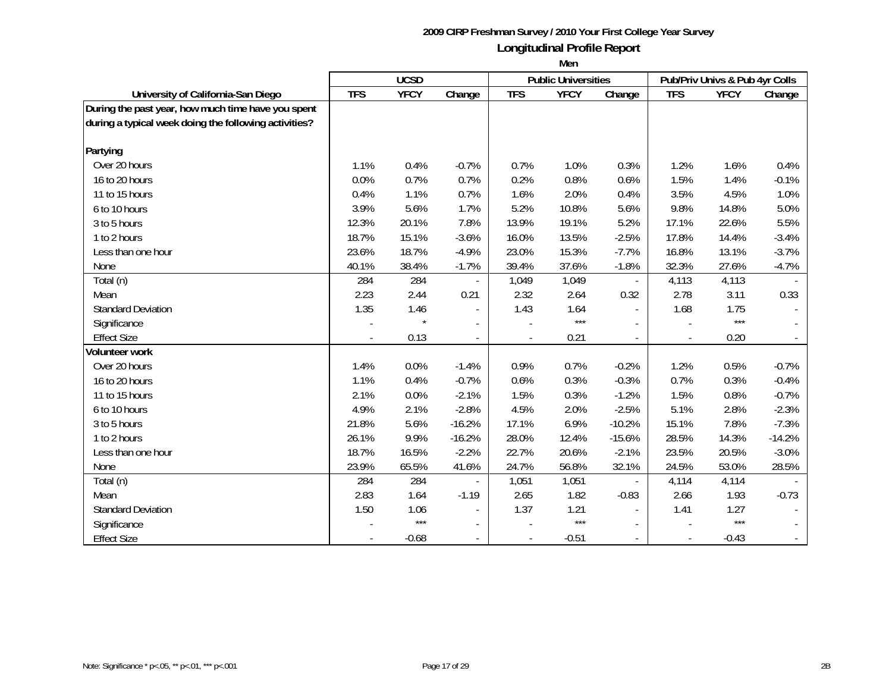|                                                       | <b>UCSD</b> |             |                          |                | <b>Public Universities</b> |                | Pub/Priv Univs & Pub 4yr Colls |             |          |
|-------------------------------------------------------|-------------|-------------|--------------------------|----------------|----------------------------|----------------|--------------------------------|-------------|----------|
| University of California-San Diego                    | <b>TFS</b>  | <b>YFCY</b> | Change                   | <b>TFS</b>     | <b>YFCY</b>                | Change         | <b>TFS</b>                     | <b>YFCY</b> | Change   |
| During the past year, how much time have you spent    |             |             |                          |                |                            |                |                                |             |          |
| during a typical week doing the following activities? |             |             |                          |                |                            |                |                                |             |          |
|                                                       |             |             |                          |                |                            |                |                                |             |          |
| Partying                                              |             |             |                          |                |                            |                |                                |             |          |
| Over 20 hours                                         | 1.1%        | 0.4%        | $-0.7%$                  | 0.7%           | 1.0%                       | 0.3%           | 1.2%                           | 1.6%        | 0.4%     |
| 16 to 20 hours                                        | 0.0%        | 0.7%        | 0.7%                     | 0.2%           | 0.8%                       | 0.6%           | 1.5%                           | 1.4%        | $-0.1%$  |
| 11 to 15 hours                                        | 0.4%        | 1.1%        | 0.7%                     | 1.6%           | 2.0%                       | 0.4%           | 3.5%                           | 4.5%        | 1.0%     |
| 6 to 10 hours                                         | 3.9%        | 5.6%        | 1.7%                     | 5.2%           | 10.8%                      | 5.6%           | 9.8%                           | 14.8%       | 5.0%     |
| 3 to 5 hours                                          | 12.3%       | 20.1%       | 7.8%                     | 13.9%          | 19.1%                      | 5.2%           | 17.1%                          | 22.6%       | 5.5%     |
| 1 to 2 hours                                          | 18.7%       | 15.1%       | $-3.6%$                  | 16.0%          | 13.5%                      | $-2.5%$        | 17.8%                          | 14.4%       | $-3.4%$  |
| Less than one hour                                    | 23.6%       | 18.7%       | $-4.9%$                  | 23.0%          | 15.3%                      | $-7.7%$        | 16.8%                          | 13.1%       | $-3.7%$  |
| None                                                  | 40.1%       | 38.4%       | $-1.7%$                  | 39.4%          | 37.6%                      | $-1.8%$        | 32.3%                          | 27.6%       | $-4.7%$  |
| Total (n)                                             | 284         | 284         |                          | 1,049          | 1,049                      |                | 4,113                          | 4,113       |          |
| Mean                                                  | 2.23        | 2.44        | 0.21                     | 2.32           | 2.64                       | 0.32           | 2.78                           | 3.11        | 0.33     |
| <b>Standard Deviation</b>                             | 1.35        | 1.46        | $\blacksquare$           | 1.43           | 1.64                       | $\blacksquare$ | 1.68                           | 1.75        |          |
| Significance                                          |             |             |                          |                | $***$                      |                |                                | $***$       |          |
| <b>Effect Size</b>                                    |             | 0.13        | $\blacksquare$           | $\blacksquare$ | 0.21                       |                | $\overline{\phantom{a}}$       | 0.20        |          |
| Volunteer work                                        |             |             |                          |                |                            |                |                                |             |          |
| Over 20 hours                                         | 1.4%        | 0.0%        | $-1.4%$                  | 0.9%           | 0.7%                       | $-0.2%$        | 1.2%                           | 0.5%        | $-0.7%$  |
| 16 to 20 hours                                        | 1.1%        | 0.4%        | $-0.7%$                  | 0.6%           | 0.3%                       | $-0.3%$        | 0.7%                           | 0.3%        | $-0.4%$  |
| 11 to 15 hours                                        | 2.1%        | 0.0%        | $-2.1%$                  | 1.5%           | 0.3%                       | $-1.2%$        | 1.5%                           | 0.8%        | $-0.7%$  |
| 6 to 10 hours                                         | 4.9%        | 2.1%        | $-2.8%$                  | 4.5%           | 2.0%                       | $-2.5%$        | 5.1%                           | 2.8%        | $-2.3%$  |
| 3 to 5 hours                                          | 21.8%       | 5.6%        | $-16.2%$                 | 17.1%          | 6.9%                       | $-10.2%$       | 15.1%                          | 7.8%        | $-7.3%$  |
| 1 to 2 hours                                          | 26.1%       | 9.9%        | $-16.2%$                 | 28.0%          | 12.4%                      | $-15.6%$       | 28.5%                          | 14.3%       | $-14.2%$ |
| Less than one hour                                    | 18.7%       | 16.5%       | $-2.2%$                  | 22.7%          | 20.6%                      | $-2.1%$        | 23.5%                          | 20.5%       | $-3.0%$  |
| None                                                  | 23.9%       | 65.5%       | 41.6%                    | 24.7%          | 56.8%                      | 32.1%          | 24.5%                          | 53.0%       | 28.5%    |
| Total (n)                                             | 284         | 284         |                          | 1,051          | 1,051                      |                | 4,114                          | 4,114       |          |
| Mean                                                  | 2.83        | 1.64        | $-1.19$                  | 2.65           | 1.82                       | $-0.83$        | 2.66                           | 1.93        | $-0.73$  |
| <b>Standard Deviation</b>                             | 1.50        | 1.06        | $\blacksquare$           | 1.37           | 1.21                       |                | 1.41                           | 1.27        |          |
| Significance                                          |             | $***$       | $\overline{a}$           |                | $***$                      |                |                                | $***$       |          |
| <b>Effect Size</b>                                    |             | $-0.68$     | $\overline{\phantom{a}}$ |                | $-0.51$                    |                |                                | $-0.43$     |          |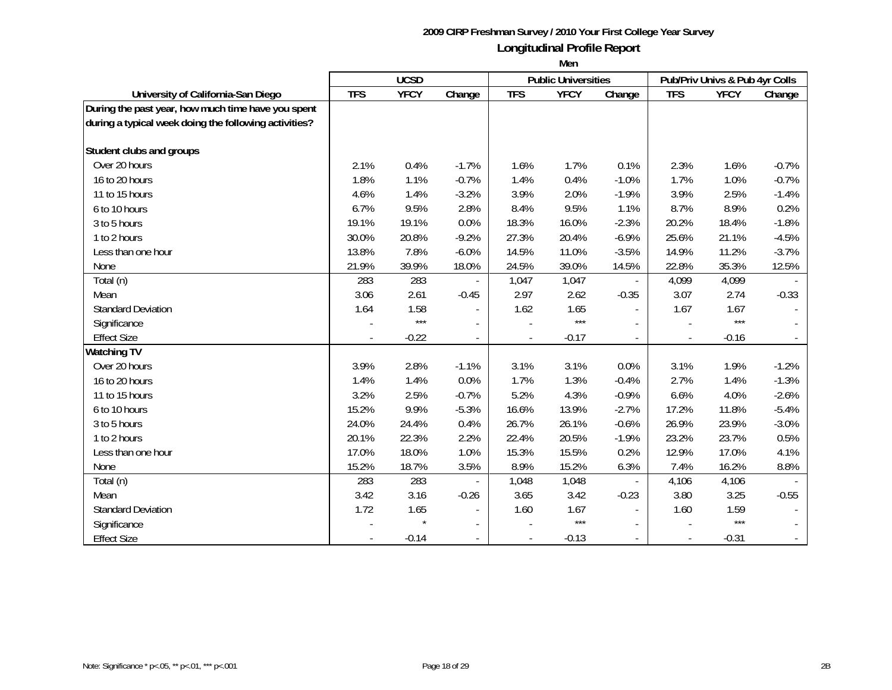|                                                       | <b>UCSD</b> |             |                          |                          | <b>Public Universities</b> |         | Pub/Priv Univs & Pub 4yr Colls |             |         |
|-------------------------------------------------------|-------------|-------------|--------------------------|--------------------------|----------------------------|---------|--------------------------------|-------------|---------|
| University of California-San Diego                    | <b>TFS</b>  | <b>YFCY</b> | Change                   | <b>TFS</b>               | <b>YFCY</b>                | Change  | <b>TFS</b>                     | <b>YFCY</b> | Change  |
| During the past year, how much time have you spent    |             |             |                          |                          |                            |         |                                |             |         |
| during a typical week doing the following activities? |             |             |                          |                          |                            |         |                                |             |         |
|                                                       |             |             |                          |                          |                            |         |                                |             |         |
| Student clubs and groups                              |             |             |                          |                          |                            |         |                                |             |         |
| Over 20 hours                                         | 2.1%        | 0.4%        | $-1.7%$                  | 1.6%                     | 1.7%                       | 0.1%    | 2.3%                           | 1.6%        | $-0.7%$ |
| 16 to 20 hours                                        | 1.8%        | 1.1%        | $-0.7%$                  | 1.4%                     | 0.4%                       | $-1.0%$ | 1.7%                           | 1.0%        | $-0.7%$ |
| 11 to 15 hours                                        | 4.6%        | 1.4%        | $-3.2%$                  | 3.9%                     | 2.0%                       | $-1.9%$ | 3.9%                           | 2.5%        | $-1.4%$ |
| 6 to 10 hours                                         | 6.7%        | 9.5%        | 2.8%                     | 8.4%                     | 9.5%                       | 1.1%    | 8.7%                           | 8.9%        | 0.2%    |
| 3 to 5 hours                                          | 19.1%       | 19.1%       | 0.0%                     | 18.3%                    | 16.0%                      | $-2.3%$ | 20.2%                          | 18.4%       | $-1.8%$ |
| 1 to 2 hours                                          | 30.0%       | 20.8%       | $-9.2%$                  | 27.3%                    | 20.4%                      | $-6.9%$ | 25.6%                          | 21.1%       | $-4.5%$ |
| Less than one hour                                    | 13.8%       | 7.8%        | $-6.0%$                  | 14.5%                    | 11.0%                      | $-3.5%$ | 14.9%                          | 11.2%       | $-3.7%$ |
| None                                                  | 21.9%       | 39.9%       | 18.0%                    | 24.5%                    | 39.0%                      | 14.5%   | 22.8%                          | 35.3%       | 12.5%   |
| Total (n)                                             | 283         | 283         |                          | 1,047                    | 1,047                      |         | 4,099                          | 4,099       |         |
| Mean                                                  | 3.06        | 2.61        | $-0.45$                  | 2.97                     | 2.62                       | $-0.35$ | 3.07                           | 2.74        | $-0.33$ |
| <b>Standard Deviation</b>                             | 1.64        | 1.58        | $\overline{\phantom{a}}$ | 1.62                     | 1.65                       |         | 1.67                           | 1.67        |         |
| Significance                                          |             | $***$       | $\blacksquare$           |                          | $***$                      |         |                                | $***$       |         |
| <b>Effect Size</b>                                    |             | $-0.22$     | $\overline{\phantom{a}}$ | $\overline{\phantom{a}}$ | $-0.17$                    |         | $\overline{\phantom{a}}$       | $-0.16$     |         |
| <b>Watching TV</b>                                    |             |             |                          |                          |                            |         |                                |             |         |
| Over 20 hours                                         | 3.9%        | 2.8%        | $-1.1%$                  | 3.1%                     | 3.1%                       | 0.0%    | 3.1%                           | 1.9%        | $-1.2%$ |
| 16 to 20 hours                                        | 1.4%        | 1.4%        | 0.0%                     | 1.7%                     | 1.3%                       | $-0.4%$ | 2.7%                           | 1.4%        | $-1.3%$ |
| 11 to 15 hours                                        | 3.2%        | 2.5%        | $-0.7%$                  | 5.2%                     | 4.3%                       | $-0.9%$ | 6.6%                           | 4.0%        | $-2.6%$ |
| 6 to 10 hours                                         | 15.2%       | 9.9%        | $-5.3%$                  | 16.6%                    | 13.9%                      | $-2.7%$ | 17.2%                          | 11.8%       | $-5.4%$ |
| 3 to 5 hours                                          | 24.0%       | 24.4%       | 0.4%                     | 26.7%                    | 26.1%                      | $-0.6%$ | 26.9%                          | 23.9%       | $-3.0%$ |
| 1 to 2 hours                                          | 20.1%       | 22.3%       | 2.2%                     | 22.4%                    | 20.5%                      | $-1.9%$ | 23.2%                          | 23.7%       | 0.5%    |
| Less than one hour                                    | 17.0%       | 18.0%       | 1.0%                     | 15.3%                    | 15.5%                      | 0.2%    | 12.9%                          | 17.0%       | 4.1%    |
| None                                                  | 15.2%       | 18.7%       | 3.5%                     | 8.9%                     | 15.2%                      | 6.3%    | 7.4%                           | 16.2%       | 8.8%    |
| Total (n)                                             | 283         | 283         |                          | 1,048                    | 1,048                      |         | 4,106                          | 4,106       |         |
| Mean                                                  | 3.42        | 3.16        | $-0.26$                  | 3.65                     | 3.42                       | $-0.23$ | 3.80                           | 3.25        | $-0.55$ |
| <b>Standard Deviation</b>                             | 1.72        | 1.65        | $\blacksquare$           | 1.60                     | 1.67                       |         | 1.60                           | 1.59        |         |
| Significance                                          |             |             |                          |                          | $***$                      |         |                                | $***$       |         |
| <b>Effect Size</b>                                    |             | $-0.14$     | $\overline{\phantom{a}}$ | $\overline{\phantom{a}}$ | $-0.13$                    |         |                                | $-0.31$     |         |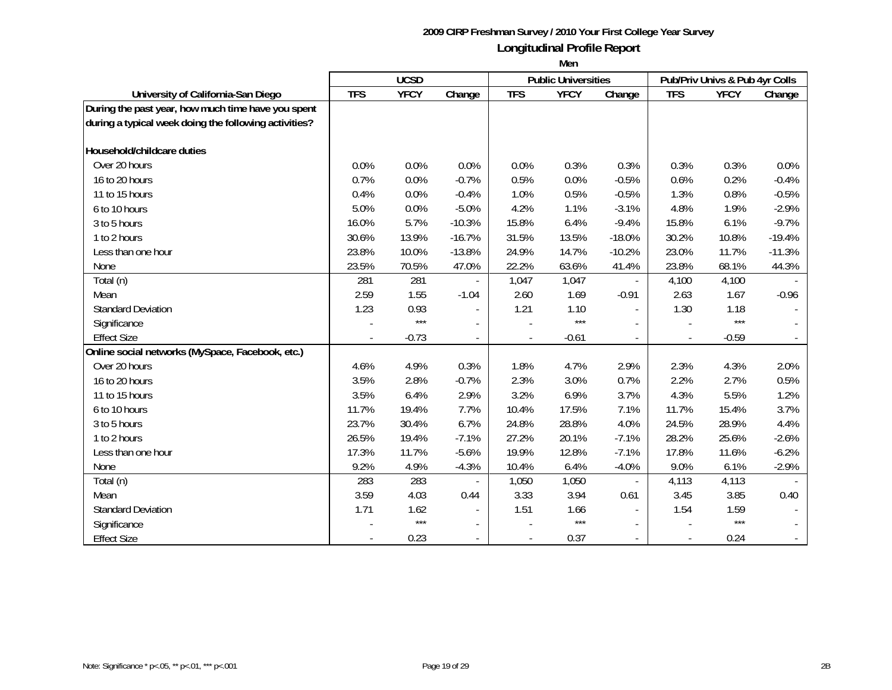|                                                       | <b>UCSD</b> |             |                |                          | <b>Public Universities</b> |          | Pub/Priv Univs & Pub 4yr Colls |             |          |
|-------------------------------------------------------|-------------|-------------|----------------|--------------------------|----------------------------|----------|--------------------------------|-------------|----------|
| University of California-San Diego                    | <b>TFS</b>  | <b>YFCY</b> | Change         | <b>TFS</b>               | <b>YFCY</b>                | Change   | <b>TFS</b>                     | <b>YFCY</b> | Change   |
| During the past year, how much time have you spent    |             |             |                |                          |                            |          |                                |             |          |
| during a typical week doing the following activities? |             |             |                |                          |                            |          |                                |             |          |
|                                                       |             |             |                |                          |                            |          |                                |             |          |
| Household/childcare duties                            |             |             |                |                          |                            |          |                                |             |          |
| Over 20 hours                                         | 0.0%        | 0.0%        | 0.0%           | 0.0%                     | 0.3%                       | 0.3%     | 0.3%                           | 0.3%        | 0.0%     |
| 16 to 20 hours                                        | 0.7%        | 0.0%        | $-0.7%$        | 0.5%                     | 0.0%                       | $-0.5%$  | 0.6%                           | 0.2%        | $-0.4%$  |
| 11 to 15 hours                                        | 0.4%        | 0.0%        | $-0.4%$        | 1.0%                     | 0.5%                       | $-0.5%$  | 1.3%                           | 0.8%        | $-0.5%$  |
| 6 to 10 hours                                         | 5.0%        | 0.0%        | $-5.0%$        | 4.2%                     | 1.1%                       | $-3.1%$  | 4.8%                           | 1.9%        | $-2.9%$  |
| 3 to 5 hours                                          | 16.0%       | 5.7%        | $-10.3%$       | 15.8%                    | 6.4%                       | $-9.4%$  | 15.8%                          | 6.1%        | $-9.7%$  |
| 1 to 2 hours                                          | 30.6%       | 13.9%       | $-16.7%$       | 31.5%                    | 13.5%                      | $-18.0%$ | 30.2%                          | 10.8%       | $-19.4%$ |
| Less than one hour                                    | 23.8%       | 10.0%       | $-13.8%$       | 24.9%                    | 14.7%                      | $-10.2%$ | 23.0%                          | 11.7%       | $-11.3%$ |
| None                                                  | 23.5%       | 70.5%       | 47.0%          | 22.2%                    | 63.6%                      | 41.4%    | 23.8%                          | 68.1%       | 44.3%    |
| Total (n)                                             | 281         | 281         |                | 1,047                    | 1,047                      |          | 4,100                          | 4,100       |          |
| Mean                                                  | 2.59        | 1.55        | $-1.04$        | 2.60                     | 1.69                       | $-0.91$  | 2.63                           | 1.67        | $-0.96$  |
| <b>Standard Deviation</b>                             | 1.23        | 0.93        |                | 1.21                     | 1.10                       |          | 1.30                           | 1.18        |          |
| Significance                                          |             | $***$       |                |                          | $***$                      |          |                                | $***$       |          |
| <b>Effect Size</b>                                    |             | $-0.73$     | $\blacksquare$ | $\overline{\phantom{a}}$ | $-0.61$                    |          | $\frac{1}{2}$                  | $-0.59$     |          |
| Online social networks (MySpace, Facebook, etc.)      |             |             |                |                          |                            |          |                                |             |          |
| Over 20 hours                                         | 4.6%        | 4.9%        | 0.3%           | 1.8%                     | 4.7%                       | 2.9%     | 2.3%                           | 4.3%        | 2.0%     |
| 16 to 20 hours                                        | 3.5%        | 2.8%        | $-0.7%$        | 2.3%                     | 3.0%                       | 0.7%     | 2.2%                           | 2.7%        | 0.5%     |
| 11 to 15 hours                                        | 3.5%        | 6.4%        | 2.9%           | 3.2%                     | 6.9%                       | 3.7%     | 4.3%                           | 5.5%        | 1.2%     |
| 6 to 10 hours                                         | 11.7%       | 19.4%       | 7.7%           | 10.4%                    | 17.5%                      | 7.1%     | 11.7%                          | 15.4%       | 3.7%     |
| 3 to 5 hours                                          | 23.7%       | 30.4%       | 6.7%           | 24.8%                    | 28.8%                      | 4.0%     | 24.5%                          | 28.9%       | 4.4%     |
| 1 to 2 hours                                          | 26.5%       | 19.4%       | $-7.1%$        | 27.2%                    | 20.1%                      | $-7.1%$  | 28.2%                          | 25.6%       | $-2.6%$  |
| Less than one hour                                    | 17.3%       | 11.7%       | $-5.6%$        | 19.9%                    | 12.8%                      | $-7.1%$  | 17.8%                          | 11.6%       | $-6.2%$  |
| None                                                  | 9.2%        | 4.9%        | $-4.3%$        | 10.4%                    | 6.4%                       | $-4.0%$  | 9.0%                           | 6.1%        | $-2.9%$  |
| Total (n)                                             | 283         | 283         |                | 1,050                    | 1,050                      |          | 4,113                          | 4,113       |          |
| Mean                                                  | 3.59        | 4.03        | 0.44           | 3.33                     | 3.94                       | 0.61     | 3.45                           | 3.85        | 0.40     |
| <b>Standard Deviation</b>                             | 1.71        | 1.62        |                | 1.51                     | 1.66                       |          | 1.54                           | 1.59        |          |
| Significance                                          |             | $***$       |                |                          | $***$                      |          |                                | $***$       |          |
| <b>Effect Size</b>                                    |             | 0.23        |                |                          | 0.37                       |          |                                | 0.24        |          |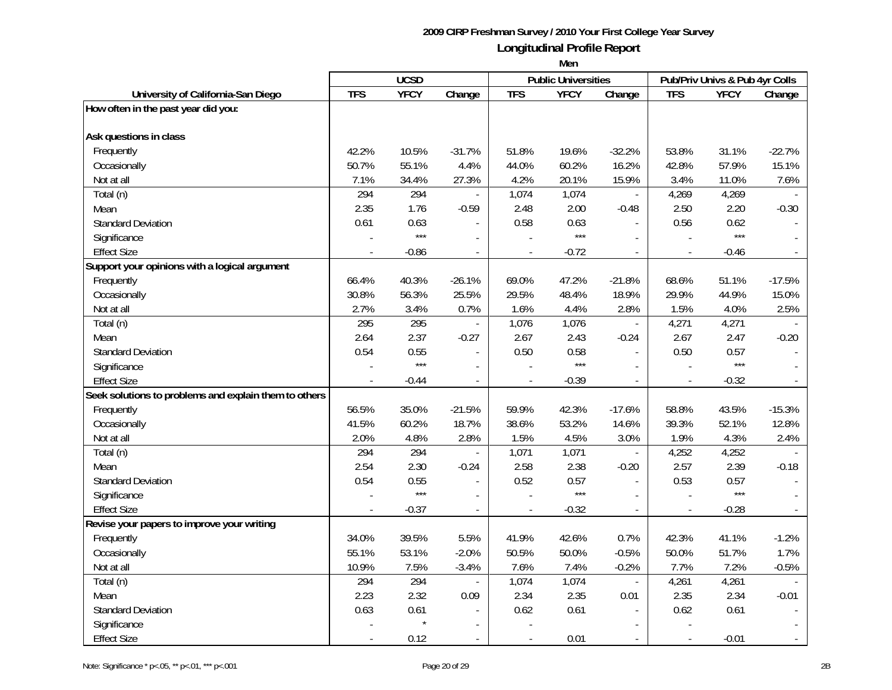|                                                       | <b>UCSD</b> |             |                          | <b>Public Universities</b> |             | Pub/Priv Univs & Pub 4yr Colls |                          |             |                          |
|-------------------------------------------------------|-------------|-------------|--------------------------|----------------------------|-------------|--------------------------------|--------------------------|-------------|--------------------------|
| University of California-San Diego                    | <b>TFS</b>  | <b>YFCY</b> | Change                   | <b>TFS</b>                 | <b>YFCY</b> | Change                         | <b>TFS</b>               | <b>YFCY</b> | Change                   |
| How often in the past year did you:                   |             |             |                          |                            |             |                                |                          |             |                          |
|                                                       |             |             |                          |                            |             |                                |                          |             |                          |
| Ask questions in class                                |             |             |                          |                            |             |                                |                          |             |                          |
| Frequently                                            | 42.2%       | 10.5%       | $-31.7%$                 | 51.8%                      | 19.6%       | $-32.2%$                       | 53.8%                    | 31.1%       | $-22.7%$                 |
| Occasionally                                          | 50.7%       | 55.1%       | 4.4%                     | 44.0%                      | 60.2%       | 16.2%                          | 42.8%                    | 57.9%       | 15.1%                    |
| Not at all                                            | 7.1%        | 34.4%       | 27.3%                    | 4.2%                       | 20.1%       | 15.9%                          | 3.4%                     | 11.0%       | 7.6%                     |
| Total (n)                                             | 294         | 294         |                          | 1,074                      | 1,074       | $\overline{\phantom{a}}$       | 4,269                    | 4,269       |                          |
| Mean                                                  | 2.35        | 1.76        | $-0.59$                  | 2.48                       | 2.00        | $-0.48$                        | 2.50                     | 2.20        | $-0.30$                  |
| <b>Standard Deviation</b>                             | 0.61        | 0.63        |                          | 0.58                       | 0.63        |                                | 0.56                     | 0.62        |                          |
| Significance                                          |             | $***$       |                          |                            | $***$       |                                |                          | $***$       |                          |
| <b>Effect Size</b>                                    |             | $-0.86$     | $\blacksquare$           |                            | $-0.72$     | $\overline{a}$                 | $\overline{\phantom{a}}$ | $-0.46$     |                          |
| Support your opinions with a logical argument         |             |             |                          |                            |             |                                |                          |             |                          |
| Frequently                                            | 66.4%       | 40.3%       | $-26.1%$                 | 69.0%                      | 47.2%       | $-21.8%$                       | 68.6%                    | 51.1%       | $-17.5%$                 |
| Occasionally                                          | 30.8%       | 56.3%       | 25.5%                    | 29.5%                      | 48.4%       | 18.9%                          | 29.9%                    | 44.9%       | 15.0%                    |
| Not at all                                            | 2.7%        | 3.4%        | 0.7%                     | 1.6%                       | 4.4%        | 2.8%                           | 1.5%                     | 4.0%        | 2.5%                     |
| Total (n)                                             | 295         | 295         | $\overline{\phantom{a}}$ | 1,076                      | 1,076       | $\overline{\phantom{a}}$       | 4,271                    | 4,271       |                          |
| Mean                                                  | 2.64        | 2.37        | $-0.27$                  | 2.67                       | 2.43        | $-0.24$                        | 2.67                     | 2.47        | $-0.20$                  |
| <b>Standard Deviation</b>                             | 0.54        | 0.55        | $\overline{\phantom{a}}$ | 0.50                       | 0.58        | $\blacksquare$                 | 0.50                     | 0.57        |                          |
| Significance                                          |             | $***$       |                          |                            | $***$       |                                |                          | $***$       |                          |
| <b>Effect Size</b>                                    |             | $-0.44$     | $\overline{\phantom{a}}$ |                            | $-0.39$     | $\overline{a}$                 |                          | $-0.32$     |                          |
| Seek solutions to problems and explain them to others |             |             |                          |                            |             |                                |                          |             |                          |
| Frequently                                            | 56.5%       | 35.0%       | $-21.5%$                 | 59.9%                      | 42.3%       | $-17.6%$                       | 58.8%                    | 43.5%       | $-15.3%$                 |
| Occasionally                                          | 41.5%       | 60.2%       | 18.7%                    | 38.6%                      | 53.2%       | 14.6%                          | 39.3%                    | 52.1%       | 12.8%                    |
| Not at all                                            | 2.0%        | 4.8%        | 2.8%                     | 1.5%                       | 4.5%        | 3.0%                           | 1.9%                     | 4.3%        | 2.4%                     |
| Total (n)                                             | 294         | 294         |                          | 1,071                      | 1,071       | $\overline{a}$                 | 4,252                    | 4,252       |                          |
| Mean                                                  | 2.54        | 2.30        | $-0.24$                  | 2.58                       | 2.38        | $-0.20$                        | 2.57                     | 2.39        | $-0.18$                  |
| <b>Standard Deviation</b>                             | 0.54        | 0.55        | $\overline{\phantom{a}}$ | 0.52                       | 0.57        | $\overline{a}$                 | 0.53                     | 0.57        |                          |
| Significance                                          |             | $***$       | $\overline{\phantom{a}}$ |                            | $***$       |                                |                          | $***$       |                          |
| <b>Effect Size</b>                                    |             | $-0.37$     | $\overline{a}$           |                            | $-0.32$     |                                |                          | $-0.28$     |                          |
| Revise your papers to improve your writing            |             |             |                          |                            |             |                                |                          |             |                          |
| Frequently                                            | 34.0%       | 39.5%       | 5.5%                     | 41.9%                      | 42.6%       | 0.7%                           | 42.3%                    | 41.1%       | $-1.2%$                  |
| Occasionally                                          | 55.1%       | 53.1%       | $-2.0%$                  | 50.5%                      | 50.0%       | $-0.5%$                        | 50.0%                    | 51.7%       | 1.7%                     |
| Not at all                                            | 10.9%       | 7.5%        | $-3.4%$                  | 7.6%                       | 7.4%        | $-0.2%$                        | 7.7%                     | 7.2%        | $-0.5%$                  |
| Total (n)                                             | 294         | 294         | $\overline{\phantom{a}}$ | 1,074                      | 1,074       | $\overline{\phantom{a}}$       | 4,261                    | 4,261       |                          |
| Mean                                                  | 2.23        | 2.32        | 0.09                     | 2.34                       | 2.35        | 0.01                           | 2.35                     | 2.34        | $-0.01$                  |
| <b>Standard Deviation</b>                             | 0.63        | 0.61        | $\blacksquare$           | 0.62                       | 0.61        | $\overline{\phantom{a}}$       | 0.62                     | 0.61        | $\overline{\phantom{a}}$ |
| Significance                                          |             |             |                          |                            |             |                                |                          |             |                          |
| <b>Effect Size</b>                                    |             | 0.12        | $\overline{a}$           | $\overline{\phantom{a}}$   | 0.01        | $\sim$                         | $\blacksquare$           | $-0.01$     | $\mathbb{L}$             |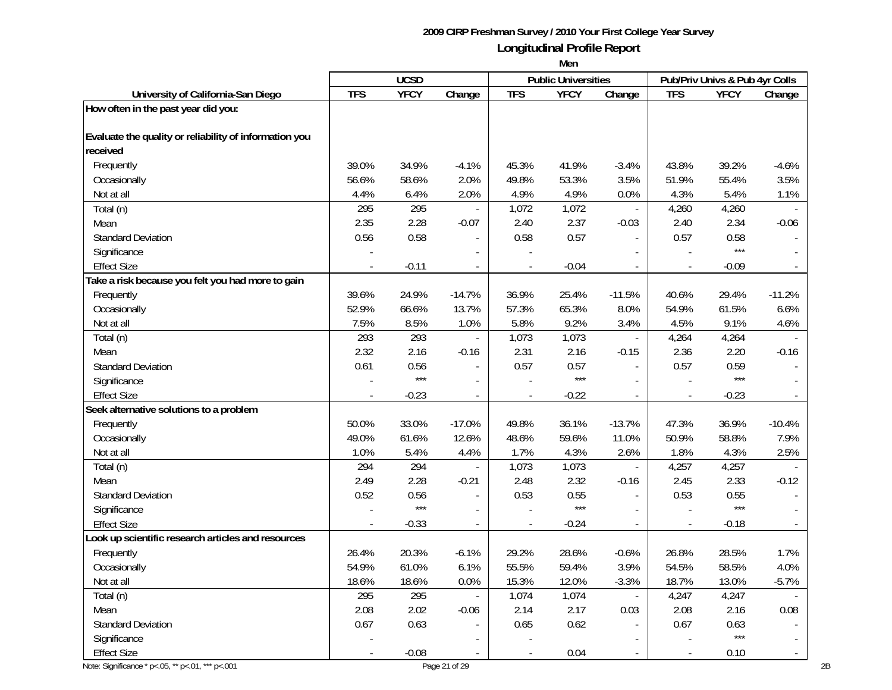|                                                        |            | <b>UCSD</b> |                          |                          | <b>Public Universities</b> |                          |                          | Pub/Priv Univs & Pub 4yr Colls |                |
|--------------------------------------------------------|------------|-------------|--------------------------|--------------------------|----------------------------|--------------------------|--------------------------|--------------------------------|----------------|
| University of California-San Diego                     | <b>TFS</b> | <b>YFCY</b> | Change                   | <b>TFS</b>               | <b>YFCY</b>                | Change                   | <b>TFS</b>               | <b>YFCY</b>                    | Change         |
| How often in the past year did you:                    |            |             |                          |                          |                            |                          |                          |                                |                |
| Evaluate the quality or reliability of information you |            |             |                          |                          |                            |                          |                          |                                |                |
| received                                               |            |             |                          |                          |                            |                          |                          |                                |                |
| Frequently                                             | 39.0%      | 34.9%       | $-4.1%$                  | 45.3%                    | 41.9%                      | $-3.4%$                  | 43.8%                    | 39.2%                          | $-4.6%$        |
| Occasionally                                           | 56.6%      | 58.6%       | 2.0%                     | 49.8%                    | 53.3%                      | 3.5%                     | 51.9%                    | 55.4%                          | 3.5%           |
| Not at all                                             | 4.4%       | 6.4%        | 2.0%                     | 4.9%                     | 4.9%                       | 0.0%                     | 4.3%                     | 5.4%                           | 1.1%           |
| Total (n)                                              | 295        | 295         | $\overline{a}$           | 1,072                    | 1,072                      | $\mathbb{Z}^2$           | 4,260                    | 4,260                          |                |
| Mean                                                   | 2.35       | 2.28        | $-0.07$                  | 2.40                     | 2.37                       | $-0.03$                  | 2.40                     | 2.34                           | $-0.06$        |
| <b>Standard Deviation</b>                              | 0.56       | 0.58        | $\overline{\phantom{a}}$ | 0.58                     | 0.57                       | $\blacksquare$           | 0.57                     | 0.58                           |                |
| Significance                                           |            |             |                          |                          |                            |                          |                          | $***$                          |                |
| <b>Effect Size</b>                                     |            | $-0.11$     |                          |                          | $-0.04$                    |                          |                          | $-0.09$                        |                |
| Take a risk because you felt you had more to gain      |            |             |                          |                          |                            |                          |                          |                                |                |
| Frequently                                             | 39.6%      | 24.9%       | $-14.7%$                 | 36.9%                    | 25.4%                      | $-11.5%$                 | 40.6%                    | 29.4%                          | $-11.2%$       |
| Occasionally                                           | 52.9%      | 66.6%       | 13.7%                    | 57.3%                    | 65.3%                      | 8.0%                     | 54.9%                    | 61.5%                          | 6.6%           |
| Not at all                                             | 7.5%       | 8.5%        | 1.0%                     | 5.8%                     | 9.2%                       | 3.4%                     | 4.5%                     | 9.1%                           | 4.6%           |
| Total (n)                                              | 293        | 293         | $\overline{\phantom{a}}$ | 1,073                    | 1,073                      | $\overline{\phantom{a}}$ | 4,264                    | 4,264                          |                |
| Mean                                                   | 2.32       | 2.16        | $-0.16$                  | 2.31                     | 2.16                       | $-0.15$                  | 2.36                     | 2.20                           | $-0.16$        |
| <b>Standard Deviation</b>                              | 0.61       | 0.56        | $\overline{a}$           | 0.57                     | 0.57                       | $\overline{a}$           | 0.57                     | 0.59                           |                |
| Significance                                           |            | $***$       | $\overline{\phantom{a}}$ |                          | $***$                      |                          | $\overline{a}$           | $***$                          |                |
| <b>Effect Size</b>                                     |            | $-0.23$     | $\overline{\phantom{a}}$ | $\overline{\phantom{a}}$ | $-0.22$                    | $\overline{\phantom{a}}$ | $\overline{\phantom{a}}$ | $-0.23$                        |                |
| Seek alternative solutions to a problem                |            |             |                          |                          |                            |                          |                          |                                |                |
| Frequently                                             | 50.0%      | 33.0%       | $-17.0%$                 | 49.8%                    | 36.1%                      | $-13.7%$                 | 47.3%                    | 36.9%                          | $-10.4%$       |
| Occasionally                                           | 49.0%      | 61.6%       | 12.6%                    | 48.6%                    | 59.6%                      | 11.0%                    | 50.9%                    | 58.8%                          | 7.9%           |
| Not at all                                             | 1.0%       | 5.4%        | 4.4%                     | 1.7%                     | 4.3%                       | 2.6%                     | 1.8%                     | 4.3%                           | 2.5%           |
| Total (n)                                              | 294        | 294         |                          | 1,073                    | 1,073                      | $\omega$                 | 4,257                    | 4,257                          |                |
| Mean                                                   | 2.49       | 2.28        | $-0.21$                  | 2.48                     | 2.32                       | $-0.16$                  | 2.45                     | 2.33                           | $-0.12$        |
| <b>Standard Deviation</b>                              | 0.52       | 0.56        |                          | 0.53                     | 0.55                       |                          | 0.53                     | 0.55                           |                |
| Significance                                           |            | $***$       |                          |                          | $***$                      |                          |                          | $***$                          |                |
| <b>Effect Size</b>                                     |            | $-0.33$     | $\blacksquare$           |                          | $-0.24$                    | $\overline{a}$           | $\overline{a}$           | $-0.18$                        |                |
| Look up scientific research articles and resources     |            |             |                          |                          |                            |                          |                          |                                |                |
| Frequently                                             | 26.4%      | 20.3%       | $-6.1%$                  | 29.2%                    | 28.6%                      | $-0.6%$                  | 26.8%                    | 28.5%                          | 1.7%           |
| Occasionally                                           | 54.9%      | 61.0%       | 6.1%                     | 55.5%                    | 59.4%                      | 3.9%                     | 54.5%                    | 58.5%                          | 4.0%           |
| Not at all                                             | 18.6%      | 18.6%       | 0.0%                     | 15.3%                    | 12.0%                      | $-3.3%$                  | 18.7%                    | 13.0%                          | $-5.7%$        |
| Total (n)                                              | 295        | 295         |                          | 1,074                    | 1,074                      |                          | 4,247                    | 4,247                          |                |
| Mean                                                   | 2.08       | 2.02        | $-0.06$                  | 2.14                     | 2.17                       | 0.03                     | 2.08                     | 2.16                           | 0.08           |
| <b>Standard Deviation</b>                              | 0.67       | 0.63        | $\overline{a}$           | 0.65                     | 0.62                       | $\blacksquare$           | 0.67                     | 0.63                           |                |
| Significance                                           |            |             |                          |                          |                            |                          |                          | $***$                          |                |
| <b>Effect Size</b>                                     |            | $-0.08$     | $\overline{a}$           |                          | 0.04                       |                          | $\overline{\phantom{a}}$ | 0.10                           | $\blacksquare$ |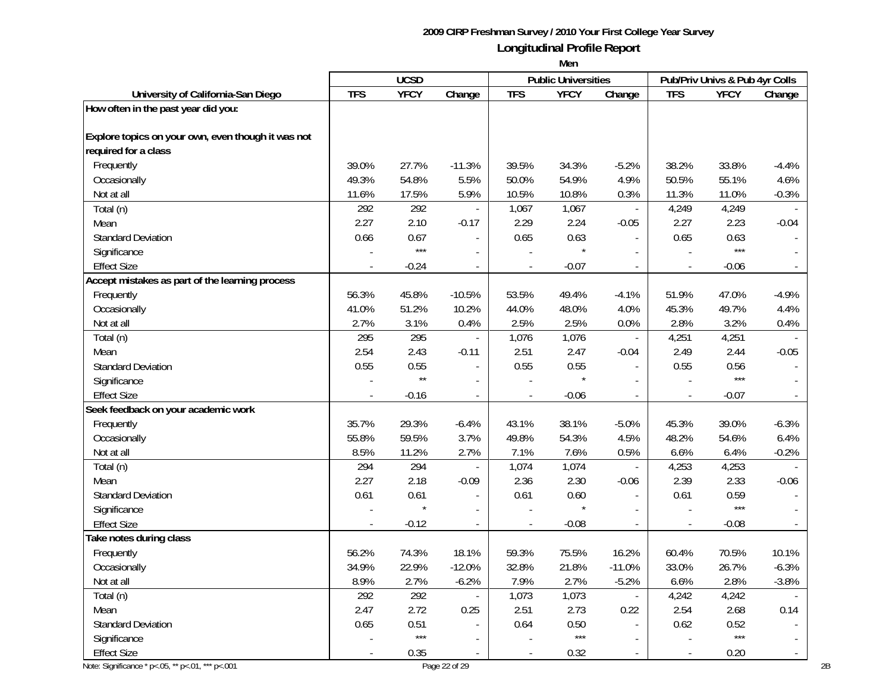|                                                    |            | <b>UCSD</b>  |                          |                          | <b>Public Universities</b> |                          |                          | Pub/Priv Univs & Pub 4yr Colls |                |
|----------------------------------------------------|------------|--------------|--------------------------|--------------------------|----------------------------|--------------------------|--------------------------|--------------------------------|----------------|
| University of California-San Diego                 | <b>TFS</b> | <b>YFCY</b>  | Change                   | <b>TFS</b>               | <b>YFCY</b>                | Change                   | <b>TFS</b>               | <b>YFCY</b>                    | Change         |
| How often in the past year did you:                |            |              |                          |                          |                            |                          |                          |                                |                |
| Explore topics on your own, even though it was not |            |              |                          |                          |                            |                          |                          |                                |                |
| required for a class                               |            |              |                          |                          |                            |                          |                          |                                |                |
| Frequently                                         | 39.0%      | 27.7%        | $-11.3%$                 | 39.5%                    | 34.3%                      | $-5.2%$                  | 38.2%                    | 33.8%                          | $-4.4%$        |
| Occasionally                                       | 49.3%      | 54.8%        | 5.5%                     | 50.0%                    | 54.9%                      | 4.9%                     | 50.5%                    | 55.1%                          | 4.6%           |
| Not at all                                         | 11.6%      | 17.5%        | 5.9%                     | 10.5%                    | 10.8%                      | 0.3%                     | 11.3%                    | 11.0%                          | $-0.3%$        |
| Total (n)                                          | 292        | 292          |                          | 1,067                    | 1,067                      | $\overline{\phantom{a}}$ | 4,249                    | 4,249                          |                |
| Mean                                               | 2.27       | 2.10         | $-0.17$                  | 2.29                     | 2.24                       | $-0.05$                  | 2.27                     | 2.23                           | $-0.04$        |
| <b>Standard Deviation</b>                          | 0.66       | 0.67         | $\overline{\phantom{a}}$ | 0.65                     | 0.63                       | $\blacksquare$           | 0.65                     | 0.63                           |                |
| Significance                                       |            | $***$        |                          |                          |                            |                          |                          | $***$                          |                |
| <b>Effect Size</b>                                 |            | $-0.24$      |                          |                          | $-0.07$                    |                          |                          | $-0.06$                        |                |
| Accept mistakes as part of the learning process    |            |              |                          |                          |                            |                          |                          |                                |                |
| Frequently                                         | 56.3%      | 45.8%        | $-10.5%$                 | 53.5%                    | 49.4%                      | $-4.1%$                  | 51.9%                    | 47.0%                          | $-4.9%$        |
| Occasionally                                       | 41.0%      | 51.2%        | 10.2%                    | 44.0%                    | 48.0%                      | 4.0%                     | 45.3%                    | 49.7%                          | 4.4%           |
| Not at all                                         | 2.7%       | 3.1%         | 0.4%                     | 2.5%                     | 2.5%                       | 0.0%                     | 2.8%                     | 3.2%                           | 0.4%           |
| Total (n)                                          | 295        | 295          | $\overline{\phantom{a}}$ | 1,076                    | 1,076                      | $\overline{\phantom{a}}$ | 4,251                    | 4,251                          |                |
| Mean                                               | 2.54       | 2.43         | $-0.11$                  | 2.51                     | 2.47                       | $-0.04$                  | 2.49                     | 2.44                           | $-0.05$        |
| <b>Standard Deviation</b>                          | 0.55       | 0.55         | $\overline{a}$           | 0.55                     | 0.55                       | $\overline{a}$           | 0.55                     | 0.56                           |                |
| Significance                                       |            | $\star\star$ | $\overline{\phantom{a}}$ |                          |                            |                          |                          | $***$                          |                |
| <b>Effect Size</b>                                 |            | $-0.16$      | $\blacksquare$           | $\overline{\phantom{a}}$ | $-0.06$                    | $\blacksquare$           | $\overline{\phantom{a}}$ | $-0.07$                        |                |
| Seek feedback on your academic work                |            |              |                          |                          |                            |                          |                          |                                |                |
| Frequently                                         | 35.7%      | 29.3%        | $-6.4%$                  | 43.1%                    | 38.1%                      | $-5.0%$                  | 45.3%                    | 39.0%                          | $-6.3%$        |
| Occasionally                                       | 55.8%      | 59.5%        | 3.7%                     | 49.8%                    | 54.3%                      | 4.5%                     | 48.2%                    | 54.6%                          | 6.4%           |
| Not at all                                         | 8.5%       | 11.2%        | 2.7%                     | 7.1%                     | 7.6%                       | 0.5%                     | 6.6%                     | 6.4%                           | $-0.2%$        |
| Total (n)                                          | 294        | 294          | $\bar{a}$                | 1,074                    | 1,074                      | $\blacksquare$           | 4,253                    | 4,253                          |                |
| Mean                                               | 2.27       | 2.18         | $-0.09$                  | 2.36                     | 2.30                       | $-0.06$                  | 2.39                     | 2.33                           | $-0.06$        |
| <b>Standard Deviation</b>                          | 0.61       | 0.61         |                          | 0.61                     | 0.60                       |                          | 0.61                     | 0.59                           |                |
| Significance                                       |            | $\star$      |                          |                          |                            |                          |                          | $***$                          |                |
| <b>Effect Size</b>                                 |            | $-0.12$      | $\blacksquare$           |                          | $-0.08$                    | $\overline{a}$           | $\overline{a}$           | $-0.08$                        |                |
| Take notes during class                            |            |              |                          |                          |                            |                          |                          |                                |                |
| Frequently                                         | 56.2%      | 74.3%        | 18.1%                    | 59.3%                    | 75.5%                      | 16.2%                    | 60.4%                    | 70.5%                          | 10.1%          |
| Occasionally                                       | 34.9%      | 22.9%        | $-12.0%$                 | 32.8%                    | 21.8%                      | $-11.0%$                 | 33.0%                    | 26.7%                          | $-6.3%$        |
| Not at all                                         | 8.9%       | 2.7%         | $-6.2%$                  | 7.9%                     | 2.7%                       | $-5.2%$                  | 6.6%                     | 2.8%                           | $-3.8%$        |
| Total (n)                                          | 292        | 292          |                          | 1,073                    | 1,073                      | $\blacksquare$           | 4,242                    | 4,242                          |                |
| Mean                                               | 2.47       | 2.72         | 0.25                     | 2.51                     | 2.73                       | 0.22                     | 2.54                     | 2.68                           | 0.14           |
| <b>Standard Deviation</b>                          | 0.65       | 0.51         | $\overline{\phantom{a}}$ | 0.64                     | 0.50                       | $\blacksquare$           | 0.62                     | 0.52                           |                |
| Significance                                       |            | $***$        | $\blacksquare$           |                          | $***$                      | $\blacksquare$           |                          | $***$                          |                |
| <b>Effect Size</b>                                 |            | 0.35         | $\overline{a}$           |                          | 0.32                       |                          | $\overline{\phantom{a}}$ | 0.20                           | $\blacksquare$ |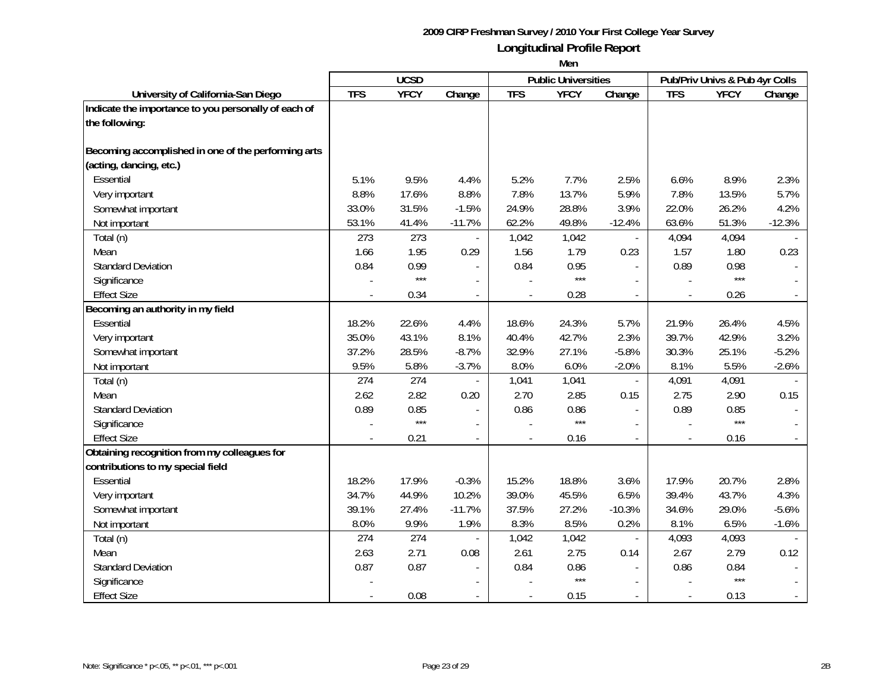|                                                      |            | <b>UCSD</b> |                |                | <b>Public Universities</b> |                          |            | Pub/Priv Univs & Pub 4yr Colls |                |
|------------------------------------------------------|------------|-------------|----------------|----------------|----------------------------|--------------------------|------------|--------------------------------|----------------|
| University of California-San Diego                   | <b>TFS</b> | <b>YFCY</b> | Change         | <b>TFS</b>     | <b>YFCY</b>                | Change                   | <b>TFS</b> | <b>YFCY</b>                    | Change         |
| Indicate the importance to you personally of each of |            |             |                |                |                            |                          |            |                                |                |
| the following:                                       |            |             |                |                |                            |                          |            |                                |                |
|                                                      |            |             |                |                |                            |                          |            |                                |                |
| Becoming accomplished in one of the performing arts  |            |             |                |                |                            |                          |            |                                |                |
| (acting, dancing, etc.)                              |            |             |                |                |                            |                          |            |                                |                |
| Essential                                            | 5.1%       | 9.5%        | 4.4%           | 5.2%           | 7.7%                       | 2.5%                     | 6.6%       | 8.9%                           | 2.3%           |
| Very important                                       | 8.8%       | 17.6%       | 8.8%           | 7.8%           | 13.7%                      | 5.9%                     | 7.8%       | 13.5%                          | 5.7%           |
| Somewhat important                                   | 33.0%      | 31.5%       | $-1.5%$        | 24.9%          | 28.8%                      | 3.9%                     | 22.0%      | 26.2%                          | 4.2%           |
| Not important                                        | 53.1%      | 41.4%       | $-11.7%$       | 62.2%          | 49.8%                      | $-12.4%$                 | 63.6%      | 51.3%                          | $-12.3%$       |
| Total (n)                                            | 273        | 273         |                | 1,042          | 1,042                      | $\bar{a}$                | 4,094      | 4,094                          |                |
| Mean                                                 | 1.66       | 1.95        | 0.29           | 1.56           | 1.79                       | 0.23                     | 1.57       | 1.80                           | 0.23           |
| <b>Standard Deviation</b>                            | 0.84       | 0.99        |                | 0.84           | 0.95                       |                          | 0.89       | 0.98                           |                |
| Significance                                         |            | $***$       |                |                | $***$                      |                          |            | $***$                          |                |
| <b>Effect Size</b>                                   |            | 0.34        |                |                | 0.28                       |                          |            | 0.26                           |                |
| Becoming an authority in my field                    |            |             |                |                |                            |                          |            |                                |                |
| Essential                                            | 18.2%      | 22.6%       | 4.4%           | 18.6%          | 24.3%                      | 5.7%                     | 21.9%      | 26.4%                          | 4.5%           |
| Very important                                       | 35.0%      | 43.1%       | 8.1%           | 40.4%          | 42.7%                      | 2.3%                     | 39.7%      | 42.9%                          | 3.2%           |
| Somewhat important                                   | 37.2%      | 28.5%       | $-8.7%$        | 32.9%          | 27.1%                      | $-5.8%$                  | 30.3%      | 25.1%                          | $-5.2%$        |
| Not important                                        | 9.5%       | 5.8%        | $-3.7%$        | 8.0%           | 6.0%                       | $-2.0%$                  | 8.1%       | 5.5%                           | $-2.6%$        |
| Total (n)                                            | 274        | 274         |                | 1,041          | 1,041                      | $\overline{\phantom{a}}$ | 4,091      | 4,091                          |                |
| Mean                                                 | 2.62       | 2.82        | 0.20           | 2.70           | 2.85                       | 0.15                     | 2.75       | 2.90                           | 0.15           |
| <b>Standard Deviation</b>                            | 0.89       | 0.85        | $\overline{a}$ | 0.86           | 0.86                       | $\blacksquare$           | 0.89       | 0.85                           |                |
| Significance                                         |            | $***$       | $\overline{a}$ |                | $***$                      | $\mathbf{r}$             |            | $***$                          |                |
| <b>Effect Size</b>                                   |            | 0.21        |                |                | 0.16                       |                          |            | 0.16                           |                |
| Obtaining recognition from my colleagues for         |            |             |                |                |                            |                          |            |                                |                |
| contributions to my special field                    |            |             |                |                |                            |                          |            |                                |                |
| Essential                                            | 18.2%      | 17.9%       | $-0.3%$        | 15.2%          | 18.8%                      | 3.6%                     | 17.9%      | 20.7%                          | 2.8%           |
| Very important                                       | 34.7%      | 44.9%       | 10.2%          | 39.0%          | 45.5%                      | 6.5%                     | 39.4%      | 43.7%                          | 4.3%           |
| Somewhat important                                   | 39.1%      | 27.4%       | $-11.7%$       | 37.5%          | 27.2%                      | $-10.3%$                 | 34.6%      | 29.0%                          | $-5.6%$        |
| Not important                                        | 8.0%       | 9.9%        | 1.9%           | 8.3%           | 8.5%                       | 0.2%                     | 8.1%       | 6.5%                           | $-1.6%$        |
| Total (n)                                            | 274        | 274         |                | 1,042          | 1,042                      |                          | 4,093      | 4,093                          |                |
| Mean                                                 | 2.63       | 2.71        | 0.08           | 2.61           | 2.75                       | 0.14                     | 2.67       | 2.79                           | 0.12           |
| <b>Standard Deviation</b>                            | 0.87       | 0.87        |                | 0.84           | 0.86                       |                          | 0.86       | 0.84                           |                |
| Significance                                         |            |             |                |                | $***$                      |                          |            | $***$                          |                |
| <b>Effect Size</b>                                   |            | 0.08        | $\blacksquare$ | $\overline{a}$ | 0.15                       | $\sim$                   |            | 0.13                           | $\blacksquare$ |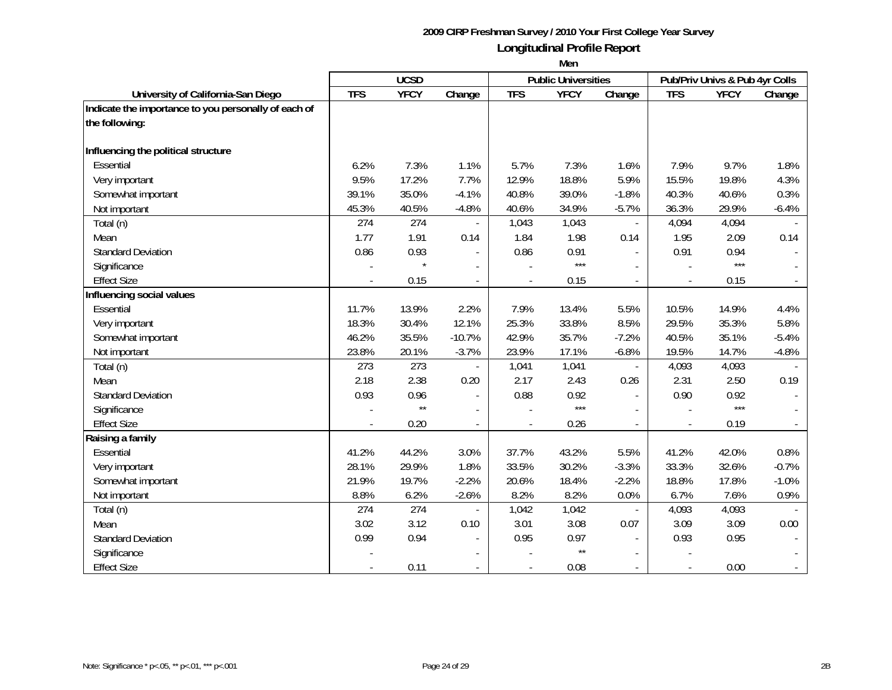|                                                      |            | <b>UCSD</b>  |                          |                          | <b>Public Universities</b> |                |                | Pub/Priv Univs & Pub 4yr Colls |         |
|------------------------------------------------------|------------|--------------|--------------------------|--------------------------|----------------------------|----------------|----------------|--------------------------------|---------|
| University of California-San Diego                   | <b>TFS</b> | <b>YFCY</b>  | Change                   | <b>TFS</b>               | <b>YFCY</b>                | Change         | <b>TFS</b>     | <b>YFCY</b>                    | Change  |
| Indicate the importance to you personally of each of |            |              |                          |                          |                            |                |                |                                |         |
| the following:                                       |            |              |                          |                          |                            |                |                |                                |         |
|                                                      |            |              |                          |                          |                            |                |                |                                |         |
| Influencing the political structure                  |            |              |                          |                          |                            |                |                |                                |         |
| Essential                                            | 6.2%       | 7.3%         | 1.1%                     | 5.7%                     | 7.3%                       | 1.6%           | 7.9%           | 9.7%                           | 1.8%    |
| Very important                                       | 9.5%       | 17.2%        | 7.7%                     | 12.9%                    | 18.8%                      | 5.9%           | 15.5%          | 19.8%                          | 4.3%    |
| Somewhat important                                   | 39.1%      | 35.0%        | $-4.1%$                  | 40.8%                    | 39.0%                      | $-1.8%$        | 40.3%          | 40.6%                          | 0.3%    |
| Not important                                        | 45.3%      | 40.5%        | $-4.8%$                  | 40.6%                    | 34.9%                      | $-5.7%$        | 36.3%          | 29.9%                          | $-6.4%$ |
| Total (n)                                            | 274        | 274          |                          | 1,043                    | 1,043                      |                | 4,094          | 4,094                          |         |
| Mean                                                 | 1.77       | 1.91         | 0.14                     | 1.84                     | 1.98                       | 0.14           | 1.95           | 2.09                           | 0.14    |
| <b>Standard Deviation</b>                            | 0.86       | 0.93         |                          | 0.86                     | 0.91                       |                | 0.91           | 0.94                           |         |
| Significance                                         |            | $\star$      | $\overline{\phantom{a}}$ |                          | $***$                      |                |                | $***$                          |         |
| <b>Effect Size</b>                                   |            | 0.15         | $\blacksquare$           | $\overline{a}$           | 0.15                       |                | $\blacksquare$ | 0.15                           |         |
| Influencing social values                            |            |              |                          |                          |                            |                |                |                                |         |
| Essential                                            | 11.7%      | 13.9%        | 2.2%                     | 7.9%                     | 13.4%                      | 5.5%           | 10.5%          | 14.9%                          | 4.4%    |
| Very important                                       | 18.3%      | 30.4%        | 12.1%                    | 25.3%                    | 33.8%                      | 8.5%           | 29.5%          | 35.3%                          | 5.8%    |
| Somewhat important                                   | 46.2%      | 35.5%        | $-10.7%$                 | 42.9%                    | 35.7%                      | $-7.2%$        | 40.5%          | 35.1%                          | $-5.4%$ |
| Not important                                        | 23.8%      | 20.1%        | $-3.7%$                  | 23.9%                    | 17.1%                      | $-6.8%$        | 19.5%          | 14.7%                          | $-4.8%$ |
| Total (n)                                            | 273        | 273          |                          | 1,041                    | 1,041                      | $\blacksquare$ | 4,093          | 4,093                          |         |
| Mean                                                 | 2.18       | 2.38         | 0.20                     | 2.17                     | 2.43                       | 0.26           | 2.31           | 2.50                           | 0.19    |
| <b>Standard Deviation</b>                            | 0.93       | 0.96         | $\blacksquare$           | 0.88                     | 0.92                       |                | 0.90           | 0.92                           |         |
| Significance                                         |            | $\star\star$ |                          |                          | $***$                      |                |                | ***                            |         |
| <b>Effect Size</b>                                   |            | 0.20         |                          |                          | 0.26                       |                |                | 0.19                           |         |
| Raising a family                                     |            |              |                          |                          |                            |                |                |                                |         |
| Essential                                            | 41.2%      | 44.2%        | 3.0%                     | 37.7%                    | 43.2%                      | 5.5%           | 41.2%          | 42.0%                          | 0.8%    |
| Very important                                       | 28.1%      | 29.9%        | 1.8%                     | 33.5%                    | 30.2%                      | $-3.3%$        | 33.3%          | 32.6%                          | $-0.7%$ |
| Somewhat important                                   | 21.9%      | 19.7%        | $-2.2%$                  | 20.6%                    | 18.4%                      | $-2.2%$        | 18.8%          | 17.8%                          | $-1.0%$ |
| Not important                                        | 8.8%       | 6.2%         | $-2.6%$                  | 8.2%                     | 8.2%                       | 0.0%           | 6.7%           | 7.6%                           | 0.9%    |
| Total (n)                                            | 274        | 274          |                          | 1,042                    | 1,042                      |                | 4,093          | 4,093                          |         |
| Mean                                                 | 3.02       | 3.12         | 0.10                     | 3.01                     | 3.08                       | 0.07           | 3.09           | 3.09                           | 0.00    |
| <b>Standard Deviation</b>                            | 0.99       | 0.94         |                          | 0.95                     | 0.97                       |                | 0.93           | 0.95                           |         |
| Significance                                         |            |              |                          |                          | $\star\star$               |                |                |                                |         |
| <b>Effect Size</b>                                   |            | 0.11         | $\overline{\phantom{a}}$ | $\overline{\phantom{a}}$ | 0.08                       |                |                | 0.00                           |         |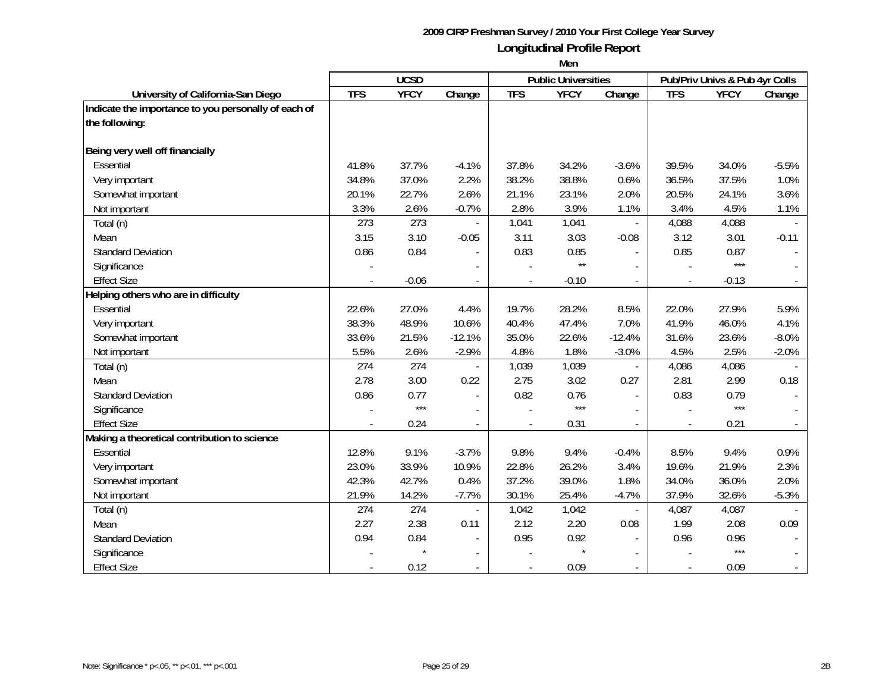|                                                      | <b>UCSD</b> |             |                          |                          | <b>Public Universities</b> |                          | Pub/Priv Univs & Pub 4yr Colls |             |                |
|------------------------------------------------------|-------------|-------------|--------------------------|--------------------------|----------------------------|--------------------------|--------------------------------|-------------|----------------|
| University of California-San Diego                   | <b>TFS</b>  | <b>YFCY</b> | Change                   | <b>TFS</b>               | <b>YFCY</b>                | Change                   | <b>TFS</b>                     | <b>YFCY</b> | Change         |
| Indicate the importance to you personally of each of |             |             |                          |                          |                            |                          |                                |             |                |
| the following:                                       |             |             |                          |                          |                            |                          |                                |             |                |
| Being very well off financially                      |             |             |                          |                          |                            |                          |                                |             |                |
| Essential                                            | 41.8%       | 37.7%       | $-4.1%$                  | 37.8%                    | 34.2%                      | $-3.6%$                  | 39.5%                          | 34.0%       | $-5.5%$        |
| Very important                                       | 34.8%       | 37.0%       | 2.2%                     | 38.2%                    | 38.8%                      | 0.6%                     | 36.5%                          | 37.5%       | 1.0%           |
| Somewhat important                                   | 20.1%       | 22.7%       | 2.6%                     | 21.1%                    | 23.1%                      | 2.0%                     | 20.5%                          | 24.1%       | 3.6%           |
| Not important                                        | 3.3%        | 2.6%        | $-0.7%$                  | 2.8%                     | 3.9%                       | 1.1%                     | 3.4%                           | 4.5%        | 1.1%           |
| Total (n)                                            | 273         | 273         |                          | 1,041                    | 1,041                      | $\blacksquare$           | 4,088                          | 4,088       |                |
| Mean                                                 | 3.15        | 3.10        | $-0.05$                  | 3.11                     | 3.03                       | $-0.08$                  | 3.12                           | 3.01        | $-0.11$        |
| <b>Standard Deviation</b>                            | 0.86        | 0.84        |                          | 0.83                     | 0.85                       |                          | 0.85                           | 0.87        |                |
| Significance                                         |             |             |                          |                          | $\star\star$               |                          |                                | ***         |                |
| <b>Effect Size</b>                                   |             | $-0.06$     | $\overline{\phantom{a}}$ | $\overline{\phantom{a}}$ | $-0.10$                    | $\overline{\phantom{a}}$ | $\overline{a}$                 | $-0.13$     |                |
| Helping others who are in difficulty                 |             |             |                          |                          |                            |                          |                                |             |                |
| Essential                                            | 22.6%       | 27.0%       | 4.4%                     | 19.7%                    | 28.2%                      | 8.5%                     | 22.0%                          | 27.9%       | 5.9%           |
| Very important                                       | 38.3%       | 48.9%       | 10.6%                    | 40.4%                    | 47.4%                      | 7.0%                     | 41.9%                          | 46.0%       | 4.1%           |
| Somewhat important                                   | 33.6%       | 21.5%       | $-12.1%$                 | 35.0%                    | 22.6%                      | $-12.4%$                 | 31.6%                          | 23.6%       | $-8.0%$        |
| Not important                                        | 5.5%        | 2.6%        | $-2.9%$                  | 4.8%                     | 1.8%                       | $-3.0%$                  | 4.5%                           | 2.5%        | $-2.0%$        |
| Total (n)                                            | 274         | 274         |                          | 1,039                    | 1,039                      | $\overline{\phantom{a}}$ | 4,086                          | 4,086       |                |
| Mean                                                 | 2.78        | 3.00        | 0.22                     | 2.75                     | 3.02                       | 0.27                     | 2.81                           | 2.99        | 0.18           |
| <b>Standard Deviation</b>                            | 0.86        | 0.77        | $\blacksquare$           | 0.82                     | 0.76                       |                          | 0.83                           | 0.79        |                |
| Significance                                         |             | $***$       |                          |                          | $***$                      |                          |                                | $***$       |                |
| <b>Effect Size</b>                                   |             | 0.24        |                          |                          | 0.31                       |                          |                                | 0.21        |                |
| Making a theoretical contribution to science         |             |             |                          |                          |                            |                          |                                |             |                |
| Essential                                            | 12.8%       | 9.1%        | $-3.7%$                  | 9.8%                     | 9.4%                       | $-0.4%$                  | 8.5%                           | 9.4%        | 0.9%           |
| Very important                                       | 23.0%       | 33.9%       | 10.9%                    | 22.8%                    | 26.2%                      | 3.4%                     | 19.6%                          | 21.9%       | 2.3%           |
| Somewhat important                                   | 42.3%       | 42.7%       | 0.4%                     | 37.2%                    | 39.0%                      | 1.8%                     | 34.0%                          | 36.0%       | 2.0%           |
| Not important                                        | 21.9%       | 14.2%       | $-7.7%$                  | 30.1%                    | 25.4%                      | $-4.7%$                  | 37.9%                          | 32.6%       | $-5.3%$        |
| Total (n)                                            | 274         | 274         | $\overline{a}$           | 1,042                    | 1,042                      |                          | 4,087                          | 4,087       |                |
| Mean                                                 | 2.27        | 2.38        | 0.11                     | 2.12                     | 2.20                       | 0.08                     | 1.99                           | 2.08        | 0.09           |
| <b>Standard Deviation</b>                            | 0.94        | 0.84        | $\frac{1}{2}$            | 0.95                     | 0.92                       |                          | 0.96                           | 0.96        |                |
| Significance                                         |             |             |                          |                          |                            |                          |                                | ***         |                |
| <b>Effect Size</b>                                   |             | 0.12        | $\overline{\phantom{a}}$ | $\blacksquare$           | 0.09                       |                          |                                | 0.09        | $\blacksquare$ |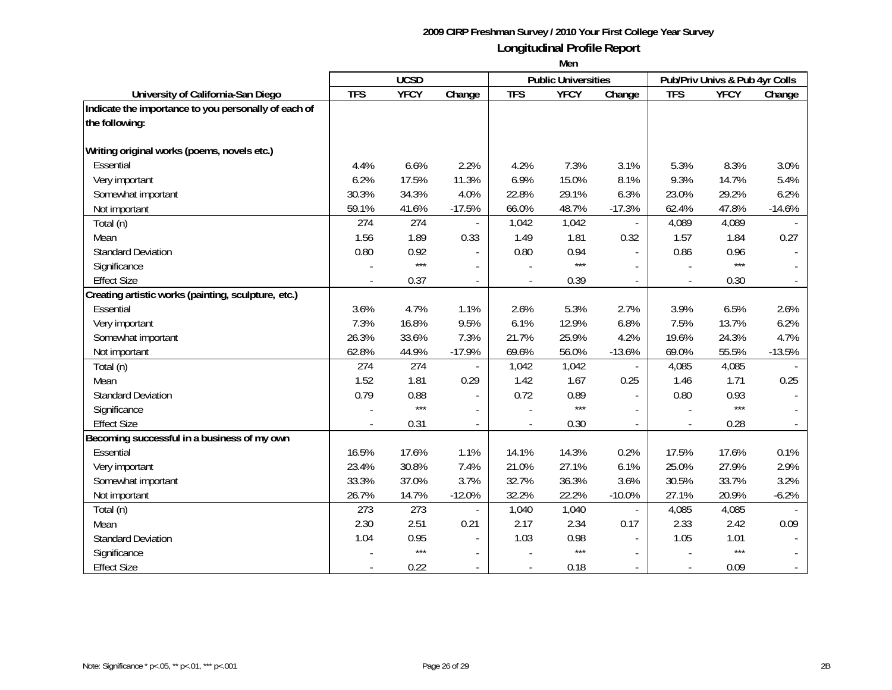|                                                      | <b>UCSD</b> |             |                          |            | <b>Public Universities</b> |                | Pub/Priv Univs & Pub 4yr Colls |             |          |
|------------------------------------------------------|-------------|-------------|--------------------------|------------|----------------------------|----------------|--------------------------------|-------------|----------|
| University of California-San Diego                   | <b>TFS</b>  | <b>YFCY</b> | Change                   | <b>TFS</b> | <b>YFCY</b>                | Change         | <b>TFS</b>                     | <b>YFCY</b> | Change   |
| Indicate the importance to you personally of each of |             |             |                          |            |                            |                |                                |             |          |
| the following:                                       |             |             |                          |            |                            |                |                                |             |          |
|                                                      |             |             |                          |            |                            |                |                                |             |          |
| Writing original works (poems, novels etc.)          |             |             |                          |            |                            |                |                                |             |          |
| Essential                                            | 4.4%        | 6.6%        | 2.2%                     | 4.2%       | 7.3%                       | 3.1%           | 5.3%                           | 8.3%        | 3.0%     |
| Very important                                       | 6.2%        | 17.5%       | 11.3%                    | 6.9%       | 15.0%                      | 8.1%           | 9.3%                           | 14.7%       | 5.4%     |
| Somewhat important                                   | 30.3%       | 34.3%       | 4.0%                     | 22.8%      | 29.1%                      | 6.3%           | 23.0%                          | 29.2%       | 6.2%     |
| Not important                                        | 59.1%       | 41.6%       | $-17.5%$                 | 66.0%      | 48.7%                      | $-17.3%$       | 62.4%                          | 47.8%       | $-14.6%$ |
| Total (n)                                            | 274         | 274         |                          | 1,042      | 1,042                      |                | 4,089                          | 4,089       |          |
| Mean                                                 | 1.56        | 1.89        | 0.33                     | 1.49       | 1.81                       | 0.32           | 1.57                           | 1.84        | 0.27     |
| <b>Standard Deviation</b>                            | 0.80        | 0.92        |                          | 0.80       | 0.94                       | $\blacksquare$ | 0.86                           | 0.96        |          |
| Significance                                         |             | $***$       |                          |            | $***$                      |                |                                | $***$       |          |
| <b>Effect Size</b>                                   |             | 0.37        | $\overline{\phantom{a}}$ |            | 0.39                       | $\sim$         | $\overline{a}$                 | 0.30        |          |
| Creating artistic works (painting, sculpture, etc.)  |             |             |                          |            |                            |                |                                |             |          |
| Essential                                            | 3.6%        | 4.7%        | 1.1%                     | 2.6%       | 5.3%                       | 2.7%           | 3.9%                           | 6.5%        | 2.6%     |
| Very important                                       | 7.3%        | 16.8%       | 9.5%                     | 6.1%       | 12.9%                      | 6.8%           | 7.5%                           | 13.7%       | 6.2%     |
| Somewhat important                                   | 26.3%       | 33.6%       | 7.3%                     | 21.7%      | 25.9%                      | 4.2%           | 19.6%                          | 24.3%       | 4.7%     |
| Not important                                        | 62.8%       | 44.9%       | $-17.9%$                 | 69.6%      | 56.0%                      | $-13.6%$       | 69.0%                          | 55.5%       | $-13.5%$ |
| Total (n)                                            | 274         | 274         |                          | 1,042      | 1,042                      |                | 4,085                          | 4,085       |          |
| Mean                                                 | 1.52        | 1.81        | 0.29                     | 1.42       | 1.67                       | 0.25           | 1.46                           | 1.71        | 0.25     |
| <b>Standard Deviation</b>                            | 0.79        | 0.88        | $\sim$                   | 0.72       | 0.89                       | $\sim$         | 0.80                           | 0.93        |          |
| Significance                                         |             | $***$       |                          |            | $***$                      |                |                                | ***         |          |
| <b>Effect Size</b>                                   |             | 0.31        |                          |            | 0.30                       |                |                                | 0.28        |          |
| Becoming successful in a business of my own          |             |             |                          |            |                            |                |                                |             |          |
| <b>Essential</b>                                     | 16.5%       | 17.6%       | 1.1%                     | 14.1%      | 14.3%                      | 0.2%           | 17.5%                          | 17.6%       | 0.1%     |
| Very important                                       | 23.4%       | 30.8%       | 7.4%                     | 21.0%      | 27.1%                      | 6.1%           | 25.0%                          | 27.9%       | 2.9%     |
| Somewhat important                                   | 33.3%       | 37.0%       | 3.7%                     | 32.7%      | 36.3%                      | 3.6%           | 30.5%                          | 33.7%       | 3.2%     |
| Not important                                        | 26.7%       | 14.7%       | $-12.0%$                 | 32.2%      | 22.2%                      | $-10.0%$       | 27.1%                          | 20.9%       | $-6.2%$  |
| Total (n)                                            | 273         | 273         |                          | 1,040      | 1,040                      |                | 4,085                          | 4,085       |          |
| Mean                                                 | 2.30        | 2.51        | 0.21                     | 2.17       | 2.34                       | 0.17           | 2.33                           | 2.42        | 0.09     |
| <b>Standard Deviation</b>                            | 1.04        | 0.95        |                          | 1.03       | 0.98                       |                | 1.05                           | 1.01        |          |
| Significance                                         |             | $***$       |                          |            | $***$                      |                |                                | ***         |          |
| <b>Effect Size</b>                                   |             | 0.22        |                          |            | 0.18                       |                |                                | 0.09        |          |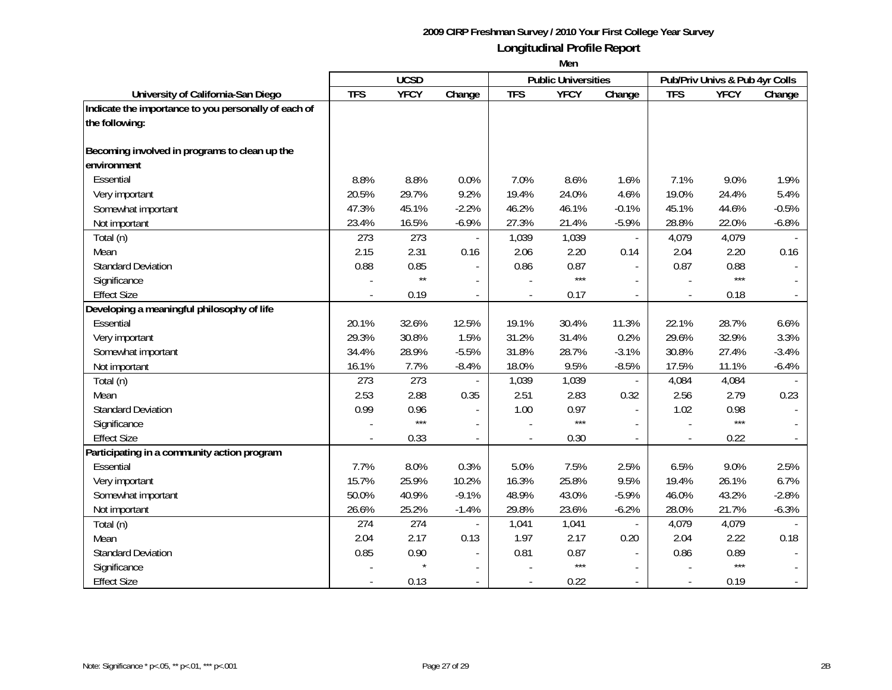|                                                      | <b>UCSD</b> |                  |                          |                          | <b>Public Universities</b> |                | Pub/Priv Univs & Pub 4yr Colls |             |         |
|------------------------------------------------------|-------------|------------------|--------------------------|--------------------------|----------------------------|----------------|--------------------------------|-------------|---------|
| University of California-San Diego                   | <b>TFS</b>  | <b>YFCY</b>      | Change                   | <b>TFS</b>               | <b>YFCY</b>                | Change         | <b>TFS</b>                     | <b>YFCY</b> | Change  |
| Indicate the importance to you personally of each of |             |                  |                          |                          |                            |                |                                |             |         |
| the following:                                       |             |                  |                          |                          |                            |                |                                |             |         |
|                                                      |             |                  |                          |                          |                            |                |                                |             |         |
| Becoming involved in programs to clean up the        |             |                  |                          |                          |                            |                |                                |             |         |
| environment                                          |             |                  |                          |                          |                            |                |                                |             |         |
| Essential                                            | 8.8%        | 8.8%             | 0.0%                     | 7.0%                     | 8.6%                       | 1.6%           | 7.1%                           | 9.0%        | 1.9%    |
| Very important                                       | 20.5%       | 29.7%            | 9.2%                     | 19.4%                    | 24.0%                      | 4.6%           | 19.0%                          | 24.4%       | 5.4%    |
| Somewhat important                                   | 47.3%       | 45.1%            | $-2.2%$                  | 46.2%                    | 46.1%                      | $-0.1%$        | 45.1%                          | 44.6%       | $-0.5%$ |
| Not important                                        | 23.4%       | 16.5%            | $-6.9%$                  | 27.3%                    | 21.4%                      | $-5.9%$        | 28.8%                          | 22.0%       | $-6.8%$ |
| Total (n)                                            | 273         | 273              | $\blacksquare$           | 1,039                    | 1,039                      | $\blacksquare$ | 4,079                          | 4,079       |         |
| Mean                                                 | 2.15        | 2.31             | 0.16                     | 2.06                     | 2.20                       | 0.14           | 2.04                           | 2.20        | 0.16    |
| <b>Standard Deviation</b>                            | 0.88        | 0.85             | $\overline{\phantom{a}}$ | 0.86                     | 0.87                       |                | 0.87                           | 0.88        |         |
| Significance                                         |             | $\star\star$     | $\overline{\phantom{a}}$ |                          | $***$                      |                |                                | $***$       |         |
| <b>Effect Size</b>                                   |             | 0.19             | $\overline{a}$           | $\overline{a}$           | 0.17                       |                |                                | 0.18        |         |
| Developing a meaningful philosophy of life           |             |                  |                          |                          |                            |                |                                |             |         |
| Essential                                            | 20.1%       | 32.6%            | 12.5%                    | 19.1%                    | 30.4%                      | 11.3%          | 22.1%                          | 28.7%       | 6.6%    |
| Very important                                       | 29.3%       | 30.8%            | 1.5%                     | 31.2%                    | 31.4%                      | 0.2%           | 29.6%                          | 32.9%       | 3.3%    |
| Somewhat important                                   | 34.4%       | 28.9%            | $-5.5%$                  | 31.8%                    | 28.7%                      | $-3.1%$        | 30.8%                          | 27.4%       | $-3.4%$ |
| Not important                                        | 16.1%       | 7.7%             | $-8.4%$                  | 18.0%                    | 9.5%                       | $-8.5%$        | 17.5%                          | 11.1%       | $-6.4%$ |
| Total (n)                                            | 273         | $\overline{273}$ |                          | 1,039                    | 1,039                      |                | 4,084                          | 4,084       |         |
| Mean                                                 | 2.53        | 2.88             | 0.35                     | 2.51                     | 2.83                       | 0.32           | 2.56                           | 2.79        | 0.23    |
| <b>Standard Deviation</b>                            | 0.99        | 0.96             |                          | 1.00                     | 0.97                       |                | 1.02                           | 0.98        |         |
| Significance                                         |             | $***$            |                          |                          | $***$                      |                |                                | $***$       |         |
| <b>Effect Size</b>                                   |             | 0.33             | $\blacksquare$           |                          | 0.30                       |                |                                | 0.22        |         |
| Participating in a community action program          |             |                  |                          |                          |                            |                |                                |             |         |
| Essential                                            | 7.7%        | 8.0%             | 0.3%                     | 5.0%                     | 7.5%                       | 2.5%           | 6.5%                           | 9.0%        | 2.5%    |
| Very important                                       | 15.7%       | 25.9%            | 10.2%                    | 16.3%                    | 25.8%                      | 9.5%           | 19.4%                          | 26.1%       | 6.7%    |
| Somewhat important                                   | 50.0%       | 40.9%            | $-9.1%$                  | 48.9%                    | 43.0%                      | $-5.9%$        | 46.0%                          | 43.2%       | $-2.8%$ |
| Not important                                        | 26.6%       | 25.2%            | $-1.4%$                  | 29.8%                    | 23.6%                      | $-6.2%$        | 28.0%                          | 21.7%       | $-6.3%$ |
| Total (n)                                            | 274         | 274              |                          | 1,041                    | 1,041                      |                | 4,079                          | 4,079       |         |
| Mean                                                 | 2.04        | 2.17             | 0.13                     | 1.97                     | 2.17                       | 0.20           | 2.04                           | 2.22        | 0.18    |
| <b>Standard Deviation</b>                            | 0.85        | 0.90             |                          | 0.81                     | 0.87                       |                | 0.86                           | 0.89        |         |
| Significance                                         |             | $\star$          |                          |                          | $***$                      |                |                                | $***$       |         |
| <b>Effect Size</b>                                   |             | 0.13             | $\sim$                   | $\overline{\phantom{a}}$ | 0.22                       |                |                                | 0.19        |         |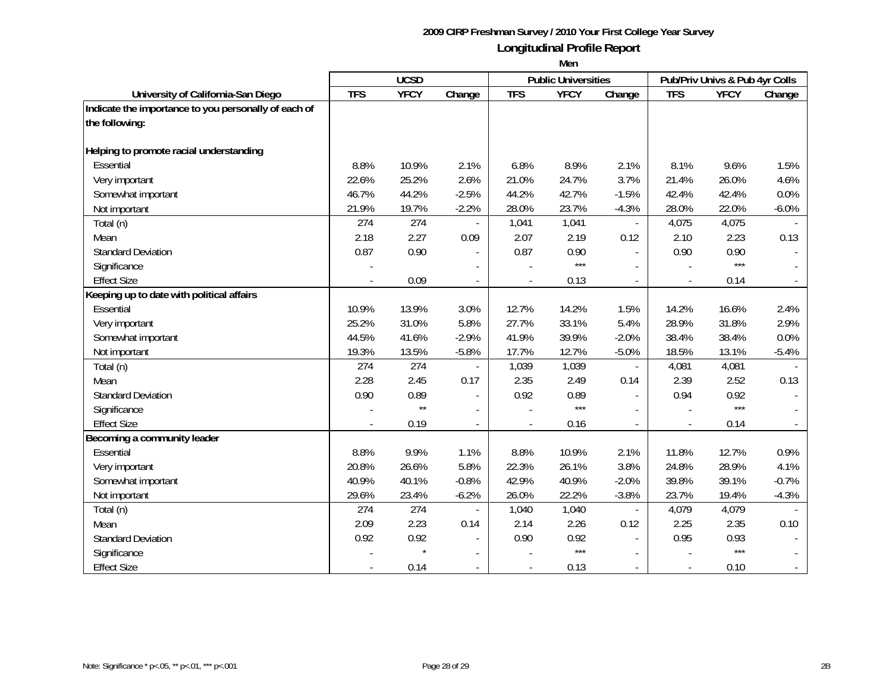|                                                      | <b>UCSD</b> |              |                          |                          | <b>Public Universities</b> |                | Pub/Priv Univs & Pub 4yr Colls |             |         |  |
|------------------------------------------------------|-------------|--------------|--------------------------|--------------------------|----------------------------|----------------|--------------------------------|-------------|---------|--|
| University of California-San Diego                   | <b>TFS</b>  | <b>YFCY</b>  | Change                   | <b>TFS</b>               | <b>YFCY</b>                | Change         | <b>TFS</b>                     | <b>YFCY</b> | Change  |  |
| Indicate the importance to you personally of each of |             |              |                          |                          |                            |                |                                |             |         |  |
| the following:                                       |             |              |                          |                          |                            |                |                                |             |         |  |
| Helping to promote racial understanding              |             |              |                          |                          |                            |                |                                |             |         |  |
| Essential                                            | 8.8%        | 10.9%        | 2.1%                     | 6.8%                     | 8.9%                       | 2.1%           | 8.1%                           | 9.6%        | 1.5%    |  |
| Very important                                       | 22.6%       | 25.2%        | 2.6%                     | 21.0%                    | 24.7%                      | 3.7%           | 21.4%                          | 26.0%       | 4.6%    |  |
| Somewhat important                                   | 46.7%       | 44.2%        | $-2.5%$                  | 44.2%                    | 42.7%                      | $-1.5%$        | 42.4%                          | 42.4%       | 0.0%    |  |
|                                                      | 21.9%       | 19.7%        | $-2.2%$                  | 28.0%                    | 23.7%                      | $-4.3%$        | 28.0%                          | 22.0%       | $-6.0%$ |  |
| Not important                                        | 274         | 274          |                          |                          |                            |                | 4,075                          |             |         |  |
| Total (n)                                            |             |              |                          | 1,041                    | 1,041                      |                |                                | 4,075       |         |  |
| Mean                                                 | 2.18        | 2.27         | 0.09                     | 2.07                     | 2.19                       | 0.12           | 2.10                           | 2.23        | 0.13    |  |
| <b>Standard Deviation</b>                            | 0.87        | 0.90         |                          | 0.87                     | 0.90<br>$***$              |                | 0.90                           | 0.90<br>*** |         |  |
| Significance                                         |             |              |                          |                          |                            |                |                                |             |         |  |
| <b>Effect Size</b>                                   |             | 0.09         | $\overline{a}$           |                          | 0.13                       |                |                                | 0.14        |         |  |
| Keeping up to date with political affairs            |             |              |                          |                          |                            |                |                                |             |         |  |
| Essential                                            | 10.9%       | 13.9%        | 3.0%                     | 12.7%                    | 14.2%                      | 1.5%           | 14.2%                          | 16.6%       | 2.4%    |  |
| Very important                                       | 25.2%       | 31.0%        | 5.8%                     | 27.7%                    | 33.1%                      | 5.4%           | 28.9%                          | 31.8%       | 2.9%    |  |
| Somewhat important                                   | 44.5%       | 41.6%        | $-2.9%$                  | 41.9%                    | 39.9%                      | $-2.0%$        | 38.4%                          | 38.4%       | 0.0%    |  |
| Not important                                        | 19.3%       | 13.5%        | $-5.8%$                  | 17.7%                    | 12.7%                      | $-5.0%$        | 18.5%                          | 13.1%       | $-5.4%$ |  |
| Total (n)                                            | 274         | 274          | $\blacksquare$           | 1,039                    | 1,039                      | $\blacksquare$ | 4,081                          | 4,081       |         |  |
| Mean                                                 | 2.28        | 2.45         | 0.17                     | 2.35                     | 2.49                       | 0.14           | 2.39                           | 2.52        | 0.13    |  |
| <b>Standard Deviation</b>                            | 0.90        | 0.89         | $\overline{\phantom{a}}$ | 0.92                     | 0.89                       |                | 0.94                           | 0.92        |         |  |
| Significance                                         |             | $\star\star$ |                          |                          | ***                        |                |                                | $***$       |         |  |
| <b>Effect Size</b>                                   |             | 0.19         |                          |                          | 0.16                       |                |                                | 0.14        |         |  |
| Becoming a community leader                          |             |              |                          |                          |                            |                |                                |             |         |  |
| Essential                                            | 8.8%        | 9.9%         | 1.1%                     | 8.8%                     | 10.9%                      | 2.1%           | 11.8%                          | 12.7%       | 0.9%    |  |
| Very important                                       | 20.8%       | 26.6%        | 5.8%                     | 22.3%                    | 26.1%                      | 3.8%           | 24.8%                          | 28.9%       | 4.1%    |  |
| Somewhat important                                   | 40.9%       | 40.1%        | $-0.8%$                  | 42.9%                    | 40.9%                      | $-2.0%$        | 39.8%                          | 39.1%       | $-0.7%$ |  |
| Not important                                        | 29.6%       | 23.4%        | $-6.2%$                  | 26.0%                    | 22.2%                      | $-3.8%$        | 23.7%                          | 19.4%       | $-4.3%$ |  |
| Total (n)                                            | 274         | 274          |                          | 1,040                    | 1,040                      |                | 4,079                          | 4,079       |         |  |
| Mean                                                 | 2.09        | 2.23         | 0.14                     | 2.14                     | 2.26                       | 0.12           | 2.25                           | 2.35        | 0.10    |  |
| <b>Standard Deviation</b>                            | 0.92        | 0.92         |                          | 0.90                     | 0.92                       |                | 0.95                           | 0.93        |         |  |
| Significance                                         |             |              |                          |                          | $***$                      |                |                                | $***$       |         |  |
| <b>Effect Size</b>                                   |             | 0.14         | $\overline{\phantom{a}}$ | $\overline{\phantom{a}}$ | 0.13                       |                | $\overline{\phantom{a}}$       | 0.10        |         |  |